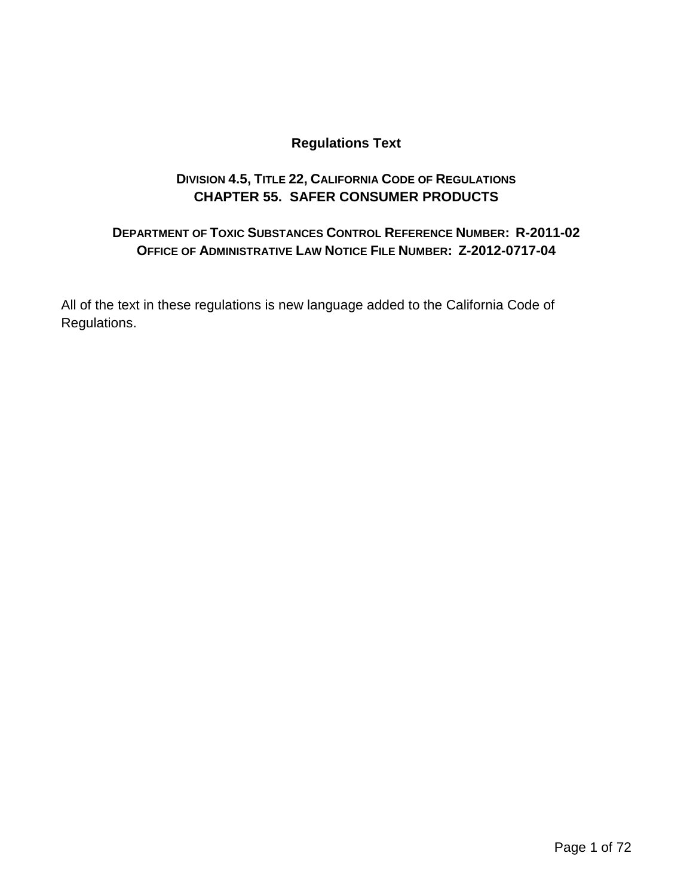### **Regulations Text**

### **DIVISION 4.5, TITLE 22, CALIFORNIA CODE OF REGULATIONS CHAPTER 55. SAFER CONSUMER PRODUCTS**

### **DEPARTMENT OF TOXIC SUBSTANCES CONTROL REFERENCE NUMBER: R-2011-02 OFFICE OF ADMINISTRATIVE LAW NOTICE FILE NUMBER: Z-2012-0717-04**

All of the text in these regulations is new language added to the California Code of Regulations.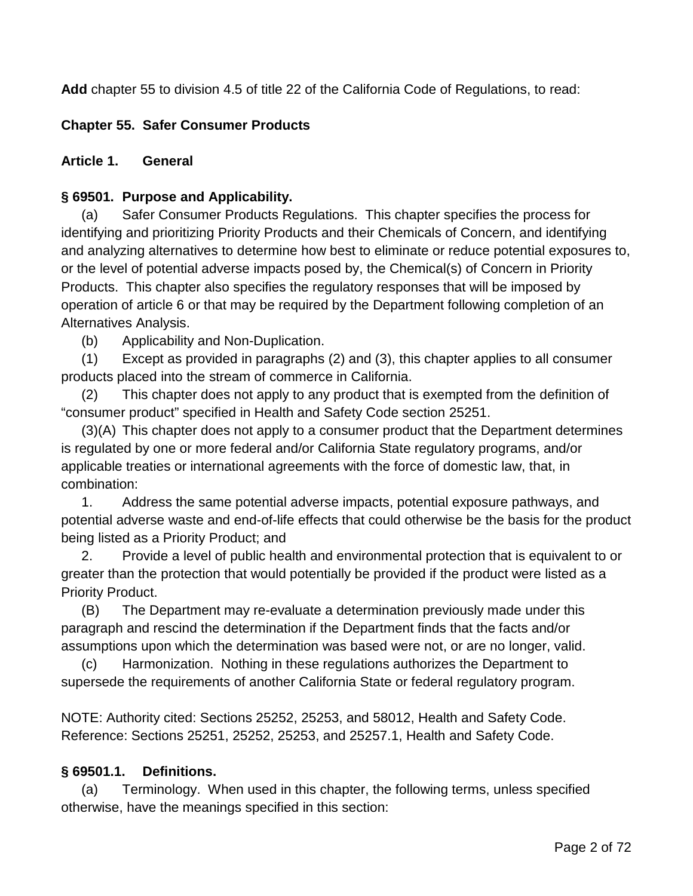**Add** chapter 55 to division 4.5 of title 22 of the California Code of Regulations, to read:

### **Chapter 55. Safer Consumer Products**

#### **Article 1. General**

#### **§ 69501. Purpose and Applicability.**

(a) Safer Consumer Products Regulations. This chapter specifies the process for identifying and prioritizing Priority Products and their Chemicals of Concern, and identifying and analyzing alternatives to determine how best to eliminate or reduce potential exposures to, or the level of potential adverse impacts posed by, the Chemical(s) of Concern in Priority Products. This chapter also specifies the regulatory responses that will be imposed by operation of article 6 or that may be required by the Department following completion of an Alternatives Analysis.

(b) Applicability and Non-Duplication.

(1) Except as provided in paragraphs (2) and (3), this chapter applies to all consumer products placed into the stream of commerce in California.

(2) This chapter does not apply to any product that is exempted from the definition of "consumer product" specified in Health and Safety Code section 25251.

(3)(A) This chapter does not apply to a consumer product that the Department determines is regulated by one or more federal and/or California State regulatory programs, and/or applicable treaties or international agreements with the force of domestic law, that, in combination:

1. Address the same potential adverse impacts, potential exposure pathways, and potential adverse waste and end-of-life effects that could otherwise be the basis for the product being listed as a Priority Product; and

2. Provide a level of public health and environmental protection that is equivalent to or greater than the protection that would potentially be provided if the product were listed as a Priority Product.

(B) The Department may re-evaluate a determination previously made under this paragraph and rescind the determination if the Department finds that the facts and/or assumptions upon which the determination was based were not, or are no longer, valid.

(c) Harmonization. Nothing in these regulations authorizes the Department to supersede the requirements of another California State or federal regulatory program.

NOTE: Authority cited: Sections 25252, 25253, and 58012, Health and Safety Code. Reference: Sections 25251, 25252, 25253, and 25257.1, Health and Safety Code.

### **§ 69501.1. Definitions.**

(a) Terminology. When used in this chapter, the following terms, unless specified otherwise, have the meanings specified in this section: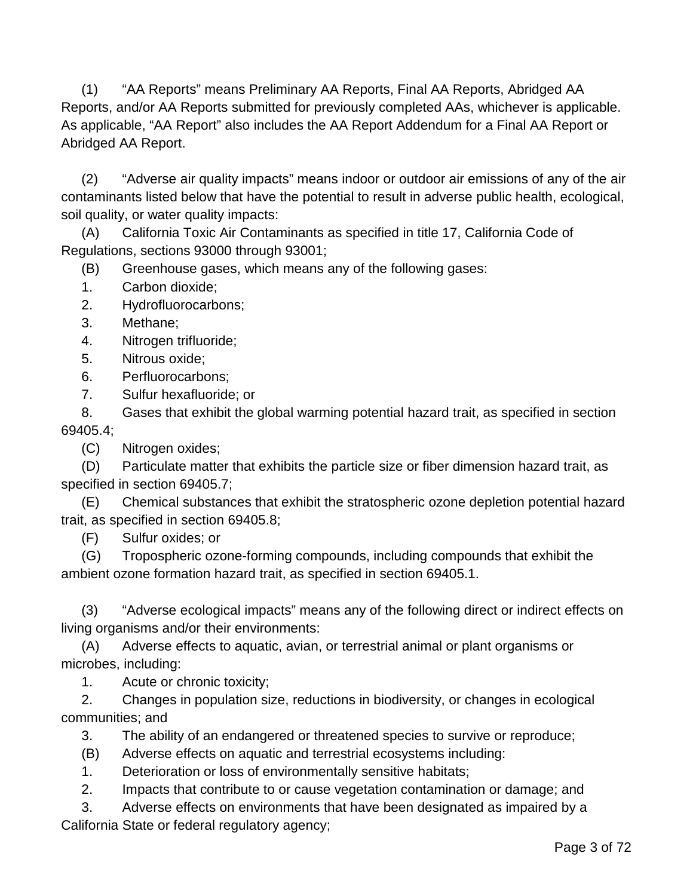(1) "AA Reports" means Preliminary AA Reports, Final AA Reports, Abridged AA Reports, and/or AA Reports submitted for previously completed AAs, whichever is applicable. As applicable, "AA Report" also includes the AA Report Addendum for a Final AA Report or Abridged AA Report.

(2) "Adverse air quality impacts" means indoor or outdoor air emissions of any of the air contaminants listed below that have the potential to result in adverse public health, ecological, soil quality, or water quality impacts:

(A) California Toxic Air Contaminants as specified in title 17, California Code of Regulations, sections 93000 through 93001;

(B) Greenhouse gases, which means any of the following gases:

- 1. Carbon dioxide;
- 2. Hydrofluorocarbons;
- 3. Methane;
- 4. Nitrogen trifluoride;
- 5. Nitrous oxide;
- 6. Perfluorocarbons;
- 7. Sulfur hexafluoride; or

8. Gases that exhibit the global warming potential hazard trait, as specified in section 69405.4;

(C) Nitrogen oxides;

(D) Particulate matter that exhibits the particle size or fiber dimension hazard trait, as specified in section 69405.7;

(E) Chemical substances that exhibit the stratospheric ozone depletion potential hazard trait, as specified in section 69405.8;

(F) Sulfur oxides; or

(G) Tropospheric ozone-forming compounds, including compounds that exhibit the ambient ozone formation hazard trait, as specified in section 69405.1.

(3) "Adverse ecological impacts" means any of the following direct or indirect effects on living organisms and/or their environments:

(A) Adverse effects to aquatic, avian, or terrestrial animal or plant organisms or microbes, including:

1. Acute or chronic toxicity;

2. Changes in population size, reductions in biodiversity, or changes in ecological communities; and

3. The ability of an endangered or threatened species to survive or reproduce;

(B) Adverse effects on aquatic and terrestrial ecosystems including:

1. Deterioration or loss of environmentally sensitive habitats;

2. Impacts that contribute to or cause vegetation contamination or damage; and

3. Adverse effects on environments that have been designated as impaired by a

California State or federal regulatory agency;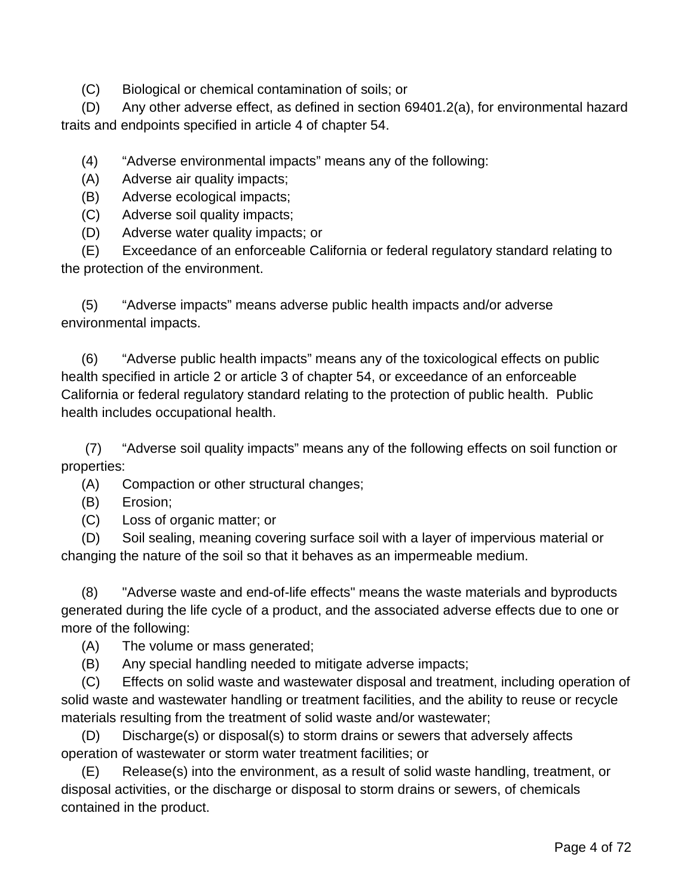(C) Biological or chemical contamination of soils; or

(D) Any other adverse effect, as defined in section 69401.2(a), for environmental hazard traits and endpoints specified in article 4 of chapter 54.

(4) "Adverse environmental impacts" means any of the following:

(A) Adverse air quality impacts;

(B) Adverse ecological impacts;

(C) Adverse soil quality impacts;

(D) Adverse water quality impacts; or

(E) Exceedance of an enforceable California or federal regulatory standard relating to the protection of the environment.

(5) "Adverse impacts" means adverse public health impacts and/or adverse environmental impacts.

(6) "Adverse public health impacts" means any of the toxicological effects on public health specified in article 2 or article 3 of chapter 54, or exceedance of an enforceable California or federal regulatory standard relating to the protection of public health. Public health includes occupational health.

(7) "Adverse soil quality impacts" means any of the following effects on soil function or properties:

(A) Compaction or other structural changes;

(B) Erosion;

(C) Loss of organic matter; or

(D) Soil sealing, meaning covering surface soil with a layer of impervious material or changing the nature of the soil so that it behaves as an impermeable medium.

(8) "Adverse waste and end-of-life effects" means the waste materials and byproducts generated during the life cycle of a product, and the associated adverse effects due to one or more of the following:

(A) The volume or mass generated;

(B) Any special handling needed to mitigate adverse impacts;

(C) Effects on solid waste and wastewater disposal and treatment, including operation of solid waste and wastewater handling or treatment facilities, and the ability to reuse or recycle materials resulting from the treatment of solid waste and/or wastewater;

(D) Discharge(s) or disposal(s) to storm drains or sewers that adversely affects operation of wastewater or storm water treatment facilities; or

(E) Release(s) into the environment, as a result of solid waste handling, treatment, or disposal activities, or the discharge or disposal to storm drains or sewers, of chemicals contained in the product.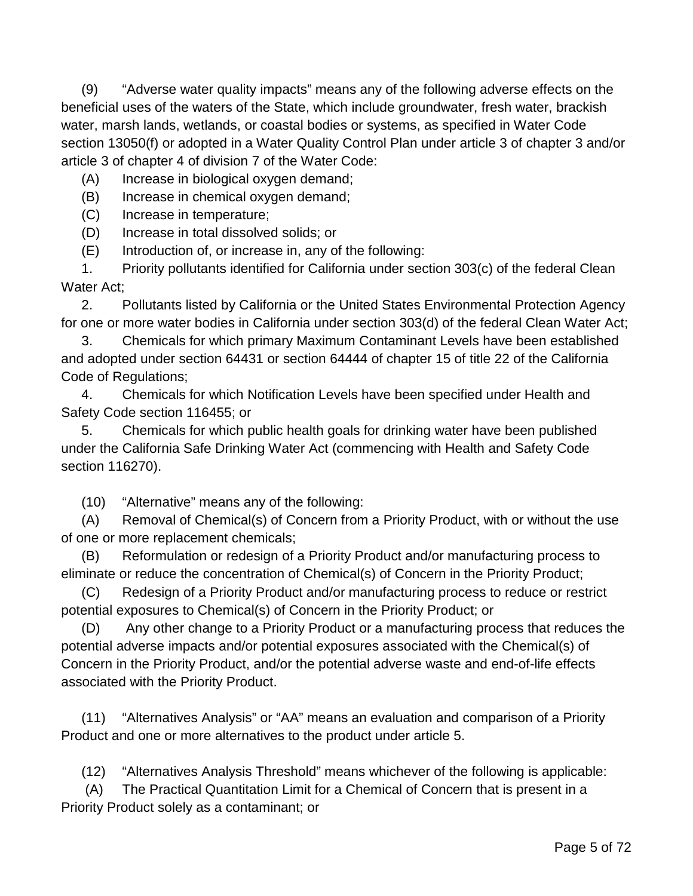(9) "Adverse water quality impacts" means any of the following adverse effects on the beneficial uses of the waters of the State, which include groundwater, fresh water, brackish water, marsh lands, wetlands, or coastal bodies or systems, as specified in Water Code section 13050(f) or adopted in a Water Quality Control Plan under article 3 of chapter 3 and/or article 3 of chapter 4 of division 7 of the Water Code:

(A) Increase in biological oxygen demand;

(B) Increase in chemical oxygen demand;

(C) Increase in temperature;

(D) Increase in total dissolved solids; or

(E) Introduction of, or increase in, any of the following:

1. Priority pollutants identified for California under section 303(c) of the federal Clean Water Act;

2. Pollutants listed by California or the United States Environmental Protection Agency for one or more water bodies in California under section 303(d) of the federal Clean Water Act;

3. Chemicals for which primary Maximum Contaminant Levels have been established and adopted under section 64431 or section 64444 of chapter 15 of title 22 of the California Code of Regulations;

4. Chemicals for which Notification Levels have been specified under Health and Safety Code section 116455; or

5. Chemicals for which public health goals for drinking water have been published under the California Safe Drinking Water Act (commencing with Health and Safety Code section 116270).

(10) "Alternative" means any of the following:

(A) Removal of Chemical(s) of Concern from a Priority Product, with or without the use of one or more replacement chemicals;

(B) Reformulation or redesign of a Priority Product and/or manufacturing process to eliminate or reduce the concentration of Chemical(s) of Concern in the Priority Product;

(C) Redesign of a Priority Product and/or manufacturing process to reduce or restrict potential exposures to Chemical(s) of Concern in the Priority Product; or

(D) Any other change to a Priority Product or a manufacturing process that reduces the potential adverse impacts and/or potential exposures associated with the Chemical(s) of Concern in the Priority Product, and/or the potential adverse waste and end-of-life effects associated with the Priority Product.

(11) "Alternatives Analysis" or "AA" means an evaluation and comparison of a Priority Product and one or more alternatives to the product under article 5.

(12) "Alternatives Analysis Threshold" means whichever of the following is applicable:

(A) The Practical Quantitation Limit for a Chemical of Concern that is present in a Priority Product solely as a contaminant; or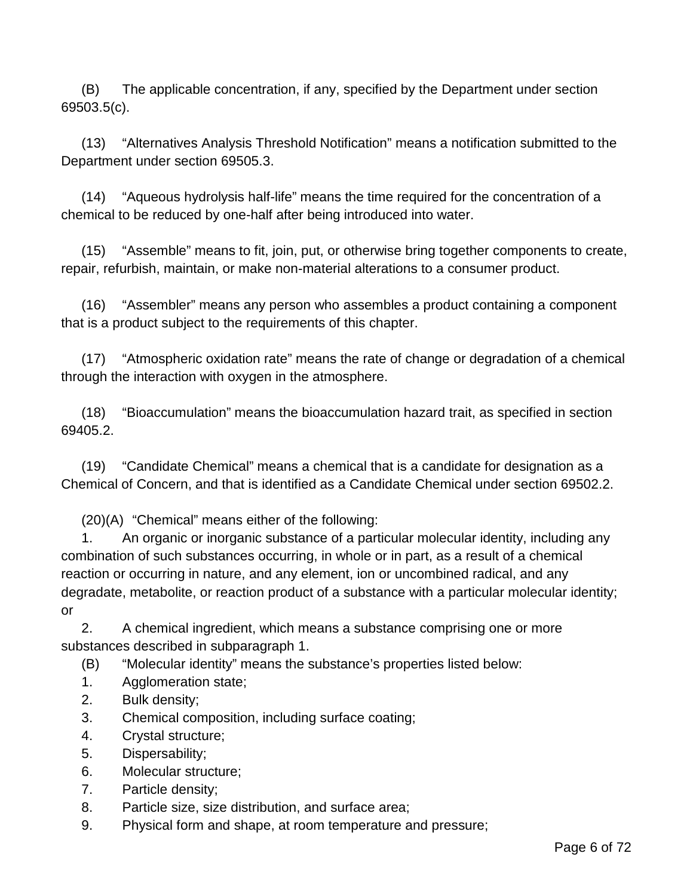(B) The applicable concentration, if any, specified by the Department under section 69503.5(c).

(13) "Alternatives Analysis Threshold Notification" means a notification submitted to the Department under section 69505.3.

(14) "Aqueous hydrolysis half-life" means the time required for the concentration of a chemical to be reduced by one-half after being introduced into water.

(15) "Assemble" means to fit, join, put, or otherwise bring together components to create, repair, refurbish, maintain, or make non-material alterations to a consumer product.

(16) "Assembler" means any person who assembles a product containing a component that is a product subject to the requirements of this chapter.

(17) "Atmospheric oxidation rate" means the rate of change or degradation of a chemical through the interaction with oxygen in the atmosphere.

(18) "Bioaccumulation" means the bioaccumulation hazard trait, as specified in section 69405.2.

(19) "Candidate Chemical" means a chemical that is a candidate for designation as a Chemical of Concern, and that is identified as a Candidate Chemical under section 69502.2.

(20)(A) "Chemical" means either of the following:

1. An organic or inorganic substance of a particular molecular identity, including any combination of such substances occurring, in whole or in part, as a result of a chemical reaction or occurring in nature, and any element, ion or uncombined radical, and any degradate, metabolite, or reaction product of a substance with a particular molecular identity; or

2. A chemical ingredient, which means a substance comprising one or more substances described in subparagraph 1.

(B) "Molecular identity" means the substance's properties listed below:

- 1. Agglomeration state;
- 2. Bulk density;
- 3. Chemical composition, including surface coating;
- 4. Crystal structure;
- 5. Dispersability;
- 6. Molecular structure;
- 7. Particle density;
- 8. Particle size, size distribution, and surface area;
- 9. Physical form and shape, at room temperature and pressure;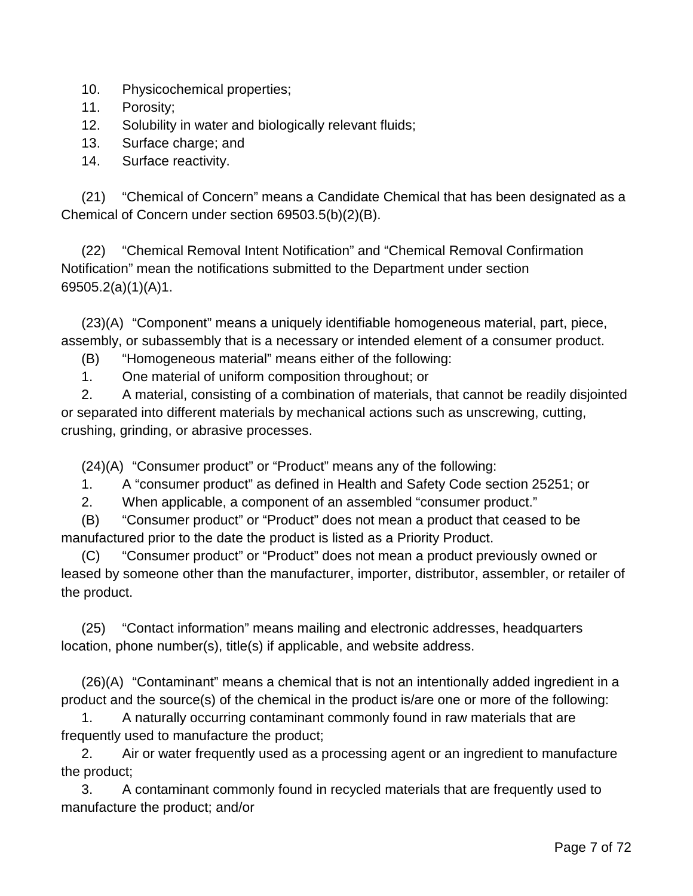- 10. Physicochemical properties;
- 11. Porosity;
- 12. Solubility in water and biologically relevant fluids;
- 13. Surface charge; and
- 14. Surface reactivity.

(21) "Chemical of Concern" means a Candidate Chemical that has been designated as a Chemical of Concern under section 69503.5(b)(2)(B).

(22) "Chemical Removal Intent Notification" and "Chemical Removal Confirmation Notification" mean the notifications submitted to the Department under section 69505.2(a)(1)(A)1.

(23)(A) "Component" means a uniquely identifiable homogeneous material, part, piece, assembly, or subassembly that is a necessary or intended element of a consumer product.

(B) "Homogeneous material" means either of the following:

1. One material of uniform composition throughout; or

2. A material, consisting of a combination of materials, that cannot be readily disjointed or separated into different materials by mechanical actions such as unscrewing, cutting, crushing, grinding, or abrasive processes.

(24)(A) "Consumer product" or "Product" means any of the following:

1. A "consumer product" as defined in Health and Safety Code section 25251; or

2. When applicable, a component of an assembled "consumer product."

(B) "Consumer product" or "Product" does not mean a product that ceased to be manufactured prior to the date the product is listed as a Priority Product.

(C) "Consumer product" or "Product" does not mean a product previously owned or leased by someone other than the manufacturer, importer, distributor, assembler, or retailer of the product.

(25) "Contact information" means mailing and electronic addresses, headquarters location, phone number(s), title(s) if applicable, and website address.

(26)(A) "Contaminant" means a chemical that is not an intentionally added ingredient in a product and the source(s) of the chemical in the product is/are one or more of the following:

1. A naturally occurring contaminant commonly found in raw materials that are frequently used to manufacture the product;

2. Air or water frequently used as a processing agent or an ingredient to manufacture the product;

3. A contaminant commonly found in recycled materials that are frequently used to manufacture the product; and/or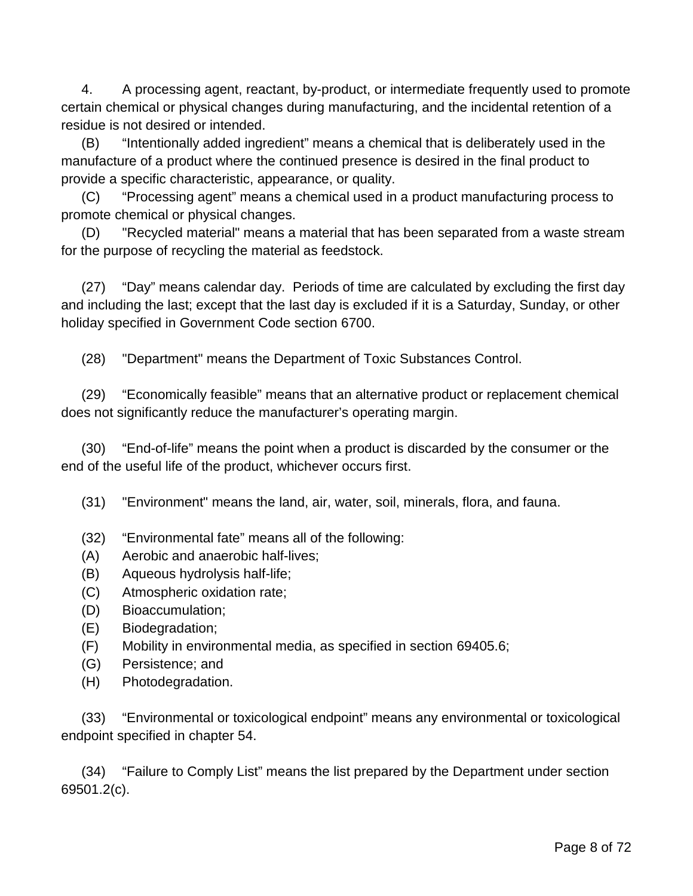4. A processing agent, reactant, by-product, or intermediate frequently used to promote certain chemical or physical changes during manufacturing, and the incidental retention of a residue is not desired or intended.

(B) "Intentionally added ingredient" means a chemical that is deliberately used in the manufacture of a product where the continued presence is desired in the final product to provide a specific characteristic, appearance, or quality.

(C) "Processing agent" means a chemical used in a product manufacturing process to promote chemical or physical changes.

(D) "Recycled material" means a material that has been separated from a waste stream for the purpose of recycling the material as feedstock.

(27) "Day" means calendar day. Periods of time are calculated by excluding the first day and including the last; except that the last day is excluded if it is a Saturday, Sunday, or other holiday specified in Government Code section 6700.

(28) "Department" means the Department of Toxic Substances Control.

(29) "Economically feasible" means that an alternative product or replacement chemical does not significantly reduce the manufacturer's operating margin.

(30) "End-of-life" means the point when a product is discarded by the consumer or the end of the useful life of the product, whichever occurs first.

(31) "Environment" means the land, air, water, soil, minerals, flora, and fauna.

- (32) "Environmental fate" means all of the following:
- (A) Aerobic and anaerobic half-lives;
- (B) Aqueous hydrolysis half-life;
- (C) Atmospheric oxidation rate;
- (D) Bioaccumulation;
- (E) Biodegradation;
- (F) Mobility in environmental media, as specified in section 69405.6;
- (G) Persistence; and
- (H) Photodegradation.

(33) "Environmental or toxicological endpoint" means any environmental or toxicological endpoint specified in chapter 54.

(34) "Failure to Comply List" means the list prepared by the Department under section 69501.2(c).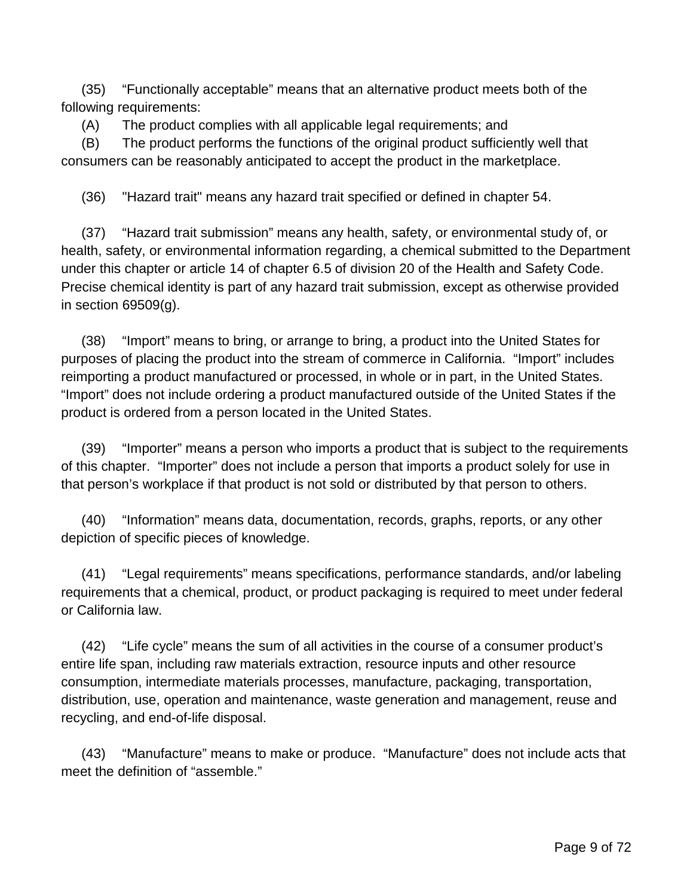(35) "Functionally acceptable" means that an alternative product meets both of the following requirements:

(A) The product complies with all applicable legal requirements; and

(B) The product performs the functions of the original product sufficiently well that consumers can be reasonably anticipated to accept the product in the marketplace.

(36) "Hazard trait" means any hazard trait specified or defined in chapter 54.

(37) "Hazard trait submission" means any health, safety, or environmental study of, or health, safety, or environmental information regarding, a chemical submitted to the Department under this chapter or article 14 of chapter 6.5 of division 20 of the Health and Safety Code. Precise chemical identity is part of any hazard trait submission, except as otherwise provided in section 69509(g).

(38) "Import" means to bring, or arrange to bring, a product into the United States for purposes of placing the product into the stream of commerce in California. "Import" includes reimporting a product manufactured or processed, in whole or in part, in the United States. "Import" does not include ordering a product manufactured outside of the United States if the product is ordered from a person located in the United States.

(39) "Importer" means a person who imports a product that is subject to the requirements of this chapter. "Importer" does not include a person that imports a product solely for use in that person's workplace if that product is not sold or distributed by that person to others.

(40) "Information" means data, documentation, records, graphs, reports, or any other depiction of specific pieces of knowledge.

(41) "Legal requirements" means specifications, performance standards, and/or labeling requirements that a chemical, product, or product packaging is required to meet under federal or California law.

(42) "Life cycle" means the sum of all activities in the course of a consumer product's entire life span, including raw materials extraction, resource inputs and other resource consumption, intermediate materials processes, manufacture, packaging, transportation, distribution, use, operation and maintenance, waste generation and management, reuse and recycling, and end-of-life disposal.

(43) "Manufacture" means to make or produce. "Manufacture" does not include acts that meet the definition of "assemble."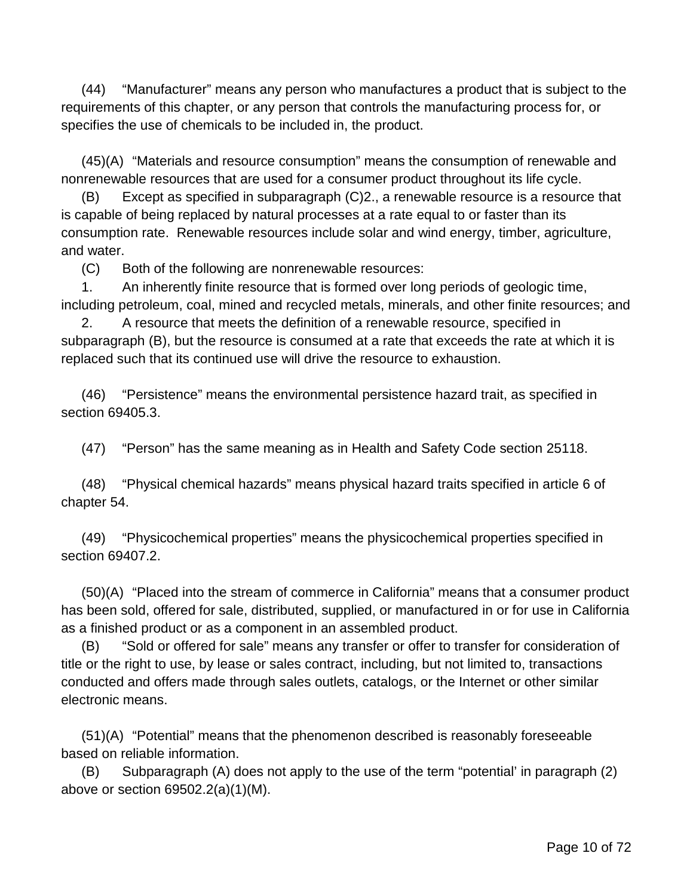(44) "Manufacturer" means any person who manufactures a product that is subject to the requirements of this chapter, or any person that controls the manufacturing process for, or specifies the use of chemicals to be included in, the product.

(45)(A) "Materials and resource consumption" means the consumption of renewable and nonrenewable resources that are used for a consumer product throughout its life cycle.

(B) Except as specified in subparagraph (C)2., a renewable resource is a resource that is capable of being replaced by natural processes at a rate equal to or faster than its consumption rate. Renewable resources include solar and wind energy, timber, agriculture, and water.

(C) Both of the following are nonrenewable resources:

1. An inherently finite resource that is formed over long periods of geologic time, including petroleum, coal, mined and recycled metals, minerals, and other finite resources; and

2. A resource that meets the definition of a renewable resource, specified in subparagraph (B), but the resource is consumed at a rate that exceeds the rate at which it is replaced such that its continued use will drive the resource to exhaustion.

(46) "Persistence" means the environmental persistence hazard trait, as specified in section 69405.3.

(47) "Person" has the same meaning as in Health and Safety Code section 25118.

(48) "Physical chemical hazards" means physical hazard traits specified in article 6 of chapter 54.

(49) "Physicochemical properties" means the physicochemical properties specified in section 69407.2.

(50)(A) "Placed into the stream of commerce in California" means that a consumer product has been sold, offered for sale, distributed, supplied, or manufactured in or for use in California as a finished product or as a component in an assembled product.

(B) "Sold or offered for sale" means any transfer or offer to transfer for consideration of title or the right to use, by lease or sales contract, including, but not limited to, transactions conducted and offers made through sales outlets, catalogs, or the Internet or other similar electronic means.

(51)(A) "Potential" means that the phenomenon described is reasonably foreseeable based on reliable information.

(B) Subparagraph (A) does not apply to the use of the term "potential' in paragraph (2) above or section 69502.2(a)(1)(M).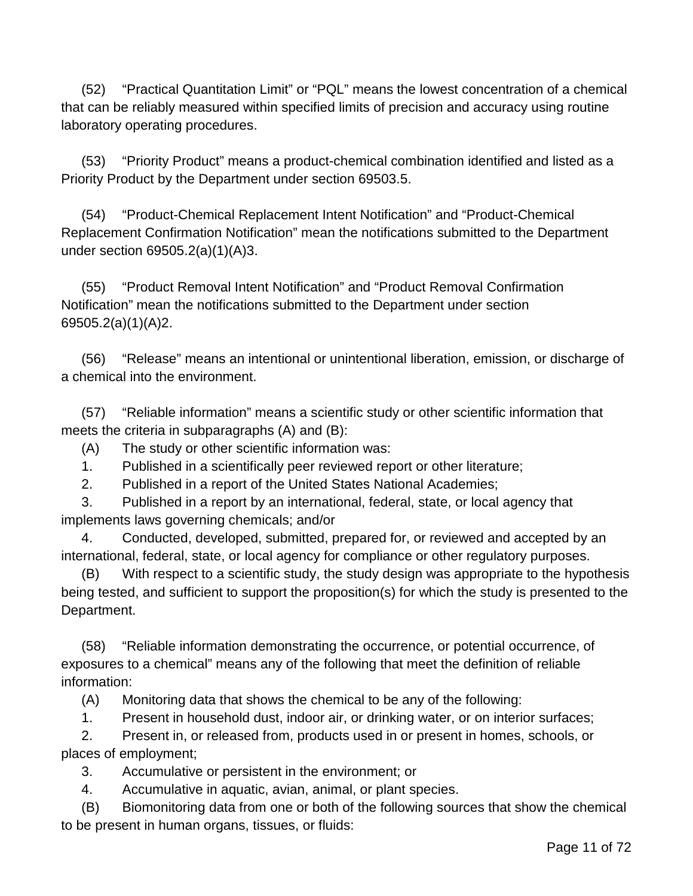(52) "Practical Quantitation Limit" or "PQL" means the lowest concentration of a chemical that can be reliably measured within specified limits of precision and accuracy using routine laboratory operating procedures.

(53) "Priority Product" means a product-chemical combination identified and listed as a Priority Product by the Department under section 69503.5.

(54) "Product-Chemical Replacement Intent Notification" and "Product-Chemical Replacement Confirmation Notification" mean the notifications submitted to the Department under section 69505.2(a)(1)(A)3.

(55) "Product Removal Intent Notification" and "Product Removal Confirmation Notification" mean the notifications submitted to the Department under section 69505.2(a)(1)(A)2.

(56) "Release" means an intentional or unintentional liberation, emission, or discharge of a chemical into the environment.

(57) "Reliable information" means a scientific study or other scientific information that meets the criteria in subparagraphs (A) and (B):

(A) The study or other scientific information was:

1. Published in a scientifically peer reviewed report or other literature;

2. Published in a report of the United States National Academies;

3. Published in a report by an international, federal, state, or local agency that implements laws governing chemicals; and/or

4. Conducted, developed, submitted, prepared for, or reviewed and accepted by an international, federal, state, or local agency for compliance or other regulatory purposes.

(B) With respect to a scientific study, the study design was appropriate to the hypothesis being tested, and sufficient to support the proposition(s) for which the study is presented to the Department.

(58) "Reliable information demonstrating the occurrence, or potential occurrence, of exposures to a chemical" means any of the following that meet the definition of reliable information:

(A) Monitoring data that shows the chemical to be any of the following:

1. Present in household dust, indoor air, or drinking water, or on interior surfaces;

2. Present in, or released from, products used in or present in homes, schools, or places of employment;

3. Accumulative or persistent in the environment; or

4. Accumulative in aquatic, avian, animal, or plant species.

(B) Biomonitoring data from one or both of the following sources that show the chemical to be present in human organs, tissues, or fluids: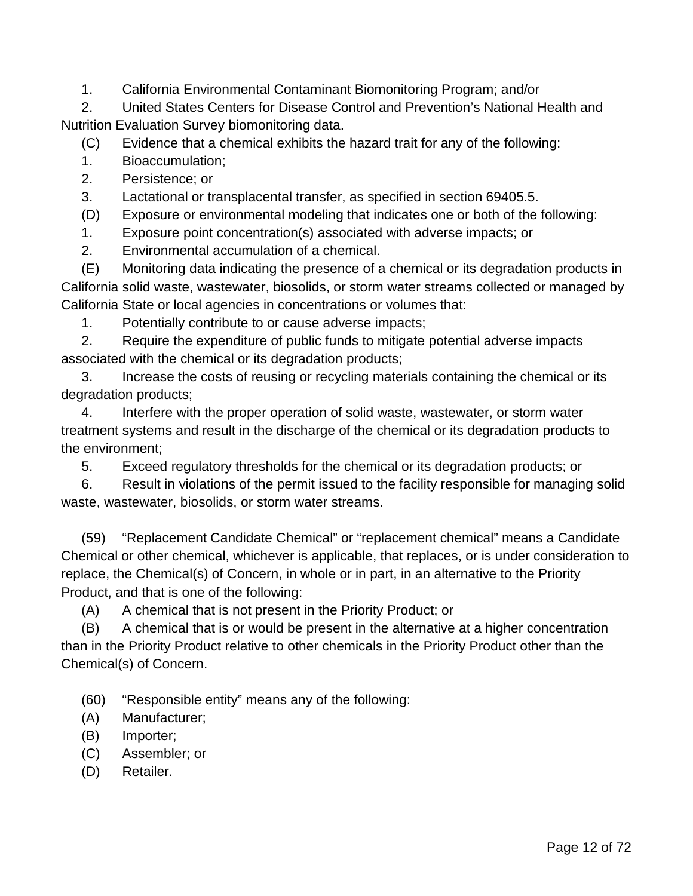1. California Environmental Contaminant Biomonitoring Program; and/or

2. United States Centers for Disease Control and Prevention's National Health and Nutrition Evaluation Survey biomonitoring data.

(C) Evidence that a chemical exhibits the hazard trait for any of the following:

1. Bioaccumulation;

- 2. Persistence; or
- 3. Lactational or transplacental transfer, as specified in section 69405.5.

(D) Exposure or environmental modeling that indicates one or both of the following:

1. Exposure point concentration(s) associated with adverse impacts; or

2. Environmental accumulation of a chemical.

(E) Monitoring data indicating the presence of a chemical or its degradation products in California solid waste, wastewater, biosolids, or storm water streams collected or managed by California State or local agencies in concentrations or volumes that:

1. Potentially contribute to or cause adverse impacts;

2. Require the expenditure of public funds to mitigate potential adverse impacts associated with the chemical or its degradation products;

3. Increase the costs of reusing or recycling materials containing the chemical or its degradation products;

4. Interfere with the proper operation of solid waste, wastewater, or storm water treatment systems and result in the discharge of the chemical or its degradation products to the environment;

5. Exceed regulatory thresholds for the chemical or its degradation products; or

6. Result in violations of the permit issued to the facility responsible for managing solid waste, wastewater, biosolids, or storm water streams.

(59) "Replacement Candidate Chemical" or "replacement chemical" means a Candidate Chemical or other chemical, whichever is applicable, that replaces, or is under consideration to replace, the Chemical(s) of Concern, in whole or in part, in an alternative to the Priority Product, and that is one of the following:

(A) A chemical that is not present in the Priority Product; or

(B) A chemical that is or would be present in the alternative at a higher concentration than in the Priority Product relative to other chemicals in the Priority Product other than the Chemical(s) of Concern.

(60) "Responsible entity" means any of the following:

(A) Manufacturer;

- (B) Importer;
- (C) Assembler; or
- (D) Retailer.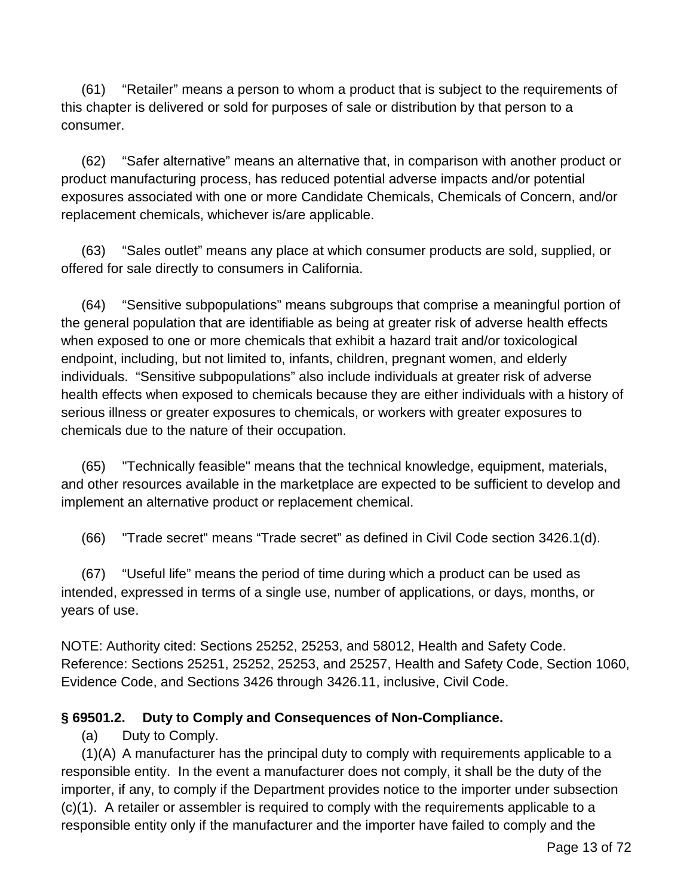(61) "Retailer" means a person to whom a product that is subject to the requirements of this chapter is delivered or sold for purposes of sale or distribution by that person to a consumer.

(62) "Safer alternative" means an alternative that, in comparison with another product or product manufacturing process, has reduced potential adverse impacts and/or potential exposures associated with one or more Candidate Chemicals, Chemicals of Concern, and/or replacement chemicals, whichever is/are applicable.

(63) "Sales outlet" means any place at which consumer products are sold, supplied, or offered for sale directly to consumers in California.

(64) "Sensitive subpopulations" means subgroups that comprise a meaningful portion of the general population that are identifiable as being at greater risk of adverse health effects when exposed to one or more chemicals that exhibit a hazard trait and/or toxicological endpoint, including, but not limited to, infants, children, pregnant women, and elderly individuals. "Sensitive subpopulations" also include individuals at greater risk of adverse health effects when exposed to chemicals because they are either individuals with a history of serious illness or greater exposures to chemicals, or workers with greater exposures to chemicals due to the nature of their occupation.

(65) "Technically feasible" means that the technical knowledge, equipment, materials, and other resources available in the marketplace are expected to be sufficient to develop and implement an alternative product or replacement chemical.

(66) "Trade secret" means "Trade secret" as defined in Civil Code section 3426.1(d).

(67) "Useful life" means the period of time during which a product can be used as intended, expressed in terms of a single use, number of applications, or days, months, or years of use.

NOTE: Authority cited: Sections 25252, 25253, and 58012, Health and Safety Code. Reference: Sections 25251, 25252, 25253, and 25257, Health and Safety Code, Section 1060, Evidence Code, and Sections 3426 through 3426.11, inclusive, Civil Code.

## **§ 69501.2. Duty to Comply and Consequences of Non-Compliance.**

(a) Duty to Comply.

(1)(A) A manufacturer has the principal duty to comply with requirements applicable to a responsible entity. In the event a manufacturer does not comply, it shall be the duty of the importer, if any, to comply if the Department provides notice to the importer under subsection (c)(1). A retailer or assembler is required to comply with the requirements applicable to a responsible entity only if the manufacturer and the importer have failed to comply and the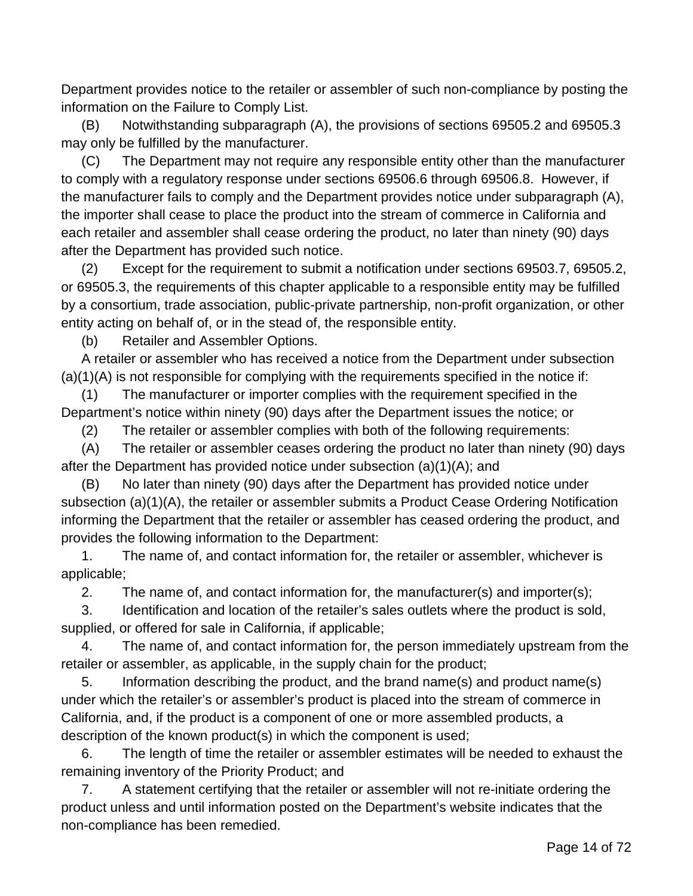Department provides notice to the retailer or assembler of such non-compliance by posting the information on the Failure to Comply List.

(B) Notwithstanding subparagraph (A), the provisions of sections 69505.2 and 69505.3 may only be fulfilled by the manufacturer.

(C) The Department may not require any responsible entity other than the manufacturer to comply with a regulatory response under sections 69506.6 through 69506.8. However, if the manufacturer fails to comply and the Department provides notice under subparagraph (A), the importer shall cease to place the product into the stream of commerce in California and each retailer and assembler shall cease ordering the product, no later than ninety (90) days after the Department has provided such notice.

(2) Except for the requirement to submit a notification under sections 69503.7, 69505.2, or 69505.3, the requirements of this chapter applicable to a responsible entity may be fulfilled by a consortium, trade association, public-private partnership, non-profit organization, or other entity acting on behalf of, or in the stead of, the responsible entity.

(b) Retailer and Assembler Options.

A retailer or assembler who has received a notice from the Department under subsection  $(a)(1)(A)$  is not responsible for complying with the requirements specified in the notice if:

(1) The manufacturer or importer complies with the requirement specified in the Department's notice within ninety (90) days after the Department issues the notice; or

(2) The retailer or assembler complies with both of the following requirements:

(A) The retailer or assembler ceases ordering the product no later than ninety (90) days after the Department has provided notice under subsection (a)(1)(A); and

(B) No later than ninety (90) days after the Department has provided notice under subsection (a)(1)(A), the retailer or assembler submits a Product Cease Ordering Notification informing the Department that the retailer or assembler has ceased ordering the product, and provides the following information to the Department:

1. The name of, and contact information for, the retailer or assembler, whichever is applicable;

2. The name of, and contact information for, the manufacturer(s) and importer(s);

3. Identification and location of the retailer's sales outlets where the product is sold, supplied, or offered for sale in California, if applicable;

4. The name of, and contact information for, the person immediately upstream from the retailer or assembler, as applicable, in the supply chain for the product;

5. Information describing the product, and the brand name(s) and product name(s) under which the retailer's or assembler's product is placed into the stream of commerce in California, and, if the product is a component of one or more assembled products, a description of the known product(s) in which the component is used;

6. The length of time the retailer or assembler estimates will be needed to exhaust the remaining inventory of the Priority Product; and

7. A statement certifying that the retailer or assembler will not re-initiate ordering the product unless and until information posted on the Department's website indicates that the non-compliance has been remedied.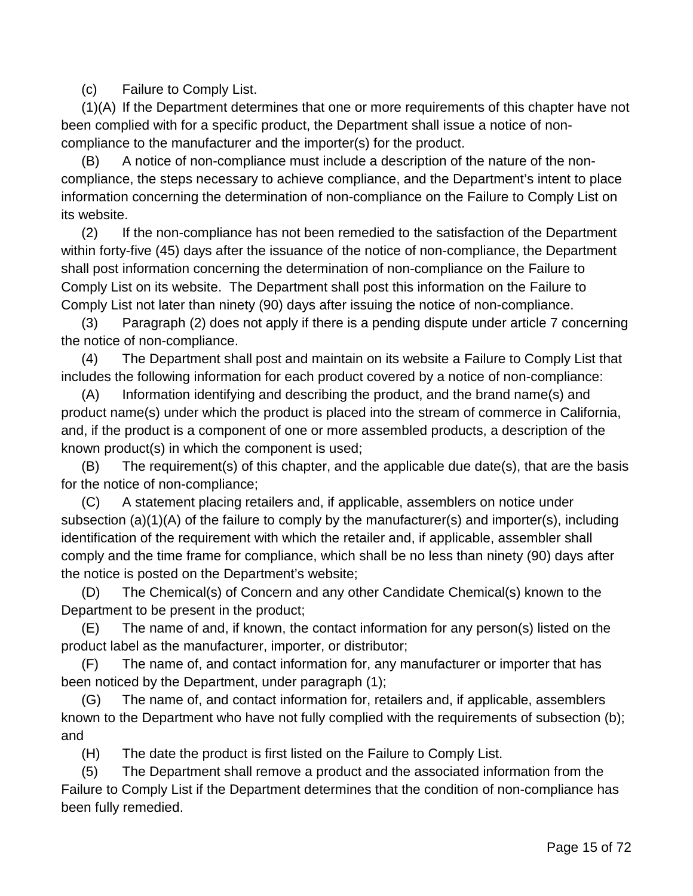(c) Failure to Comply List.

(1)(A) If the Department determines that one or more requirements of this chapter have not been complied with for a specific product, the Department shall issue a notice of noncompliance to the manufacturer and the importer(s) for the product.

(B) A notice of non-compliance must include a description of the nature of the noncompliance, the steps necessary to achieve compliance, and the Department's intent to place information concerning the determination of non-compliance on the Failure to Comply List on its website.

(2) If the non-compliance has not been remedied to the satisfaction of the Department within forty-five (45) days after the issuance of the notice of non-compliance, the Department shall post information concerning the determination of non-compliance on the Failure to Comply List on its website. The Department shall post this information on the Failure to Comply List not later than ninety (90) days after issuing the notice of non-compliance.

(3) Paragraph (2) does not apply if there is a pending dispute under article 7 concerning the notice of non-compliance.

(4) The Department shall post and maintain on its website a Failure to Comply List that includes the following information for each product covered by a notice of non-compliance:

(A) Information identifying and describing the product, and the brand name(s) and product name(s) under which the product is placed into the stream of commerce in California, and, if the product is a component of one or more assembled products, a description of the known product(s) in which the component is used;

(B) The requirement(s) of this chapter, and the applicable due date(s), that are the basis for the notice of non-compliance;

(C) A statement placing retailers and, if applicable, assemblers on notice under subsection (a)(1)(A) of the failure to comply by the manufacturer(s) and importer(s), including identification of the requirement with which the retailer and, if applicable, assembler shall comply and the time frame for compliance, which shall be no less than ninety (90) days after the notice is posted on the Department's website;

(D) The Chemical(s) of Concern and any other Candidate Chemical(s) known to the Department to be present in the product;

(E) The name of and, if known, the contact information for any person(s) listed on the product label as the manufacturer, importer, or distributor;

(F) The name of, and contact information for, any manufacturer or importer that has been noticed by the Department, under paragraph (1);

(G) The name of, and contact information for, retailers and, if applicable, assemblers known to the Department who have not fully complied with the requirements of subsection (b); and

(H) The date the product is first listed on the Failure to Comply List.

(5) The Department shall remove a product and the associated information from the Failure to Comply List if the Department determines that the condition of non-compliance has been fully remedied.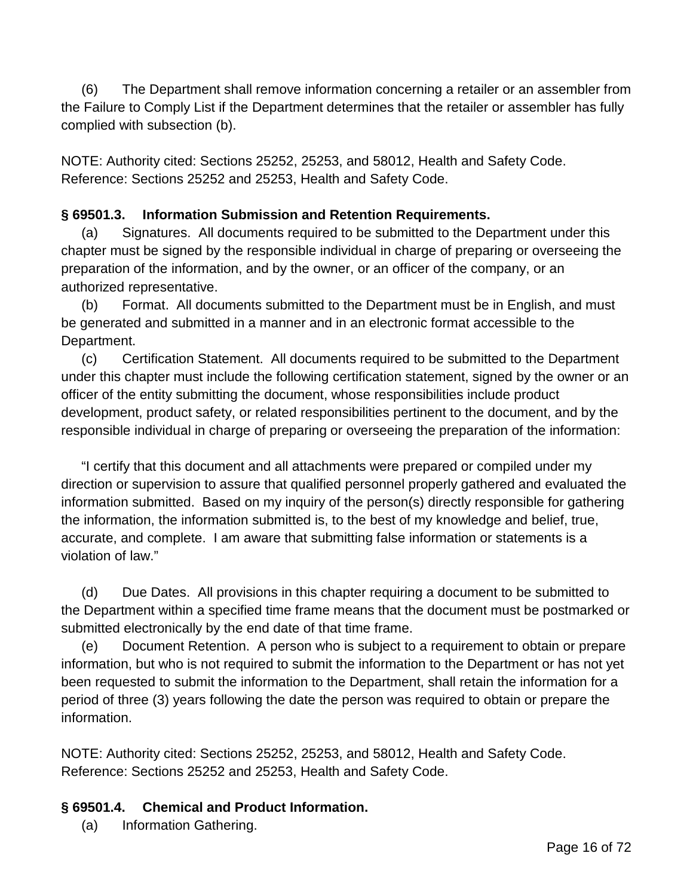(6) The Department shall remove information concerning a retailer or an assembler from the Failure to Comply List if the Department determines that the retailer or assembler has fully complied with subsection (b).

NOTE: Authority cited: Sections 25252, 25253, and 58012, Health and Safety Code. Reference: Sections 25252 and 25253, Health and Safety Code.

## **§ 69501.3. Information Submission and Retention Requirements.**

(a) Signatures. All documents required to be submitted to the Department under this chapter must be signed by the responsible individual in charge of preparing or overseeing the preparation of the information, and by the owner, or an officer of the company, or an authorized representative.

(b) Format. All documents submitted to the Department must be in English, and must be generated and submitted in a manner and in an electronic format accessible to the Department.

(c) Certification Statement. All documents required to be submitted to the Department under this chapter must include the following certification statement, signed by the owner or an officer of the entity submitting the document, whose responsibilities include product development, product safety, or related responsibilities pertinent to the document, and by the responsible individual in charge of preparing or overseeing the preparation of the information:

"I certify that this document and all attachments were prepared or compiled under my direction or supervision to assure that qualified personnel properly gathered and evaluated the information submitted. Based on my inquiry of the person(s) directly responsible for gathering the information, the information submitted is, to the best of my knowledge and belief, true, accurate, and complete. I am aware that submitting false information or statements is a violation of law."

(d) Due Dates. All provisions in this chapter requiring a document to be submitted to the Department within a specified time frame means that the document must be postmarked or submitted electronically by the end date of that time frame.

(e) Document Retention. A person who is subject to a requirement to obtain or prepare information, but who is not required to submit the information to the Department or has not yet been requested to submit the information to the Department, shall retain the information for a period of three (3) years following the date the person was required to obtain or prepare the information.

NOTE: Authority cited: Sections 25252, 25253, and 58012, Health and Safety Code. Reference: Sections 25252 and 25253, Health and Safety Code.

## **§ 69501.4. Chemical and Product Information.**

(a) Information Gathering.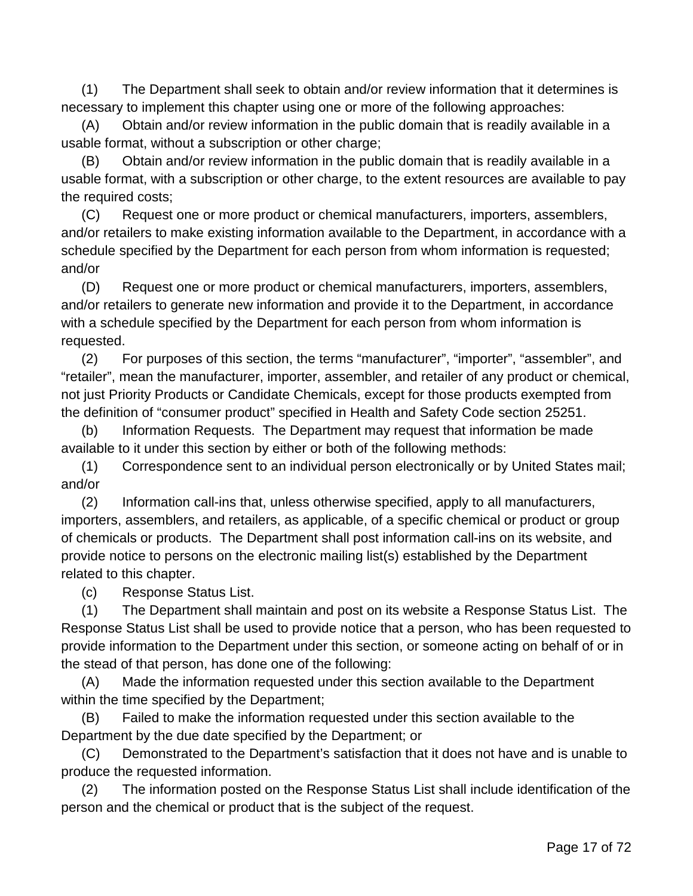(1) The Department shall seek to obtain and/or review information that it determines is necessary to implement this chapter using one or more of the following approaches:

(A) Obtain and/or review information in the public domain that is readily available in a usable format, without a subscription or other charge;

(B) Obtain and/or review information in the public domain that is readily available in a usable format, with a subscription or other charge, to the extent resources are available to pay the required costs;

(C) Request one or more product or chemical manufacturers, importers, assemblers, and/or retailers to make existing information available to the Department, in accordance with a schedule specified by the Department for each person from whom information is requested; and/or

(D) Request one or more product or chemical manufacturers, importers, assemblers, and/or retailers to generate new information and provide it to the Department, in accordance with a schedule specified by the Department for each person from whom information is requested.

(2) For purposes of this section, the terms "manufacturer", "importer", "assembler", and "retailer", mean the manufacturer, importer, assembler, and retailer of any product or chemical, not just Priority Products or Candidate Chemicals, except for those products exempted from the definition of "consumer product" specified in Health and Safety Code section 25251.

(b) Information Requests. The Department may request that information be made available to it under this section by either or both of the following methods:

(1) Correspondence sent to an individual person electronically or by United States mail; and/or

(2) Information call-ins that, unless otherwise specified, apply to all manufacturers, importers, assemblers, and retailers, as applicable, of a specific chemical or product or group of chemicals or products. The Department shall post information call-ins on its website, and provide notice to persons on the electronic mailing list(s) established by the Department related to this chapter.

(c) Response Status List.

(1) The Department shall maintain and post on its website a Response Status List. The Response Status List shall be used to provide notice that a person, who has been requested to provide information to the Department under this section, or someone acting on behalf of or in the stead of that person, has done one of the following:

(A) Made the information requested under this section available to the Department within the time specified by the Department;

(B) Failed to make the information requested under this section available to the Department by the due date specified by the Department; or

(C) Demonstrated to the Department's satisfaction that it does not have and is unable to produce the requested information.

(2) The information posted on the Response Status List shall include identification of the person and the chemical or product that is the subject of the request.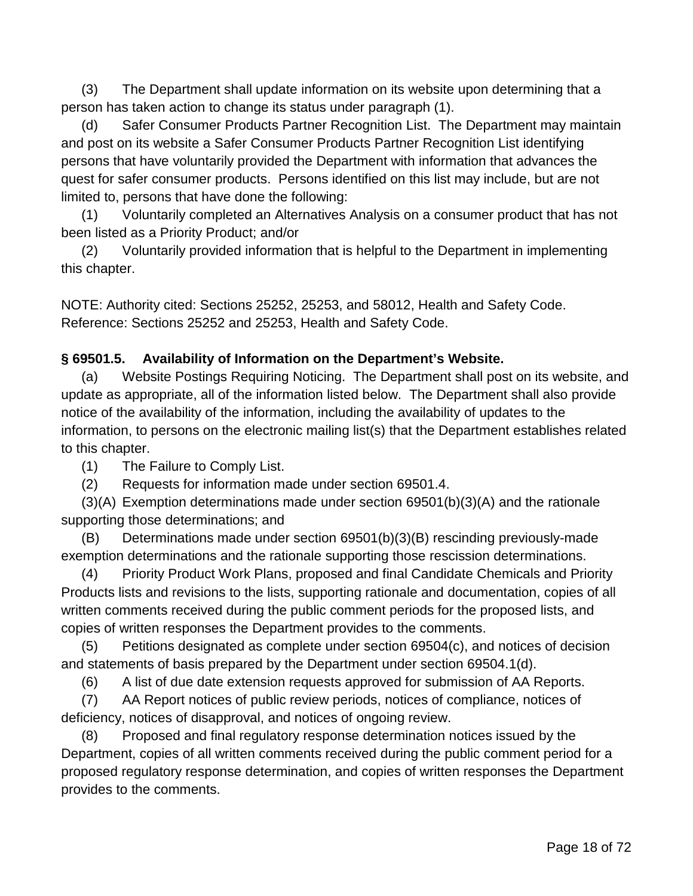(3) The Department shall update information on its website upon determining that a person has taken action to change its status under paragraph (1).

(d) Safer Consumer Products Partner Recognition List. The Department may maintain and post on its website a Safer Consumer Products Partner Recognition List identifying persons that have voluntarily provided the Department with information that advances the quest for safer consumer products. Persons identified on this list may include, but are not limited to, persons that have done the following:

(1) Voluntarily completed an Alternatives Analysis on a consumer product that has not been listed as a Priority Product; and/or

(2) Voluntarily provided information that is helpful to the Department in implementing this chapter.

NOTE: Authority cited: Sections 25252, 25253, and 58012, Health and Safety Code. Reference: Sections 25252 and 25253, Health and Safety Code.

## **§ 69501.5. Availability of Information on the Department's Website.**

(a) Website Postings Requiring Noticing. The Department shall post on its website, and update as appropriate, all of the information listed below. The Department shall also provide notice of the availability of the information, including the availability of updates to the information, to persons on the electronic mailing list(s) that the Department establishes related to this chapter.

(1) The Failure to Comply List.

(2) Requests for information made under section 69501.4.

(3)(A) Exemption determinations made under section 69501(b)(3)(A) and the rationale supporting those determinations; and

(B) Determinations made under section 69501(b)(3)(B) rescinding previously-made exemption determinations and the rationale supporting those rescission determinations.

(4) Priority Product Work Plans, proposed and final Candidate Chemicals and Priority Products lists and revisions to the lists, supporting rationale and documentation, copies of all written comments received during the public comment periods for the proposed lists, and copies of written responses the Department provides to the comments.

(5) Petitions designated as complete under section 69504(c), and notices of decision and statements of basis prepared by the Department under section 69504.1(d).

(6) A list of due date extension requests approved for submission of AA Reports.

(7) AA Report notices of public review periods, notices of compliance, notices of deficiency, notices of disapproval, and notices of ongoing review.

(8) Proposed and final regulatory response determination notices issued by the Department, copies of all written comments received during the public comment period for a proposed regulatory response determination, and copies of written responses the Department provides to the comments.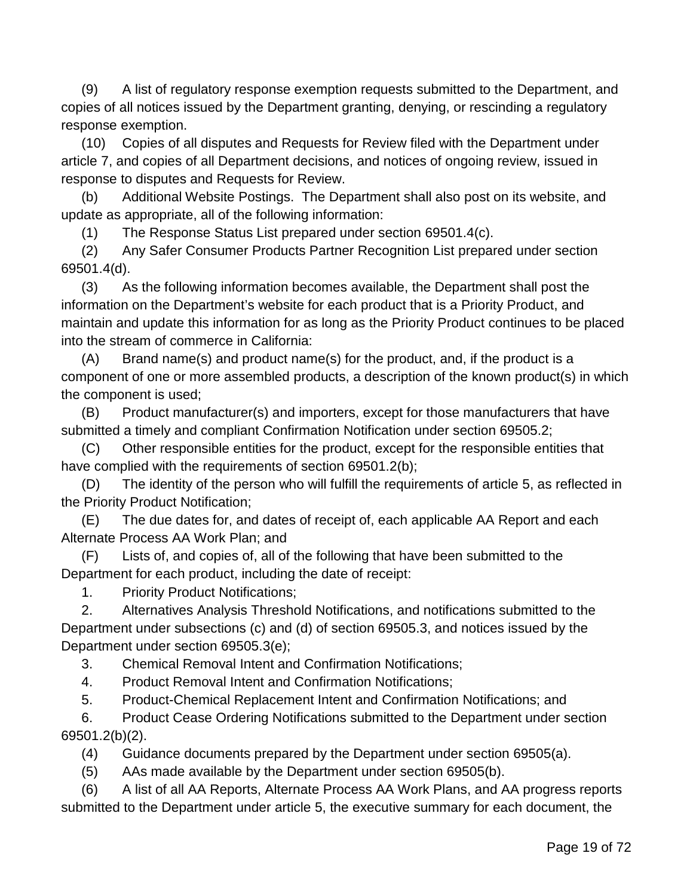(9) A list of regulatory response exemption requests submitted to the Department, and copies of all notices issued by the Department granting, denying, or rescinding a regulatory response exemption.

(10) Copies of all disputes and Requests for Review filed with the Department under article 7, and copies of all Department decisions, and notices of ongoing review, issued in response to disputes and Requests for Review.

(b) Additional Website Postings. The Department shall also post on its website, and update as appropriate, all of the following information:

(1) The Response Status List prepared under section 69501.4(c).

(2) Any Safer Consumer Products Partner Recognition List prepared under section 69501.4(d).

(3) As the following information becomes available, the Department shall post the information on the Department's website for each product that is a Priority Product, and maintain and update this information for as long as the Priority Product continues to be placed into the stream of commerce in California:

(A) Brand name(s) and product name(s) for the product, and, if the product is a component of one or more assembled products, a description of the known product(s) in which the component is used;

(B) Product manufacturer(s) and importers, except for those manufacturers that have submitted a timely and compliant Confirmation Notification under section 69505.2;

(C) Other responsible entities for the product, except for the responsible entities that have complied with the requirements of section 69501.2(b);

(D) The identity of the person who will fulfill the requirements of article 5, as reflected in the Priority Product Notification;

(E) The due dates for, and dates of receipt of, each applicable AA Report and each Alternate Process AA Work Plan; and

(F) Lists of, and copies of, all of the following that have been submitted to the Department for each product, including the date of receipt:

1. Priority Product Notifications;

2. Alternatives Analysis Threshold Notifications, and notifications submitted to the Department under subsections (c) and (d) of section 69505.3, and notices issued by the Department under section 69505.3(e);

3. Chemical Removal Intent and Confirmation Notifications;

4. Product Removal Intent and Confirmation Notifications;

5. Product-Chemical Replacement Intent and Confirmation Notifications; and

6. Product Cease Ordering Notifications submitted to the Department under section 69501.2(b)(2).

(4) Guidance documents prepared by the Department under section 69505(a).

(5) AAs made available by the Department under section 69505(b).

(6) A list of all AA Reports, Alternate Process AA Work Plans, and AA progress reports submitted to the Department under article 5, the executive summary for each document, the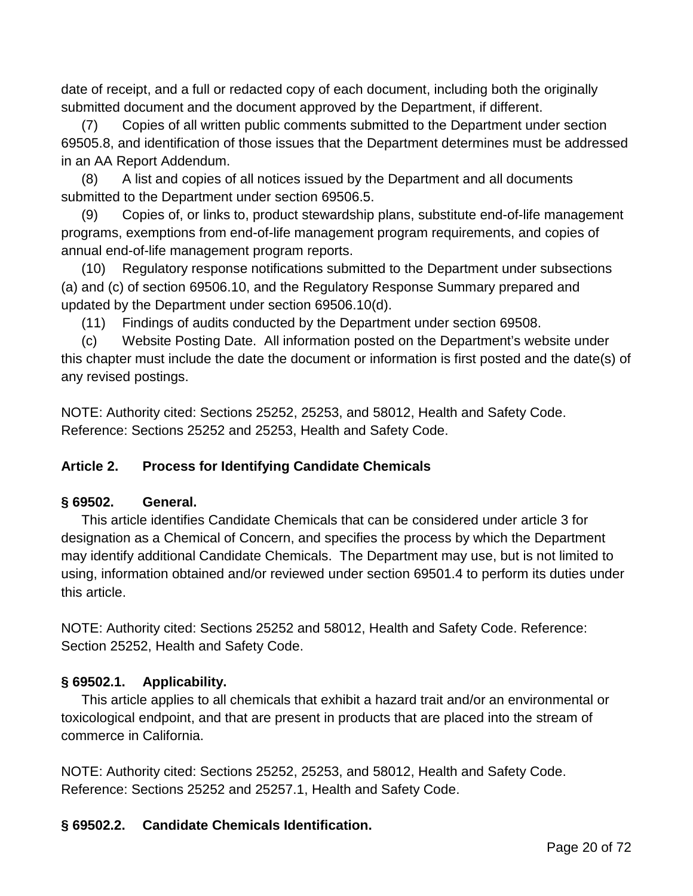date of receipt, and a full or redacted copy of each document, including both the originally submitted document and the document approved by the Department, if different.

(7) Copies of all written public comments submitted to the Department under section 69505.8, and identification of those issues that the Department determines must be addressed in an AA Report Addendum.

(8) A list and copies of all notices issued by the Department and all documents submitted to the Department under section 69506.5.

(9) Copies of, or links to, product stewardship plans, substitute end-of-life management programs, exemptions from end-of-life management program requirements, and copies of annual end-of-life management program reports.

(10) Regulatory response notifications submitted to the Department under subsections (a) and (c) of section 69506.10, and the Regulatory Response Summary prepared and updated by the Department under section 69506.10(d).

(11) Findings of audits conducted by the Department under section 69508.

(c) Website Posting Date. All information posted on the Department's website under this chapter must include the date the document or information is first posted and the date(s) of any revised postings.

NOTE: Authority cited: Sections 25252, 25253, and 58012, Health and Safety Code. Reference: Sections 25252 and 25253, Health and Safety Code.

## **Article 2. Process for Identifying Candidate Chemicals**

## **§ 69502. General.**

This article identifies Candidate Chemicals that can be considered under article 3 for designation as a Chemical of Concern, and specifies the process by which the Department may identify additional Candidate Chemicals. The Department may use, but is not limited to using, information obtained and/or reviewed under section 69501.4 to perform its duties under this article.

NOTE: Authority cited: Sections 25252 and 58012, Health and Safety Code. Reference: Section 25252, Health and Safety Code.

# **§ 69502.1. Applicability.**

This article applies to all chemicals that exhibit a hazard trait and/or an environmental or toxicological endpoint, and that are present in products that are placed into the stream of commerce in California.

NOTE: Authority cited: Sections 25252, 25253, and 58012, Health and Safety Code. Reference: Sections 25252 and 25257.1, Health and Safety Code.

## **§ 69502.2. Candidate Chemicals Identification.**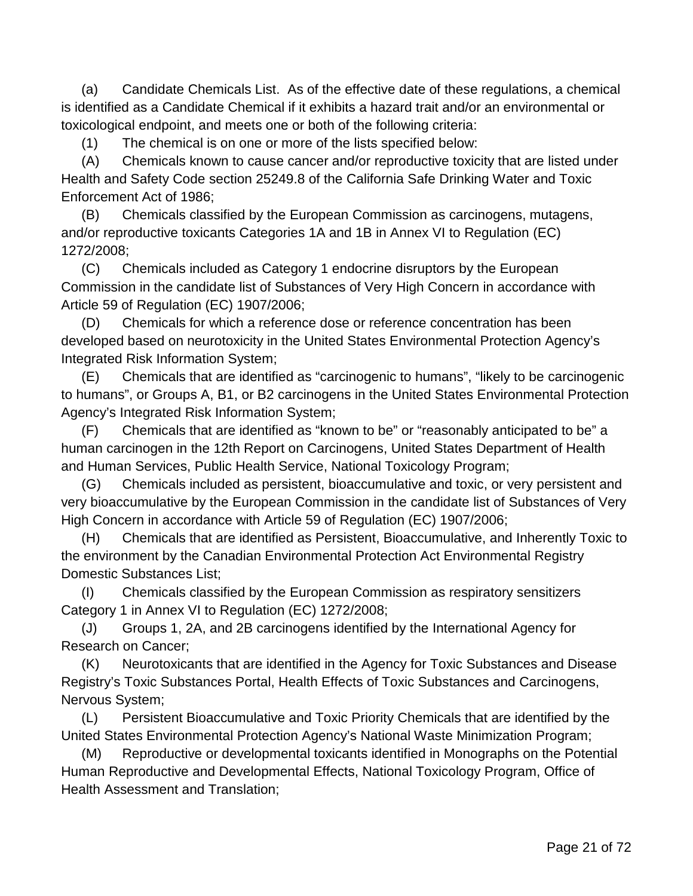(a) Candidate Chemicals List. As of the effective date of these regulations, a chemical is identified as a Candidate Chemical if it exhibits a hazard trait and/or an environmental or toxicological endpoint, and meets one or both of the following criteria:

(1) The chemical is on one or more of the lists specified below:

(A) Chemicals known to cause cancer and/or reproductive toxicity that are listed under Health and Safety Code section 25249.8 of the California Safe Drinking Water and Toxic Enforcement Act of 1986;

(B) Chemicals classified by the European Commission as carcinogens, mutagens, and/or reproductive toxicants Categories 1A and 1B in Annex VI to Regulation (EC) 1272/2008;

(C) Chemicals included as Category 1 endocrine disruptors by the European Commission in the candidate list of Substances of Very High Concern in accordance with Article 59 of Regulation (EC) 1907/2006;

(D) Chemicals for which a reference dose or reference concentration has been developed based on neurotoxicity in the United States Environmental Protection Agency's Integrated Risk Information System;

(E) Chemicals that are identified as "carcinogenic to humans", "likely to be carcinogenic to humans", or Groups A, B1, or B2 carcinogens in the United States Environmental Protection Agency's Integrated Risk Information System;

(F) Chemicals that are identified as "known to be" or "reasonably anticipated to be" a human carcinogen in the 12th Report on Carcinogens, United States Department of Health and Human Services, Public Health Service, National Toxicology Program;

(G) Chemicals included as persistent, bioaccumulative and toxic, or very persistent and very bioaccumulative by the European Commission in the candidate list of Substances of Very High Concern in accordance with Article 59 of Regulation (EC) 1907/2006;

(H) Chemicals that are identified as Persistent, Bioaccumulative, and Inherently Toxic to the environment by the Canadian Environmental Protection Act Environmental Registry Domestic Substances List;

(I) Chemicals classified by the European Commission as respiratory sensitizers Category 1 in Annex VI to Regulation (EC) 1272/2008;

(J) Groups 1, 2A, and 2B carcinogens identified by the International Agency for Research on Cancer;

(K) Neurotoxicants that are identified in the Agency for Toxic Substances and Disease Registry's Toxic Substances Portal, Health Effects of Toxic Substances and Carcinogens, Nervous System;

(L) Persistent Bioaccumulative and Toxic Priority Chemicals that are identified by the United States Environmental Protection Agency's National Waste Minimization Program;

(M) Reproductive or developmental toxicants identified in Monographs on the Potential Human Reproductive and Developmental Effects, National Toxicology Program, Office of Health Assessment and Translation;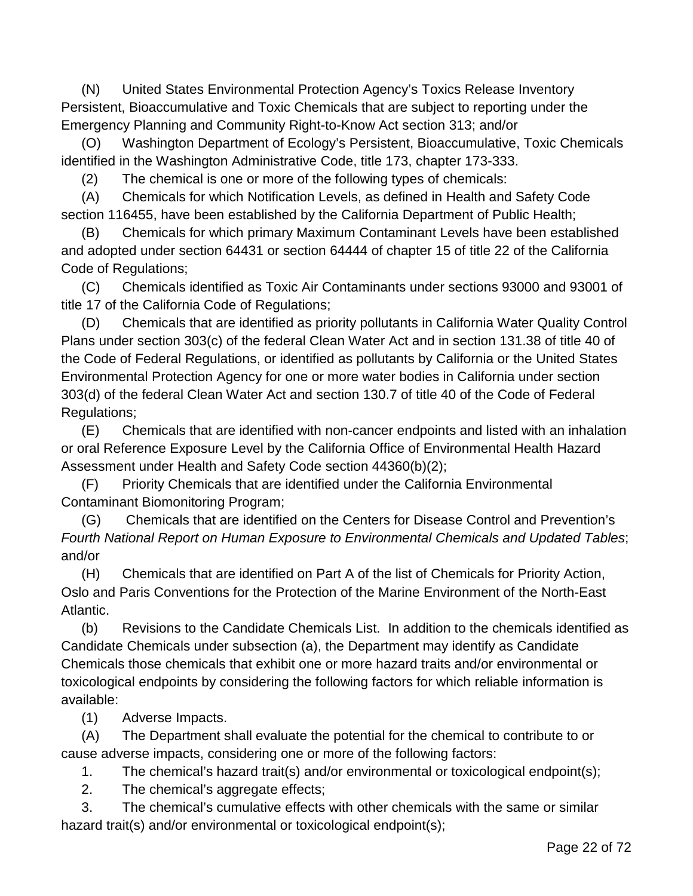(N) United States Environmental Protection Agency's Toxics Release Inventory Persistent, Bioaccumulative and Toxic Chemicals that are subject to reporting under the Emergency Planning and Community Right-to-Know Act section 313; and/or

(O) Washington Department of Ecology's Persistent, Bioaccumulative, Toxic Chemicals identified in the Washington Administrative Code, title 173, chapter 173-333.

(2) The chemical is one or more of the following types of chemicals:

(A) Chemicals for which Notification Levels, as defined in Health and Safety Code section 116455, have been established by the California Department of Public Health;

(B) Chemicals for which primary Maximum Contaminant Levels have been established and adopted under section 64431 or section 64444 of chapter 15 of title 22 of the California Code of Regulations;

(C) Chemicals identified as Toxic Air Contaminants under sections 93000 and 93001 of title 17 of the California Code of Regulations;

(D) Chemicals that are identified as priority pollutants in California Water Quality Control Plans under section 303(c) of the federal Clean Water Act and in section 131.38 of title 40 of the Code of Federal Regulations, or identified as pollutants by California or the United States Environmental Protection Agency for one or more water bodies in California under section 303(d) of the federal Clean Water Act and section 130.7 of title 40 of the Code of Federal Regulations;

(E) Chemicals that are identified with non-cancer endpoints and listed with an inhalation or oral Reference Exposure Level by the California Office of Environmental Health Hazard Assessment under Health and Safety Code section 44360(b)(2);

(F) Priority Chemicals that are identified under the California Environmental Contaminant Biomonitoring Program;

(G) Chemicals that are identified on the Centers for Disease Control and Prevention's *Fourth National Report on Human Exposure to Environmental Chemicals and Updated Tables*; and/or

(H) Chemicals that are identified on Part A of the list of Chemicals for Priority Action, Oslo and Paris Conventions for the Protection of the Marine Environment of the North-East Atlantic.

(b) Revisions to the Candidate Chemicals List. In addition to the chemicals identified as Candidate Chemicals under subsection (a), the Department may identify as Candidate Chemicals those chemicals that exhibit one or more hazard traits and/or environmental or toxicological endpoints by considering the following factors for which reliable information is available:

(1) Adverse Impacts.

(A) The Department shall evaluate the potential for the chemical to contribute to or cause adverse impacts, considering one or more of the following factors:

1. The chemical's hazard trait(s) and/or environmental or toxicological endpoint(s);

2. The chemical's aggregate effects;

3. The chemical's cumulative effects with other chemicals with the same or similar hazard trait(s) and/or environmental or toxicological endpoint(s);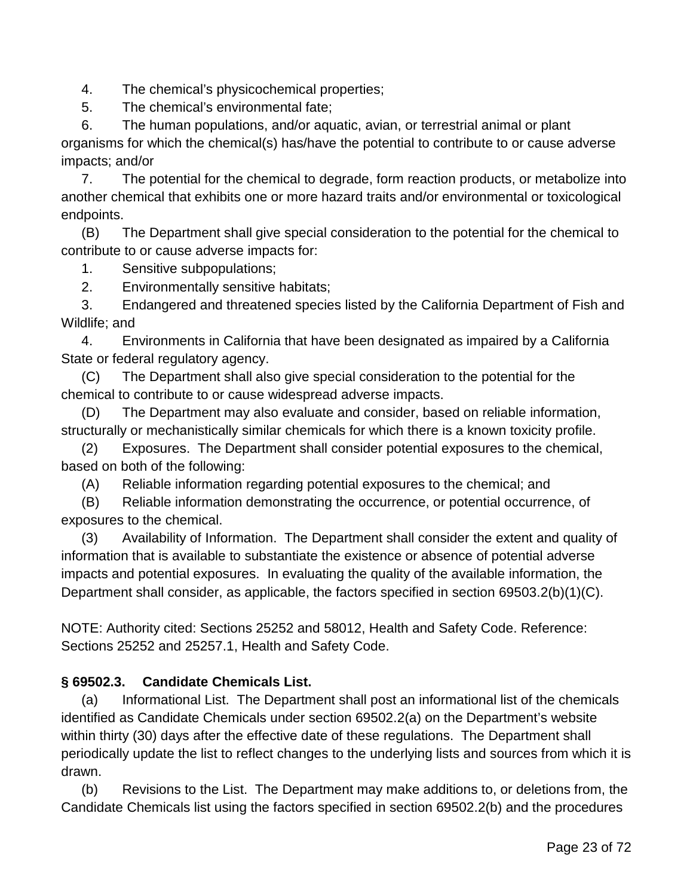4. The chemical's physicochemical properties;

5. The chemical's environmental fate;

6. The human populations, and/or aquatic, avian, or terrestrial animal or plant organisms for which the chemical(s) has/have the potential to contribute to or cause adverse impacts; and/or

7. The potential for the chemical to degrade, form reaction products, or metabolize into another chemical that exhibits one or more hazard traits and/or environmental or toxicological endpoints.

(B) The Department shall give special consideration to the potential for the chemical to contribute to or cause adverse impacts for:

1. Sensitive subpopulations;

2. Environmentally sensitive habitats;

3. Endangered and threatened species listed by the California Department of Fish and Wildlife; and

4. Environments in California that have been designated as impaired by a California State or federal regulatory agency.

(C) The Department shall also give special consideration to the potential for the chemical to contribute to or cause widespread adverse impacts.

(D) The Department may also evaluate and consider, based on reliable information, structurally or mechanistically similar chemicals for which there is a known toxicity profile.

(2) Exposures. The Department shall consider potential exposures to the chemical, based on both of the following:

(A) Reliable information regarding potential exposures to the chemical; and

(B) Reliable information demonstrating the occurrence, or potential occurrence, of exposures to the chemical.

(3) Availability of Information. The Department shall consider the extent and quality of information that is available to substantiate the existence or absence of potential adverse impacts and potential exposures. In evaluating the quality of the available information, the Department shall consider, as applicable, the factors specified in section 69503.2(b)(1)(C).

NOTE: Authority cited: Sections 25252 and 58012, Health and Safety Code. Reference: Sections 25252 and 25257.1, Health and Safety Code.

# **§ 69502.3. Candidate Chemicals List.**

(a) Informational List. The Department shall post an informational list of the chemicals identified as Candidate Chemicals under section 69502.2(a) on the Department's website within thirty (30) days after the effective date of these regulations. The Department shall periodically update the list to reflect changes to the underlying lists and sources from which it is drawn.

(b) Revisions to the List. The Department may make additions to, or deletions from, the Candidate Chemicals list using the factors specified in section 69502.2(b) and the procedures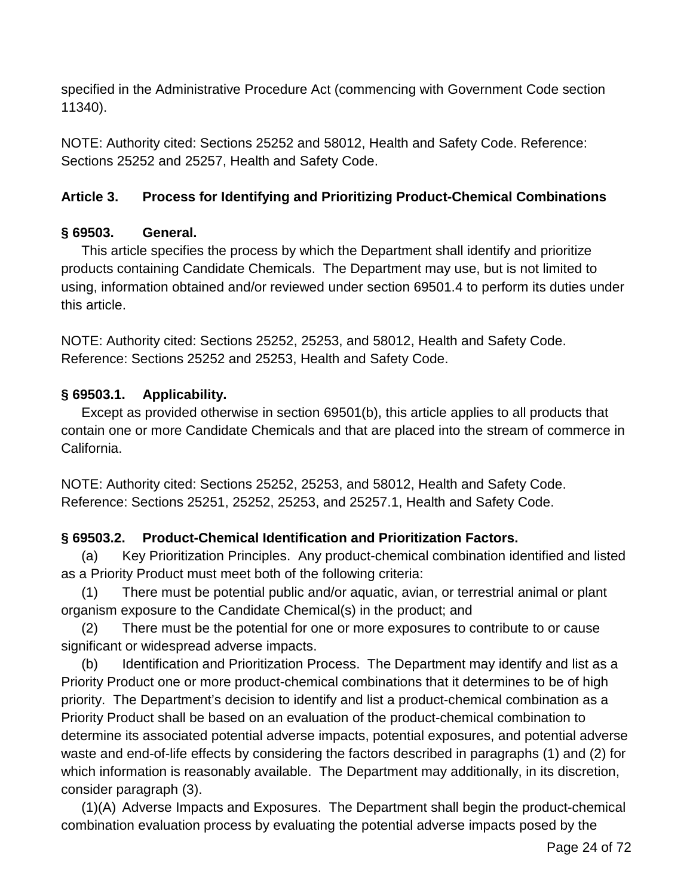specified in the Administrative Procedure Act (commencing with Government Code section 11340).

NOTE: Authority cited: Sections 25252 and 58012, Health and Safety Code. Reference: Sections 25252 and 25257, Health and Safety Code.

## **Article 3. Process for Identifying and Prioritizing Product-Chemical Combinations**

## **§ 69503. General.**

This article specifies the process by which the Department shall identify and prioritize products containing Candidate Chemicals. The Department may use, but is not limited to using, information obtained and/or reviewed under section 69501.4 to perform its duties under this article.

NOTE: Authority cited: Sections 25252, 25253, and 58012, Health and Safety Code. Reference: Sections 25252 and 25253, Health and Safety Code.

## **§ 69503.1. Applicability.**

Except as provided otherwise in section 69501(b), this article applies to all products that contain one or more Candidate Chemicals and that are placed into the stream of commerce in California.

NOTE: Authority cited: Sections 25252, 25253, and 58012, Health and Safety Code. Reference: Sections 25251, 25252, 25253, and 25257.1, Health and Safety Code.

# **§ 69503.2. Product-Chemical Identification and Prioritization Factors.**

(a) Key Prioritization Principles. Any product-chemical combination identified and listed as a Priority Product must meet both of the following criteria:

(1) There must be potential public and/or aquatic, avian, or terrestrial animal or plant organism exposure to the Candidate Chemical(s) in the product; and

(2) There must be the potential for one or more exposures to contribute to or cause significant or widespread adverse impacts.

(b) Identification and Prioritization Process. The Department may identify and list as a Priority Product one or more product-chemical combinations that it determines to be of high priority. The Department's decision to identify and list a product-chemical combination as a Priority Product shall be based on an evaluation of the product-chemical combination to determine its associated potential adverse impacts, potential exposures, and potential adverse waste and end-of-life effects by considering the factors described in paragraphs (1) and (2) for which information is reasonably available. The Department may additionally, in its discretion, consider paragraph (3).

(1)(A) Adverse Impacts and Exposures. The Department shall begin the product-chemical combination evaluation process by evaluating the potential adverse impacts posed by the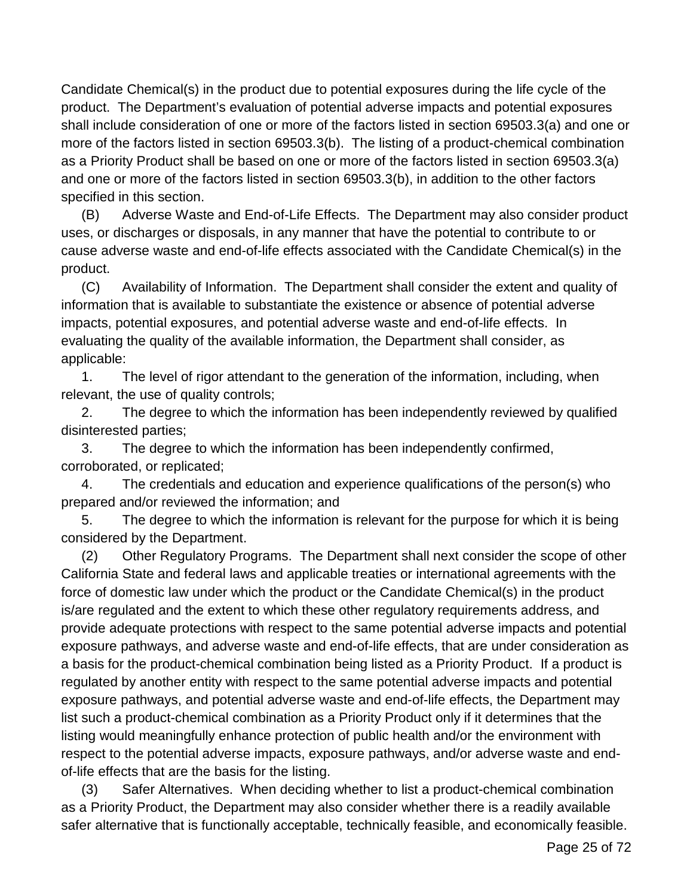Candidate Chemical(s) in the product due to potential exposures during the life cycle of the product. The Department's evaluation of potential adverse impacts and potential exposures shall include consideration of one or more of the factors listed in section 69503.3(a) and one or more of the factors listed in section 69503.3(b). The listing of a product-chemical combination as a Priority Product shall be based on one or more of the factors listed in section 69503.3(a) and one or more of the factors listed in section 69503.3(b), in addition to the other factors specified in this section.

(B) Adverse Waste and End-of-Life Effects. The Department may also consider product uses, or discharges or disposals, in any manner that have the potential to contribute to or cause adverse waste and end-of-life effects associated with the Candidate Chemical(s) in the product.

(C) Availability of Information. The Department shall consider the extent and quality of information that is available to substantiate the existence or absence of potential adverse impacts, potential exposures, and potential adverse waste and end-of-life effects. In evaluating the quality of the available information, the Department shall consider, as applicable:

1. The level of rigor attendant to the generation of the information, including, when relevant, the use of quality controls;

2. The degree to which the information has been independently reviewed by qualified disinterested parties;

3. The degree to which the information has been independently confirmed, corroborated, or replicated;

4. The credentials and education and experience qualifications of the person(s) who prepared and/or reviewed the information; and

5. The degree to which the information is relevant for the purpose for which it is being considered by the Department.

(2) Other Regulatory Programs. The Department shall next consider the scope of other California State and federal laws and applicable treaties or international agreements with the force of domestic law under which the product or the Candidate Chemical(s) in the product is/are regulated and the extent to which these other regulatory requirements address, and provide adequate protections with respect to the same potential adverse impacts and potential exposure pathways, and adverse waste and end-of-life effects, that are under consideration as a basis for the product-chemical combination being listed as a Priority Product. If a product is regulated by another entity with respect to the same potential adverse impacts and potential exposure pathways, and potential adverse waste and end-of-life effects, the Department may list such a product-chemical combination as a Priority Product only if it determines that the listing would meaningfully enhance protection of public health and/or the environment with respect to the potential adverse impacts, exposure pathways, and/or adverse waste and endof-life effects that are the basis for the listing.

(3) Safer Alternatives. When deciding whether to list a product-chemical combination as a Priority Product, the Department may also consider whether there is a readily available safer alternative that is functionally acceptable, technically feasible, and economically feasible.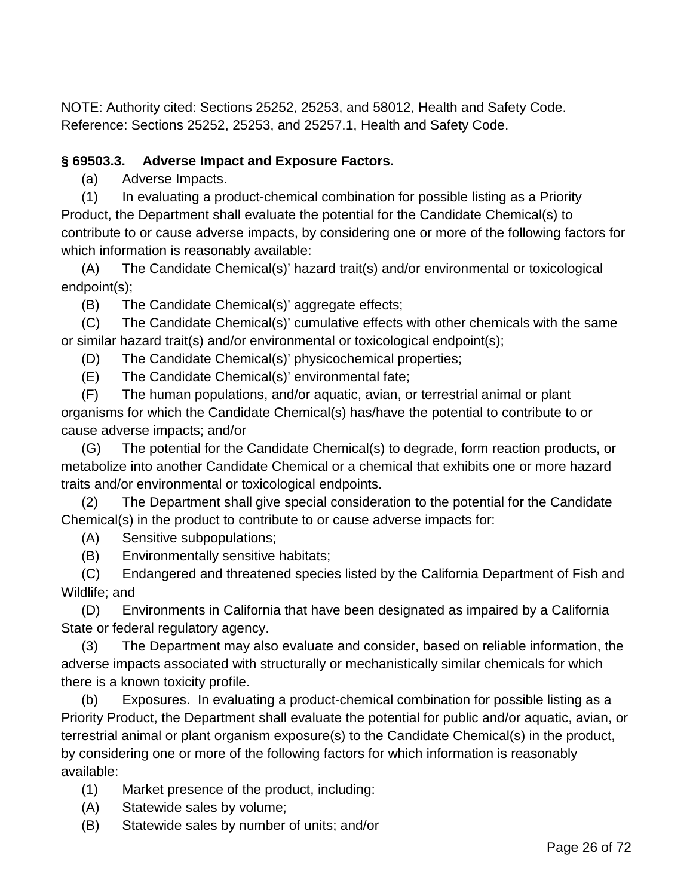NOTE: Authority cited: Sections 25252, 25253, and 58012, Health and Safety Code. Reference: Sections 25252, 25253, and 25257.1, Health and Safety Code.

### **§ 69503.3. Adverse Impact and Exposure Factors.**

(a) Adverse Impacts.

(1) In evaluating a product-chemical combination for possible listing as a Priority Product, the Department shall evaluate the potential for the Candidate Chemical(s) to contribute to or cause adverse impacts, by considering one or more of the following factors for which information is reasonably available:

(A) The Candidate Chemical(s)' hazard trait(s) and/or environmental or toxicological endpoint(s);

(B) The Candidate Chemical(s)' aggregate effects;

(C) The Candidate Chemical(s)' cumulative effects with other chemicals with the same or similar hazard trait(s) and/or environmental or toxicological endpoint(s);

(D) The Candidate Chemical(s)' physicochemical properties;

(E) The Candidate Chemical(s)' environmental fate;

(F) The human populations, and/or aquatic, avian, or terrestrial animal or plant organisms for which the Candidate Chemical(s) has/have the potential to contribute to or cause adverse impacts; and/or

(G) The potential for the Candidate Chemical(s) to degrade, form reaction products, or metabolize into another Candidate Chemical or a chemical that exhibits one or more hazard traits and/or environmental or toxicological endpoints.

(2) The Department shall give special consideration to the potential for the Candidate Chemical(s) in the product to contribute to or cause adverse impacts for:

(A) Sensitive subpopulations;

(B) Environmentally sensitive habitats;

(C) Endangered and threatened species listed by the California Department of Fish and Wildlife; and

(D) Environments in California that have been designated as impaired by a California State or federal regulatory agency.

(3) The Department may also evaluate and consider, based on reliable information, the adverse impacts associated with structurally or mechanistically similar chemicals for which there is a known toxicity profile.

(b) Exposures. In evaluating a product-chemical combination for possible listing as a Priority Product, the Department shall evaluate the potential for public and/or aquatic, avian, or terrestrial animal or plant organism exposure(s) to the Candidate Chemical(s) in the product, by considering one or more of the following factors for which information is reasonably available:

- (1) Market presence of the product, including:
- (A) Statewide sales by volume;
- (B) Statewide sales by number of units; and/or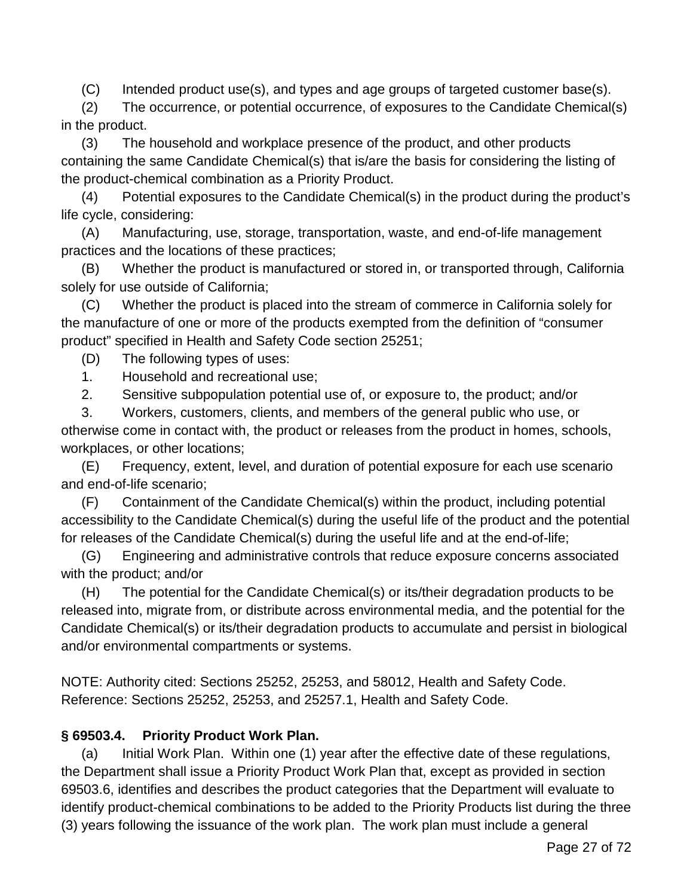(C) Intended product use(s), and types and age groups of targeted customer base(s).

(2) The occurrence, or potential occurrence, of exposures to the Candidate Chemical(s) in the product.

(3) The household and workplace presence of the product, and other products containing the same Candidate Chemical(s) that is/are the basis for considering the listing of the product-chemical combination as a Priority Product.

(4) Potential exposures to the Candidate Chemical(s) in the product during the product's life cycle, considering:

(A) Manufacturing, use, storage, transportation, waste, and end-of-life management practices and the locations of these practices;

(B) Whether the product is manufactured or stored in, or transported through, California solely for use outside of California;

(C) Whether the product is placed into the stream of commerce in California solely for the manufacture of one or more of the products exempted from the definition of "consumer product" specified in Health and Safety Code section 25251;

(D) The following types of uses:

1. Household and recreational use;

2. Sensitive subpopulation potential use of, or exposure to, the product; and/or

3. Workers, customers, clients, and members of the general public who use, or otherwise come in contact with, the product or releases from the product in homes, schools, workplaces, or other locations;

(E) Frequency, extent, level, and duration of potential exposure for each use scenario and end-of-life scenario;

(F) Containment of the Candidate Chemical(s) within the product, including potential accessibility to the Candidate Chemical(s) during the useful life of the product and the potential for releases of the Candidate Chemical(s) during the useful life and at the end-of-life;

(G) Engineering and administrative controls that reduce exposure concerns associated with the product; and/or

(H) The potential for the Candidate Chemical(s) or its/their degradation products to be released into, migrate from, or distribute across environmental media, and the potential for the Candidate Chemical(s) or its/their degradation products to accumulate and persist in biological and/or environmental compartments or systems.

NOTE: Authority cited: Sections 25252, 25253, and 58012, Health and Safety Code. Reference: Sections 25252, 25253, and 25257.1, Health and Safety Code.

## **§ 69503.4. Priority Product Work Plan.**

(a) Initial Work Plan. Within one (1) year after the effective date of these regulations, the Department shall issue a Priority Product Work Plan that, except as provided in section 69503.6, identifies and describes the product categories that the Department will evaluate to identify product-chemical combinations to be added to the Priority Products list during the three (3) years following the issuance of the work plan. The work plan must include a general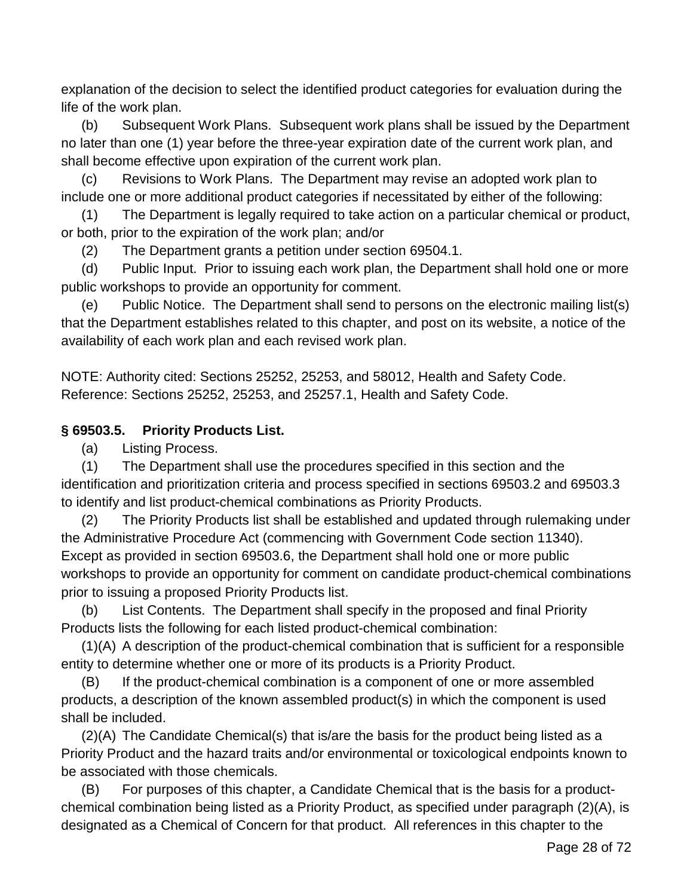explanation of the decision to select the identified product categories for evaluation during the life of the work plan.

(b) Subsequent Work Plans. Subsequent work plans shall be issued by the Department no later than one (1) year before the three-year expiration date of the current work plan, and shall become effective upon expiration of the current work plan.

(c) Revisions to Work Plans. The Department may revise an adopted work plan to include one or more additional product categories if necessitated by either of the following:

(1) The Department is legally required to take action on a particular chemical or product, or both, prior to the expiration of the work plan; and/or

(2) The Department grants a petition under section 69504.1.

(d) Public Input. Prior to issuing each work plan, the Department shall hold one or more public workshops to provide an opportunity for comment.

(e) Public Notice. The Department shall send to persons on the electronic mailing list(s) that the Department establishes related to this chapter, and post on its website, a notice of the availability of each work plan and each revised work plan.

NOTE: Authority cited: Sections 25252, 25253, and 58012, Health and Safety Code. Reference: Sections 25252, 25253, and 25257.1, Health and Safety Code.

## **§ 69503.5. Priority Products List.**

(a) Listing Process.

(1) The Department shall use the procedures specified in this section and the identification and prioritization criteria and process specified in sections 69503.2 and 69503.3 to identify and list product-chemical combinations as Priority Products.

(2) The Priority Products list shall be established and updated through rulemaking under the Administrative Procedure Act (commencing with Government Code section 11340). Except as provided in section 69503.6, the Department shall hold one or more public workshops to provide an opportunity for comment on candidate product-chemical combinations prior to issuing a proposed Priority Products list.

(b) List Contents. The Department shall specify in the proposed and final Priority Products lists the following for each listed product-chemical combination:

(1)(A) A description of the product-chemical combination that is sufficient for a responsible entity to determine whether one or more of its products is a Priority Product.

(B) If the product-chemical combination is a component of one or more assembled products, a description of the known assembled product(s) in which the component is used shall be included.

(2)(A) The Candidate Chemical(s) that is/are the basis for the product being listed as a Priority Product and the hazard traits and/or environmental or toxicological endpoints known to be associated with those chemicals.

(B) For purposes of this chapter, a Candidate Chemical that is the basis for a productchemical combination being listed as a Priority Product, as specified under paragraph (2)(A), is designated as a Chemical of Concern for that product. All references in this chapter to the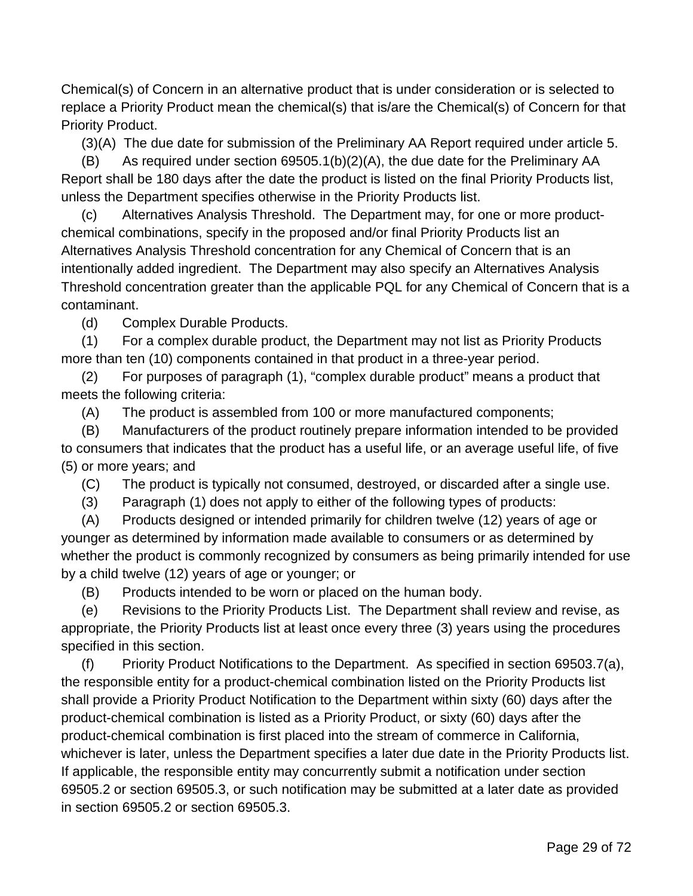Chemical(s) of Concern in an alternative product that is under consideration or is selected to replace a Priority Product mean the chemical(s) that is/are the Chemical(s) of Concern for that Priority Product.

(3)(A) The due date for submission of the Preliminary AA Report required under article 5.

(B) As required under section 69505.1(b)(2)(A), the due date for the Preliminary AA Report shall be 180 days after the date the product is listed on the final Priority Products list, unless the Department specifies otherwise in the Priority Products list.

(c) Alternatives Analysis Threshold. The Department may, for one or more productchemical combinations, specify in the proposed and/or final Priority Products list an Alternatives Analysis Threshold concentration for any Chemical of Concern that is an intentionally added ingredient. The Department may also specify an Alternatives Analysis Threshold concentration greater than the applicable PQL for any Chemical of Concern that is a contaminant.

(d) Complex Durable Products.

(1) For a complex durable product, the Department may not list as Priority Products more than ten (10) components contained in that product in a three-year period.

(2) For purposes of paragraph (1), "complex durable product" means a product that meets the following criteria:

(A) The product is assembled from 100 or more manufactured components;

(B) Manufacturers of the product routinely prepare information intended to be provided to consumers that indicates that the product has a useful life, or an average useful life, of five (5) or more years; and

(C) The product is typically not consumed, destroyed, or discarded after a single use.

(3) Paragraph (1) does not apply to either of the following types of products:

(A) Products designed or intended primarily for children twelve (12) years of age or younger as determined by information made available to consumers or as determined by whether the product is commonly recognized by consumers as being primarily intended for use by a child twelve (12) years of age or younger; or

(B) Products intended to be worn or placed on the human body.

(e) Revisions to the Priority Products List. The Department shall review and revise, as appropriate, the Priority Products list at least once every three (3) years using the procedures specified in this section.

(f) Priority Product Notifications to the Department. As specified in section 69503.7(a), the responsible entity for a product-chemical combination listed on the Priority Products list shall provide a Priority Product Notification to the Department within sixty (60) days after the product-chemical combination is listed as a Priority Product, or sixty (60) days after the product-chemical combination is first placed into the stream of commerce in California, whichever is later, unless the Department specifies a later due date in the Priority Products list. If applicable, the responsible entity may concurrently submit a notification under section 69505.2 or section 69505.3, or such notification may be submitted at a later date as provided in section 69505.2 or section 69505.3.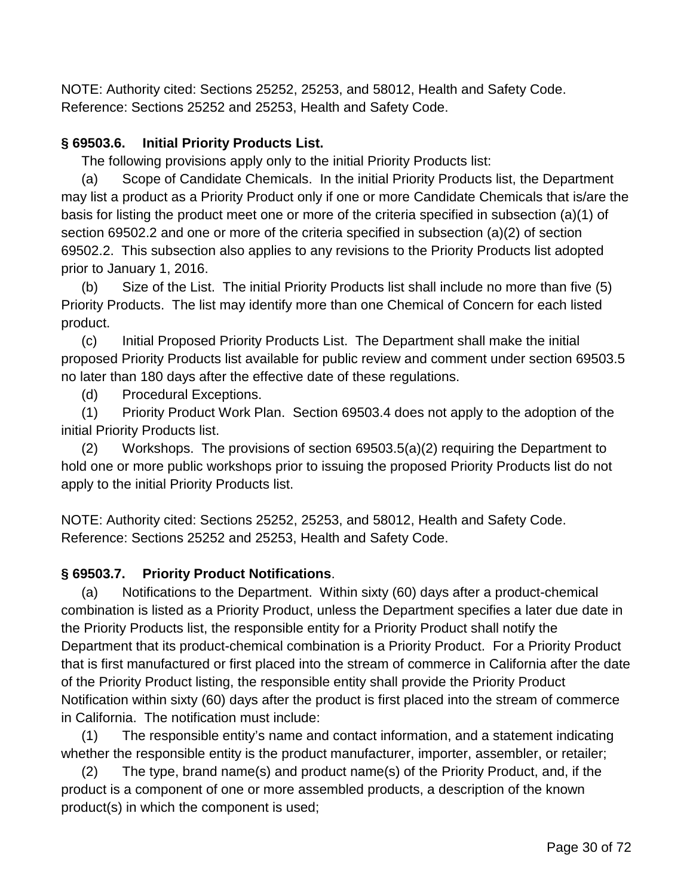NOTE: Authority cited: Sections 25252, 25253, and 58012, Health and Safety Code. Reference: Sections 25252 and 25253, Health and Safety Code.

## **§ 69503.6. Initial Priority Products List.**

The following provisions apply only to the initial Priority Products list:

(a) Scope of Candidate Chemicals. In the initial Priority Products list, the Department may list a product as a Priority Product only if one or more Candidate Chemicals that is/are the basis for listing the product meet one or more of the criteria specified in subsection (a)(1) of section 69502.2 and one or more of the criteria specified in subsection (a)(2) of section 69502.2. This subsection also applies to any revisions to the Priority Products list adopted prior to January 1, 2016.

(b) Size of the List. The initial Priority Products list shall include no more than five (5) Priority Products. The list may identify more than one Chemical of Concern for each listed product.

(c) Initial Proposed Priority Products List. The Department shall make the initial proposed Priority Products list available for public review and comment under section 69503.5 no later than 180 days after the effective date of these regulations.

(d) Procedural Exceptions.

(1) Priority Product Work Plan. Section 69503.4 does not apply to the adoption of the initial Priority Products list.

(2) Workshops. The provisions of section 69503.5(a)(2) requiring the Department to hold one or more public workshops prior to issuing the proposed Priority Products list do not apply to the initial Priority Products list.

NOTE: Authority cited: Sections 25252, 25253, and 58012, Health and Safety Code. Reference: Sections 25252 and 25253, Health and Safety Code.

## **§ 69503.7. Priority Product Notifications**.

(a) Notifications to the Department. Within sixty (60) days after a product-chemical combination is listed as a Priority Product, unless the Department specifies a later due date in the Priority Products list, the responsible entity for a Priority Product shall notify the Department that its product-chemical combination is a Priority Product. For a Priority Product that is first manufactured or first placed into the stream of commerce in California after the date of the Priority Product listing, the responsible entity shall provide the Priority Product Notification within sixty (60) days after the product is first placed into the stream of commerce in California. The notification must include:

(1) The responsible entity's name and contact information, and a statement indicating whether the responsible entity is the product manufacturer, importer, assembler, or retailer;

(2) The type, brand name(s) and product name(s) of the Priority Product, and, if the product is a component of one or more assembled products, a description of the known product(s) in which the component is used;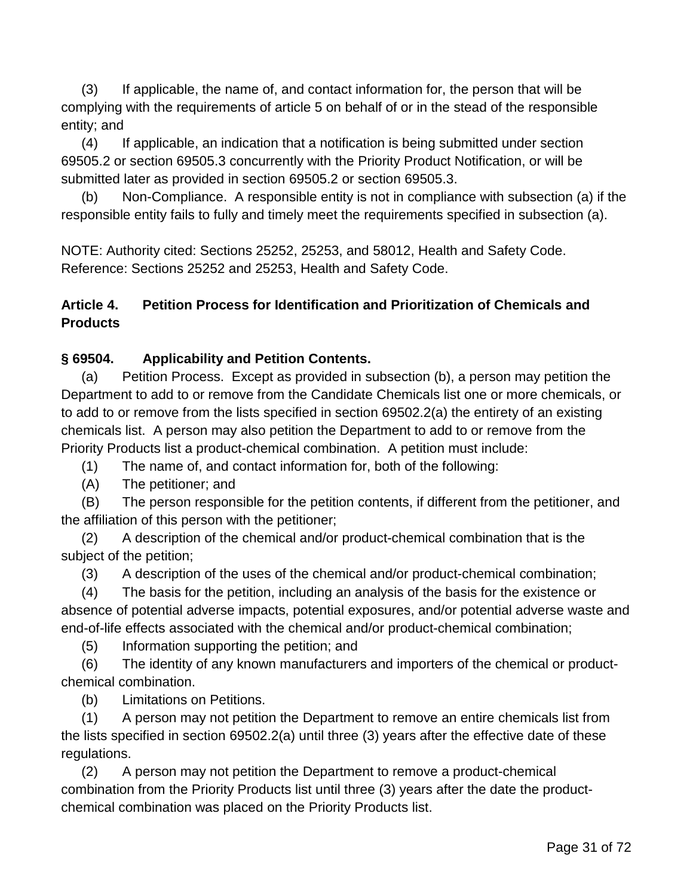(3) If applicable, the name of, and contact information for, the person that will be complying with the requirements of article 5 on behalf of or in the stead of the responsible entity; and

(4) If applicable, an indication that a notification is being submitted under section 69505.2 or section 69505.3 concurrently with the Priority Product Notification, or will be submitted later as provided in section 69505.2 or section 69505.3.

(b) Non-Compliance. A responsible entity is not in compliance with subsection (a) if the responsible entity fails to fully and timely meet the requirements specified in subsection (a).

NOTE: Authority cited: Sections 25252, 25253, and 58012, Health and Safety Code. Reference: Sections 25252 and 25253, Health and Safety Code.

## **Article 4. Petition Process for Identification and Prioritization of Chemicals and Products**

## **§ 69504. Applicability and Petition Contents.**

(a) Petition Process. Except as provided in subsection (b), a person may petition the Department to add to or remove from the Candidate Chemicals list one or more chemicals, or to add to or remove from the lists specified in section 69502.2(a) the entirety of an existing chemicals list. A person may also petition the Department to add to or remove from the Priority Products list a product-chemical combination. A petition must include:

(1) The name of, and contact information for, both of the following:

(A) The petitioner; and

(B) The person responsible for the petition contents, if different from the petitioner, and the affiliation of this person with the petitioner;

(2) A description of the chemical and/or product-chemical combination that is the subject of the petition;

(3) A description of the uses of the chemical and/or product-chemical combination;

(4) The basis for the petition, including an analysis of the basis for the existence or absence of potential adverse impacts, potential exposures, and/or potential adverse waste and end-of-life effects associated with the chemical and/or product-chemical combination;

(5) Information supporting the petition; and

(6) The identity of any known manufacturers and importers of the chemical or productchemical combination.

(b) Limitations on Petitions.

(1) A person may not petition the Department to remove an entire chemicals list from the lists specified in section 69502.2(a) until three (3) years after the effective date of these regulations.

(2) A person may not petition the Department to remove a product-chemical combination from the Priority Products list until three (3) years after the date the productchemical combination was placed on the Priority Products list.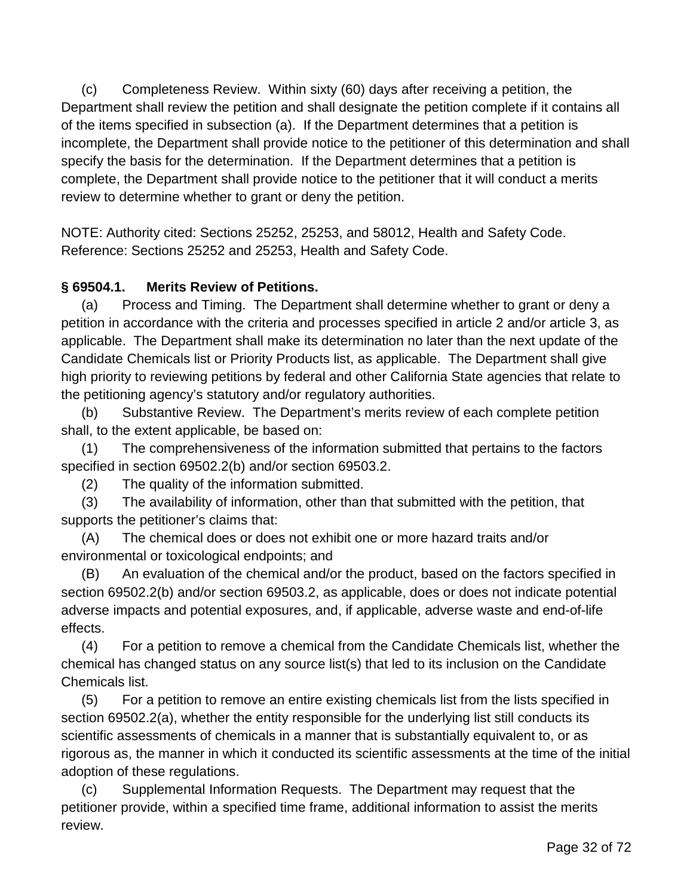(c) Completeness Review. Within sixty (60) days after receiving a petition, the Department shall review the petition and shall designate the petition complete if it contains all of the items specified in subsection (a). If the Department determines that a petition is incomplete, the Department shall provide notice to the petitioner of this determination and shall specify the basis for the determination. If the Department determines that a petition is complete, the Department shall provide notice to the petitioner that it will conduct a merits review to determine whether to grant or deny the petition.

NOTE: Authority cited: Sections 25252, 25253, and 58012, Health and Safety Code. Reference: Sections 25252 and 25253, Health and Safety Code.

## **§ 69504.1. Merits Review of Petitions.**

(a) Process and Timing. The Department shall determine whether to grant or deny a petition in accordance with the criteria and processes specified in article 2 and/or article 3, as applicable. The Department shall make its determination no later than the next update of the Candidate Chemicals list or Priority Products list, as applicable. The Department shall give high priority to reviewing petitions by federal and other California State agencies that relate to the petitioning agency's statutory and/or regulatory authorities.

(b) Substantive Review. The Department's merits review of each complete petition shall, to the extent applicable, be based on:

(1) The comprehensiveness of the information submitted that pertains to the factors specified in section 69502.2(b) and/or section 69503.2.

(2) The quality of the information submitted.

(3) The availability of information, other than that submitted with the petition, that supports the petitioner's claims that:

(A) The chemical does or does not exhibit one or more hazard traits and/or environmental or toxicological endpoints; and

(B) An evaluation of the chemical and/or the product, based on the factors specified in section 69502.2(b) and/or section 69503.2, as applicable, does or does not indicate potential adverse impacts and potential exposures, and, if applicable, adverse waste and end-of-life effects.

(4) For a petition to remove a chemical from the Candidate Chemicals list, whether the chemical has changed status on any source list(s) that led to its inclusion on the Candidate Chemicals list.

(5) For a petition to remove an entire existing chemicals list from the lists specified in section 69502.2(a), whether the entity responsible for the underlying list still conducts its scientific assessments of chemicals in a manner that is substantially equivalent to, or as rigorous as, the manner in which it conducted its scientific assessments at the time of the initial adoption of these regulations.

(c) Supplemental Information Requests. The Department may request that the petitioner provide, within a specified time frame, additional information to assist the merits review.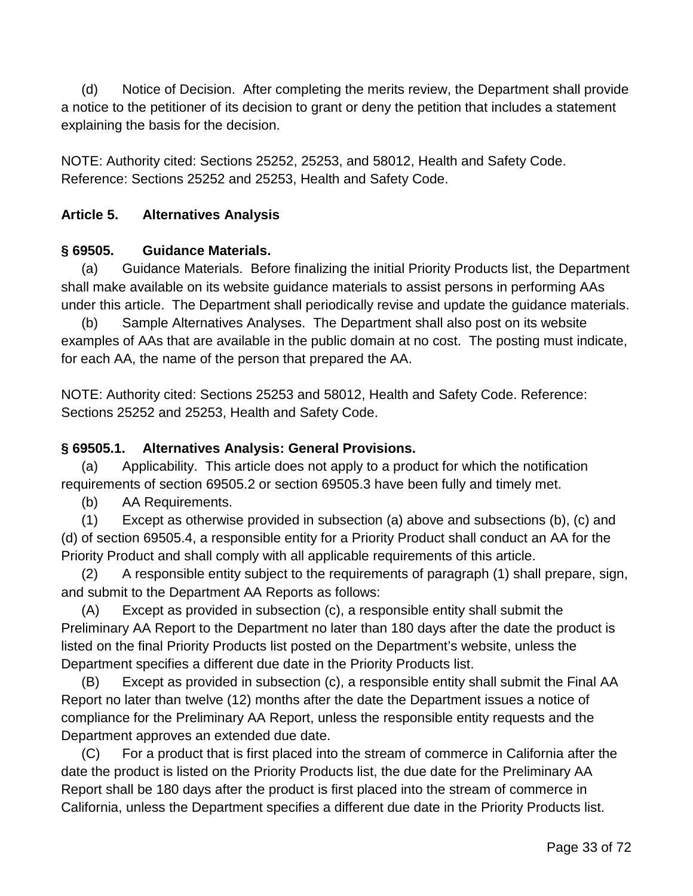(d) Notice of Decision. After completing the merits review, the Department shall provide a notice to the petitioner of its decision to grant or deny the petition that includes a statement explaining the basis for the decision.

NOTE: Authority cited: Sections 25252, 25253, and 58012, Health and Safety Code. Reference: Sections 25252 and 25253, Health and Safety Code.

### **Article 5. Alternatives Analysis**

### **§ 69505. Guidance Materials.**

(a) Guidance Materials. Before finalizing the initial Priority Products list, the Department shall make available on its website guidance materials to assist persons in performing AAs under this article. The Department shall periodically revise and update the guidance materials.

(b) Sample Alternatives Analyses. The Department shall also post on its website examples of AAs that are available in the public domain at no cost. The posting must indicate, for each AA, the name of the person that prepared the AA.

NOTE: Authority cited: Sections 25253 and 58012, Health and Safety Code. Reference: Sections 25252 and 25253, Health and Safety Code.

### **§ 69505.1. Alternatives Analysis: General Provisions.**

(a) Applicability. This article does not apply to a product for which the notification requirements of section 69505.2 or section 69505.3 have been fully and timely met.

(b) AA Requirements.

(1) Except as otherwise provided in subsection (a) above and subsections (b), (c) and (d) of section 69505.4, a responsible entity for a Priority Product shall conduct an AA for the Priority Product and shall comply with all applicable requirements of this article.

(2) A responsible entity subject to the requirements of paragraph (1) shall prepare, sign, and submit to the Department AA Reports as follows:

(A) Except as provided in subsection (c), a responsible entity shall submit the Preliminary AA Report to the Department no later than 180 days after the date the product is listed on the final Priority Products list posted on the Department's website, unless the Department specifies a different due date in the Priority Products list.

(B) Except as provided in subsection (c), a responsible entity shall submit the Final AA Report no later than twelve (12) months after the date the Department issues a notice of compliance for the Preliminary AA Report, unless the responsible entity requests and the Department approves an extended due date.

(C) For a product that is first placed into the stream of commerce in California after the date the product is listed on the Priority Products list, the due date for the Preliminary AA Report shall be 180 days after the product is first placed into the stream of commerce in California, unless the Department specifies a different due date in the Priority Products list.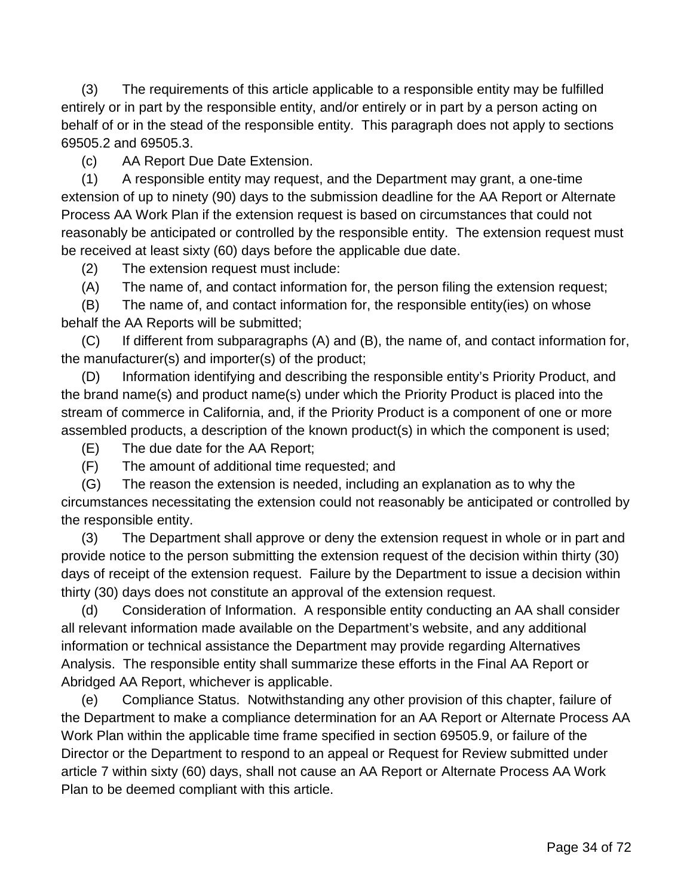(3) The requirements of this article applicable to a responsible entity may be fulfilled entirely or in part by the responsible entity, and/or entirely or in part by a person acting on behalf of or in the stead of the responsible entity. This paragraph does not apply to sections 69505.2 and 69505.3.

(c) AA Report Due Date Extension.

(1) A responsible entity may request, and the Department may grant, a one-time extension of up to ninety (90) days to the submission deadline for the AA Report or Alternate Process AA Work Plan if the extension request is based on circumstances that could not reasonably be anticipated or controlled by the responsible entity. The extension request must be received at least sixty (60) days before the applicable due date.

(2) The extension request must include:

(A) The name of, and contact information for, the person filing the extension request;

(B) The name of, and contact information for, the responsible entity(ies) on whose behalf the AA Reports will be submitted;

(C) If different from subparagraphs (A) and (B), the name of, and contact information for, the manufacturer(s) and importer(s) of the product;

(D) Information identifying and describing the responsible entity's Priority Product, and the brand name(s) and product name(s) under which the Priority Product is placed into the stream of commerce in California, and, if the Priority Product is a component of one or more assembled products, a description of the known product(s) in which the component is used;

(E) The due date for the AA Report;

(F) The amount of additional time requested; and

(G) The reason the extension is needed, including an explanation as to why the circumstances necessitating the extension could not reasonably be anticipated or controlled by the responsible entity.

(3) The Department shall approve or deny the extension request in whole or in part and provide notice to the person submitting the extension request of the decision within thirty (30) days of receipt of the extension request. Failure by the Department to issue a decision within thirty (30) days does not constitute an approval of the extension request.

(d) Consideration of Information. A responsible entity conducting an AA shall consider all relevant information made available on the Department's website, and any additional information or technical assistance the Department may provide regarding Alternatives Analysis. The responsible entity shall summarize these efforts in the Final AA Report or Abridged AA Report, whichever is applicable.

(e) Compliance Status. Notwithstanding any other provision of this chapter, failure of the Department to make a compliance determination for an AA Report or Alternate Process AA Work Plan within the applicable time frame specified in section 69505.9, or failure of the Director or the Department to respond to an appeal or Request for Review submitted under article 7 within sixty (60) days, shall not cause an AA Report or Alternate Process AA Work Plan to be deemed compliant with this article.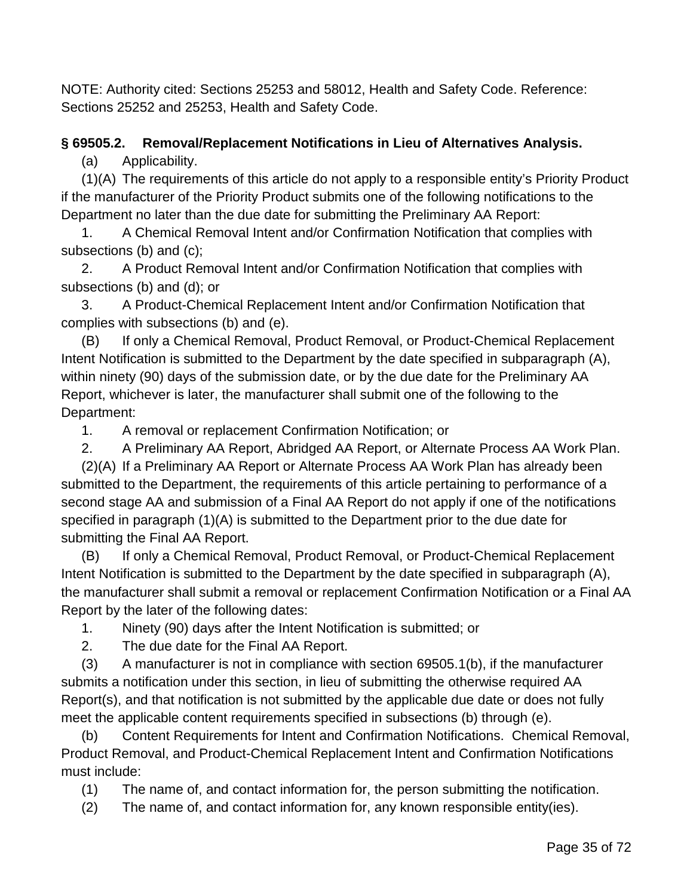NOTE: Authority cited: Sections 25253 and 58012, Health and Safety Code. Reference: Sections 25252 and 25253, Health and Safety Code.

# **§ 69505.2. Removal/Replacement Notifications in Lieu of Alternatives Analysis.**

(a) Applicability.

(1)(A) The requirements of this article do not apply to a responsible entity's Priority Product if the manufacturer of the Priority Product submits one of the following notifications to the Department no later than the due date for submitting the Preliminary AA Report:

1. A Chemical Removal Intent and/or Confirmation Notification that complies with subsections (b) and (c);

2. A Product Removal Intent and/or Confirmation Notification that complies with subsections (b) and (d); or

3. A Product-Chemical Replacement Intent and/or Confirmation Notification that complies with subsections (b) and (e).

(B) If only a Chemical Removal, Product Removal, or Product-Chemical Replacement Intent Notification is submitted to the Department by the date specified in subparagraph (A), within ninety (90) days of the submission date, or by the due date for the Preliminary AA Report, whichever is later, the manufacturer shall submit one of the following to the Department:

1. A removal or replacement Confirmation Notification; or

2. A Preliminary AA Report, Abridged AA Report, or Alternate Process AA Work Plan. (2)(A) If a Preliminary AA Report or Alternate Process AA Work Plan has already been submitted to the Department, the requirements of this article pertaining to performance of a second stage AA and submission of a Final AA Report do not apply if one of the notifications specified in paragraph (1)(A) is submitted to the Department prior to the due date for submitting the Final AA Report.

(B) If only a Chemical Removal, Product Removal, or Product-Chemical Replacement Intent Notification is submitted to the Department by the date specified in subparagraph (A), the manufacturer shall submit a removal or replacement Confirmation Notification or a Final AA Report by the later of the following dates:

1. Ninety (90) days after the Intent Notification is submitted; or

2. The due date for the Final AA Report.

(3) A manufacturer is not in compliance with section 69505.1(b), if the manufacturer submits a notification under this section, in lieu of submitting the otherwise required AA Report(s), and that notification is not submitted by the applicable due date or does not fully meet the applicable content requirements specified in subsections (b) through (e).

(b) Content Requirements for Intent and Confirmation Notifications. Chemical Removal, Product Removal, and Product-Chemical Replacement Intent and Confirmation Notifications must include:

(1) The name of, and contact information for, the person submitting the notification.

(2) The name of, and contact information for, any known responsible entity(ies).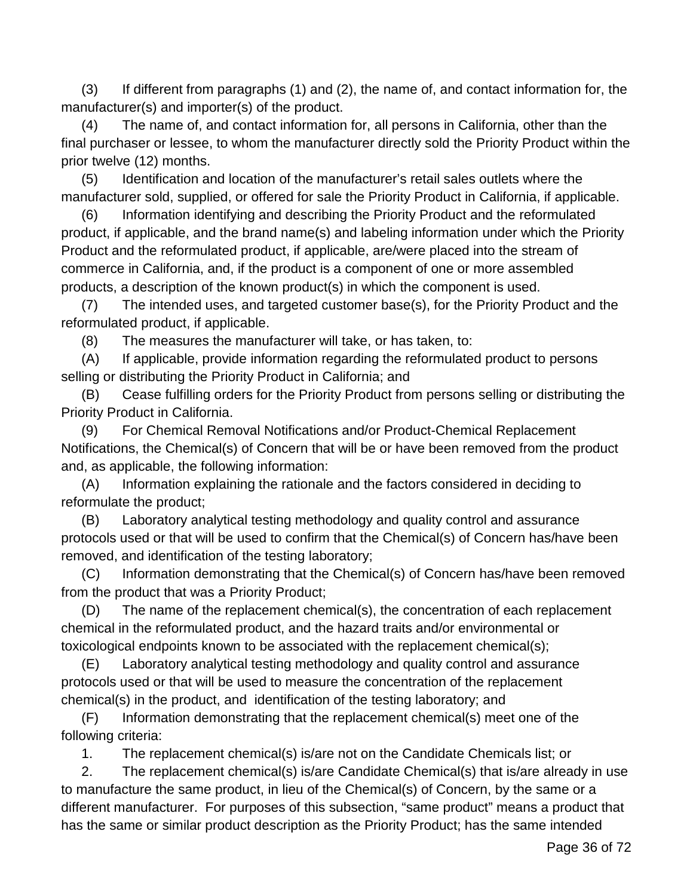(3) If different from paragraphs (1) and (2), the name of, and contact information for, the manufacturer(s) and importer(s) of the product.

(4) The name of, and contact information for, all persons in California, other than the final purchaser or lessee, to whom the manufacturer directly sold the Priority Product within the prior twelve (12) months.

(5) Identification and location of the manufacturer's retail sales outlets where the manufacturer sold, supplied, or offered for sale the Priority Product in California, if applicable.

(6) Information identifying and describing the Priority Product and the reformulated product, if applicable, and the brand name(s) and labeling information under which the Priority Product and the reformulated product, if applicable, are/were placed into the stream of commerce in California, and, if the product is a component of one or more assembled products, a description of the known product(s) in which the component is used.

(7) The intended uses, and targeted customer base(s), for the Priority Product and the reformulated product, if applicable.

(8) The measures the manufacturer will take, or has taken, to:

(A) If applicable, provide information regarding the reformulated product to persons selling or distributing the Priority Product in California; and

(B) Cease fulfilling orders for the Priority Product from persons selling or distributing the Priority Product in California.

(9) For Chemical Removal Notifications and/or Product-Chemical Replacement Notifications, the Chemical(s) of Concern that will be or have been removed from the product and, as applicable, the following information:

(A) Information explaining the rationale and the factors considered in deciding to reformulate the product;

(B) Laboratory analytical testing methodology and quality control and assurance protocols used or that will be used to confirm that the Chemical(s) of Concern has/have been removed, and identification of the testing laboratory;

(C) Information demonstrating that the Chemical(s) of Concern has/have been removed from the product that was a Priority Product;

(D) The name of the replacement chemical(s), the concentration of each replacement chemical in the reformulated product, and the hazard traits and/or environmental or toxicological endpoints known to be associated with the replacement chemical(s);

(E) Laboratory analytical testing methodology and quality control and assurance protocols used or that will be used to measure the concentration of the replacement chemical(s) in the product, and identification of the testing laboratory; and

(F) Information demonstrating that the replacement chemical(s) meet one of the following criteria:

1. The replacement chemical(s) is/are not on the Candidate Chemicals list; or

2. The replacement chemical(s) is/are Candidate Chemical(s) that is/are already in use to manufacture the same product, in lieu of the Chemical(s) of Concern, by the same or a different manufacturer. For purposes of this subsection, "same product" means a product that has the same or similar product description as the Priority Product; has the same intended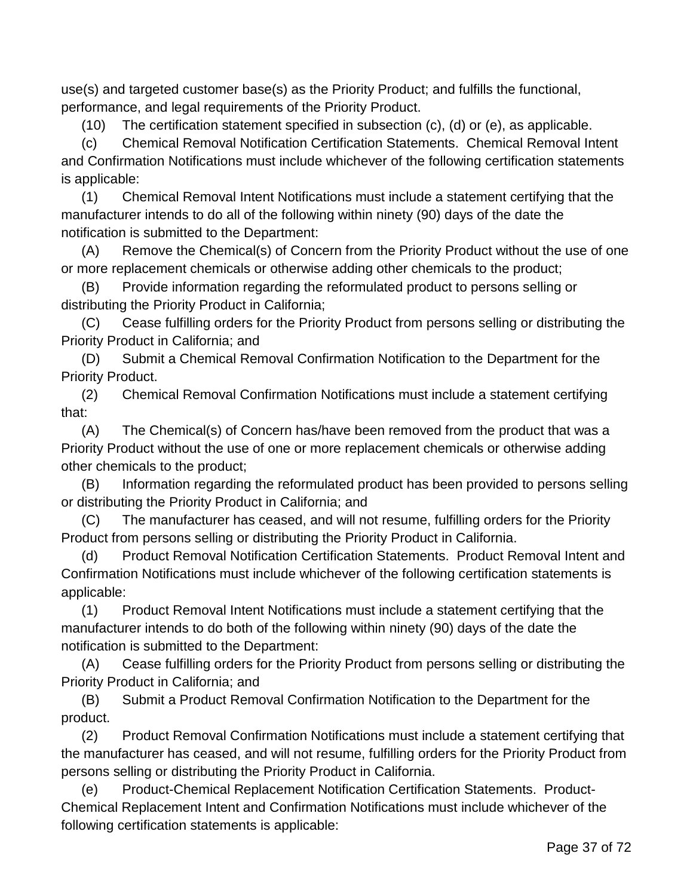use(s) and targeted customer base(s) as the Priority Product; and fulfills the functional, performance, and legal requirements of the Priority Product.

(10) The certification statement specified in subsection (c), (d) or (e), as applicable.

(c) Chemical Removal Notification Certification Statements. Chemical Removal Intent and Confirmation Notifications must include whichever of the following certification statements is applicable:

(1) Chemical Removal Intent Notifications must include a statement certifying that the manufacturer intends to do all of the following within ninety (90) days of the date the notification is submitted to the Department:

(A) Remove the Chemical(s) of Concern from the Priority Product without the use of one or more replacement chemicals or otherwise adding other chemicals to the product;

(B) Provide information regarding the reformulated product to persons selling or distributing the Priority Product in California;

(C) Cease fulfilling orders for the Priority Product from persons selling or distributing the Priority Product in California; and

(D) Submit a Chemical Removal Confirmation Notification to the Department for the Priority Product.

(2) Chemical Removal Confirmation Notifications must include a statement certifying that:

(A) The Chemical(s) of Concern has/have been removed from the product that was a Priority Product without the use of one or more replacement chemicals or otherwise adding other chemicals to the product;

(B) Information regarding the reformulated product has been provided to persons selling or distributing the Priority Product in California; and

(C) The manufacturer has ceased, and will not resume, fulfilling orders for the Priority Product from persons selling or distributing the Priority Product in California.

(d) Product Removal Notification Certification Statements. Product Removal Intent and Confirmation Notifications must include whichever of the following certification statements is applicable:

(1) Product Removal Intent Notifications must include a statement certifying that the manufacturer intends to do both of the following within ninety (90) days of the date the notification is submitted to the Department:

(A) Cease fulfilling orders for the Priority Product from persons selling or distributing the Priority Product in California; and

(B) Submit a Product Removal Confirmation Notification to the Department for the product.

(2) Product Removal Confirmation Notifications must include a statement certifying that the manufacturer has ceased, and will not resume, fulfilling orders for the Priority Product from persons selling or distributing the Priority Product in California.

(e) Product-Chemical Replacement Notification Certification Statements. Product-Chemical Replacement Intent and Confirmation Notifications must include whichever of the following certification statements is applicable: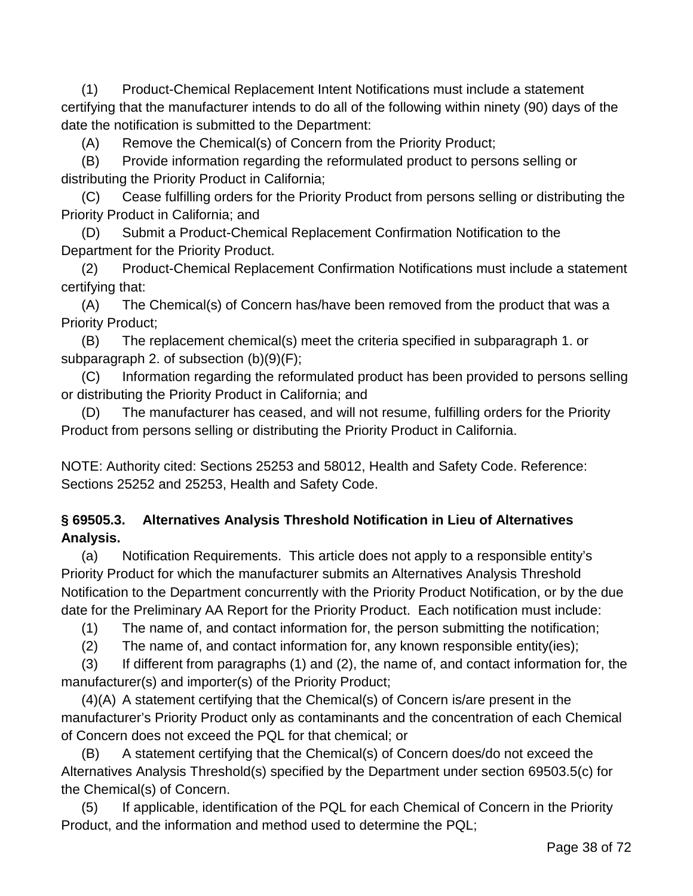(1) Product-Chemical Replacement Intent Notifications must include a statement certifying that the manufacturer intends to do all of the following within ninety (90) days of the date the notification is submitted to the Department:

(A) Remove the Chemical(s) of Concern from the Priority Product;

(B) Provide information regarding the reformulated product to persons selling or distributing the Priority Product in California;

(C) Cease fulfilling orders for the Priority Product from persons selling or distributing the Priority Product in California; and

(D) Submit a Product-Chemical Replacement Confirmation Notification to the Department for the Priority Product.

(2) Product-Chemical Replacement Confirmation Notifications must include a statement certifying that:

(A) The Chemical(s) of Concern has/have been removed from the product that was a Priority Product;

(B) The replacement chemical(s) meet the criteria specified in subparagraph 1. or subparagraph 2. of subsection (b)(9)(F);

(C) Information regarding the reformulated product has been provided to persons selling or distributing the Priority Product in California; and

(D) The manufacturer has ceased, and will not resume, fulfilling orders for the Priority Product from persons selling or distributing the Priority Product in California.

NOTE: Authority cited: Sections 25253 and 58012, Health and Safety Code. Reference: Sections 25252 and 25253, Health and Safety Code.

# **§ 69505.3. Alternatives Analysis Threshold Notification in Lieu of Alternatives Analysis.**

(a) Notification Requirements. This article does not apply to a responsible entity's Priority Product for which the manufacturer submits an Alternatives Analysis Threshold Notification to the Department concurrently with the Priority Product Notification, or by the due date for the Preliminary AA Report for the Priority Product. Each notification must include:

(1) The name of, and contact information for, the person submitting the notification;

(2) The name of, and contact information for, any known responsible entity(ies);

(3) If different from paragraphs (1) and (2), the name of, and contact information for, the manufacturer(s) and importer(s) of the Priority Product;

(4)(A) A statement certifying that the Chemical(s) of Concern is/are present in the manufacturer's Priority Product only as contaminants and the concentration of each Chemical of Concern does not exceed the PQL for that chemical; or

(B) A statement certifying that the Chemical(s) of Concern does/do not exceed the Alternatives Analysis Threshold(s) specified by the Department under section 69503.5(c) for the Chemical(s) of Concern.

(5) If applicable, identification of the PQL for each Chemical of Concern in the Priority Product, and the information and method used to determine the PQL;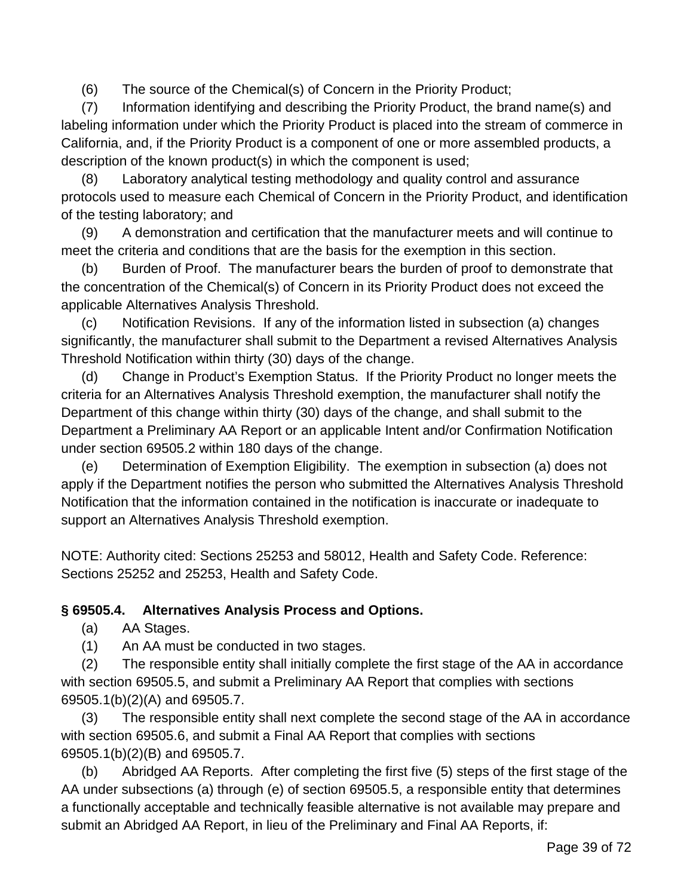(6) The source of the Chemical(s) of Concern in the Priority Product;

(7) Information identifying and describing the Priority Product, the brand name(s) and labeling information under which the Priority Product is placed into the stream of commerce in California, and, if the Priority Product is a component of one or more assembled products, a description of the known product(s) in which the component is used;

(8) Laboratory analytical testing methodology and quality control and assurance protocols used to measure each Chemical of Concern in the Priority Product, and identification of the testing laboratory; and

(9) A demonstration and certification that the manufacturer meets and will continue to meet the criteria and conditions that are the basis for the exemption in this section.

(b) Burden of Proof. The manufacturer bears the burden of proof to demonstrate that the concentration of the Chemical(s) of Concern in its Priority Product does not exceed the applicable Alternatives Analysis Threshold.

(c) Notification Revisions. If any of the information listed in subsection (a) changes significantly, the manufacturer shall submit to the Department a revised Alternatives Analysis Threshold Notification within thirty (30) days of the change.

(d) Change in Product's Exemption Status. If the Priority Product no longer meets the criteria for an Alternatives Analysis Threshold exemption, the manufacturer shall notify the Department of this change within thirty (30) days of the change, and shall submit to the Department a Preliminary AA Report or an applicable Intent and/or Confirmation Notification under section 69505.2 within 180 days of the change.

(e) Determination of Exemption Eligibility. The exemption in subsection (a) does not apply if the Department notifies the person who submitted the Alternatives Analysis Threshold Notification that the information contained in the notification is inaccurate or inadequate to support an Alternatives Analysis Threshold exemption.

NOTE: Authority cited: Sections 25253 and 58012, Health and Safety Code. Reference: Sections 25252 and 25253, Health and Safety Code.

### **§ 69505.4. Alternatives Analysis Process and Options.**

(a) AA Stages.

(1) An AA must be conducted in two stages.

(2) The responsible entity shall initially complete the first stage of the AA in accordance with section 69505.5, and submit a Preliminary AA Report that complies with sections 69505.1(b)(2)(A) and 69505.7.

(3) The responsible entity shall next complete the second stage of the AA in accordance with section 69505.6, and submit a Final AA Report that complies with sections 69505.1(b)(2)(B) and 69505.7.

(b) Abridged AA Reports. After completing the first five (5) steps of the first stage of the AA under subsections (a) through (e) of section 69505.5, a responsible entity that determines a functionally acceptable and technically feasible alternative is not available may prepare and submit an Abridged AA Report, in lieu of the Preliminary and Final AA Reports, if: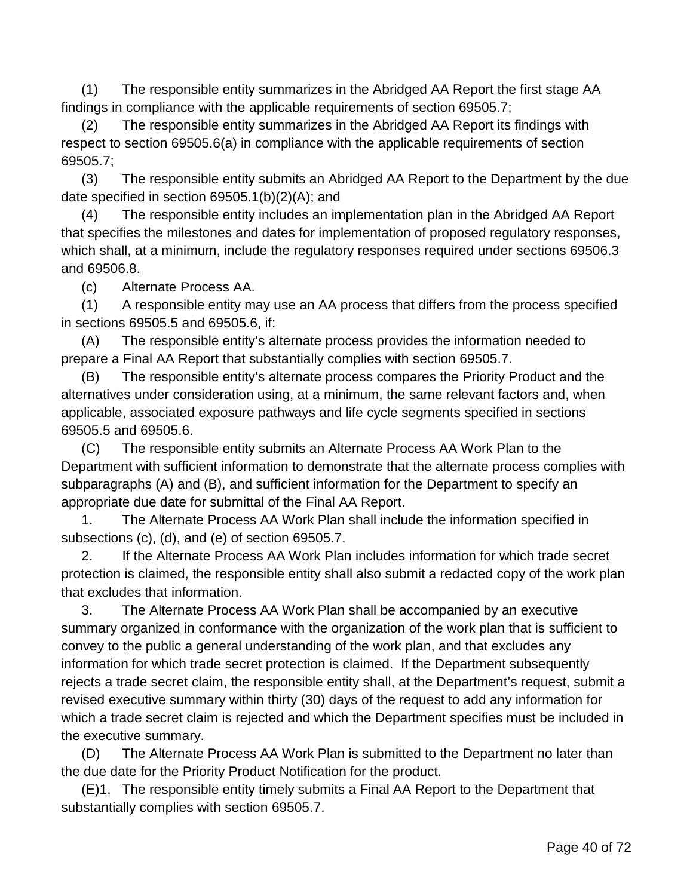(1) The responsible entity summarizes in the Abridged AA Report the first stage AA findings in compliance with the applicable requirements of section 69505.7;

(2) The responsible entity summarizes in the Abridged AA Report its findings with respect to section 69505.6(a) in compliance with the applicable requirements of section 69505.7;

(3) The responsible entity submits an Abridged AA Report to the Department by the due date specified in section 69505.1(b)(2)(A); and

(4) The responsible entity includes an implementation plan in the Abridged AA Report that specifies the milestones and dates for implementation of proposed regulatory responses, which shall, at a minimum, include the regulatory responses required under sections 69506.3 and 69506.8.

(c) Alternate Process AA.

(1) A responsible entity may use an AA process that differs from the process specified in sections 69505.5 and 69505.6, if:

(A) The responsible entity's alternate process provides the information needed to prepare a Final AA Report that substantially complies with section 69505.7.

(B) The responsible entity's alternate process compares the Priority Product and the alternatives under consideration using, at a minimum, the same relevant factors and, when applicable, associated exposure pathways and life cycle segments specified in sections 69505.5 and 69505.6.

(C) The responsible entity submits an Alternate Process AA Work Plan to the Department with sufficient information to demonstrate that the alternate process complies with subparagraphs (A) and (B), and sufficient information for the Department to specify an appropriate due date for submittal of the Final AA Report.

1. The Alternate Process AA Work Plan shall include the information specified in subsections (c), (d), and (e) of section 69505.7.

2. If the Alternate Process AA Work Plan includes information for which trade secret protection is claimed, the responsible entity shall also submit a redacted copy of the work plan that excludes that information.

3. The Alternate Process AA Work Plan shall be accompanied by an executive summary organized in conformance with the organization of the work plan that is sufficient to convey to the public a general understanding of the work plan, and that excludes any information for which trade secret protection is claimed. If the Department subsequently rejects a trade secret claim, the responsible entity shall, at the Department's request, submit a revised executive summary within thirty (30) days of the request to add any information for which a trade secret claim is rejected and which the Department specifies must be included in the executive summary.

(D) The Alternate Process AA Work Plan is submitted to the Department no later than the due date for the Priority Product Notification for the product.

(E)1. The responsible entity timely submits a Final AA Report to the Department that substantially complies with section 69505.7.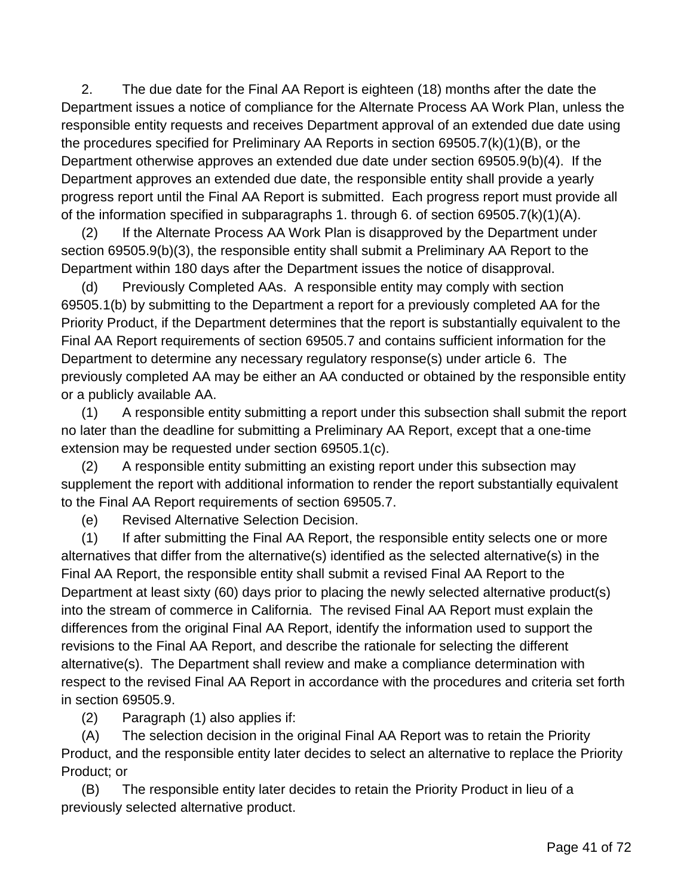2. The due date for the Final AA Report is eighteen (18) months after the date the Department issues a notice of compliance for the Alternate Process AA Work Plan, unless the responsible entity requests and receives Department approval of an extended due date using the procedures specified for Preliminary AA Reports in section 69505.7(k)(1)(B), or the Department otherwise approves an extended due date under section 69505.9(b)(4). If the Department approves an extended due date, the responsible entity shall provide a yearly progress report until the Final AA Report is submitted. Each progress report must provide all of the information specified in subparagraphs 1. through 6. of section 69505.7(k)(1)(A).

(2) If the Alternate Process AA Work Plan is disapproved by the Department under section 69505.9(b)(3), the responsible entity shall submit a Preliminary AA Report to the Department within 180 days after the Department issues the notice of disapproval.

(d) Previously Completed AAs. A responsible entity may comply with section 69505.1(b) by submitting to the Department a report for a previously completed AA for the Priority Product, if the Department determines that the report is substantially equivalent to the Final AA Report requirements of section 69505.7 and contains sufficient information for the Department to determine any necessary regulatory response(s) under article 6. The previously completed AA may be either an AA conducted or obtained by the responsible entity or a publicly available AA.

(1) A responsible entity submitting a report under this subsection shall submit the report no later than the deadline for submitting a Preliminary AA Report, except that a one-time extension may be requested under section 69505.1(c).

(2) A responsible entity submitting an existing report under this subsection may supplement the report with additional information to render the report substantially equivalent to the Final AA Report requirements of section 69505.7.

(e) Revised Alternative Selection Decision.

(1) If after submitting the Final AA Report, the responsible entity selects one or more alternatives that differ from the alternative(s) identified as the selected alternative(s) in the Final AA Report, the responsible entity shall submit a revised Final AA Report to the Department at least sixty (60) days prior to placing the newly selected alternative product(s) into the stream of commerce in California. The revised Final AA Report must explain the differences from the original Final AA Report, identify the information used to support the revisions to the Final AA Report, and describe the rationale for selecting the different alternative(s). The Department shall review and make a compliance determination with respect to the revised Final AA Report in accordance with the procedures and criteria set forth in section 69505.9.

(2) Paragraph (1) also applies if:

(A) The selection decision in the original Final AA Report was to retain the Priority Product, and the responsible entity later decides to select an alternative to replace the Priority Product; or

(B) The responsible entity later decides to retain the Priority Product in lieu of a previously selected alternative product.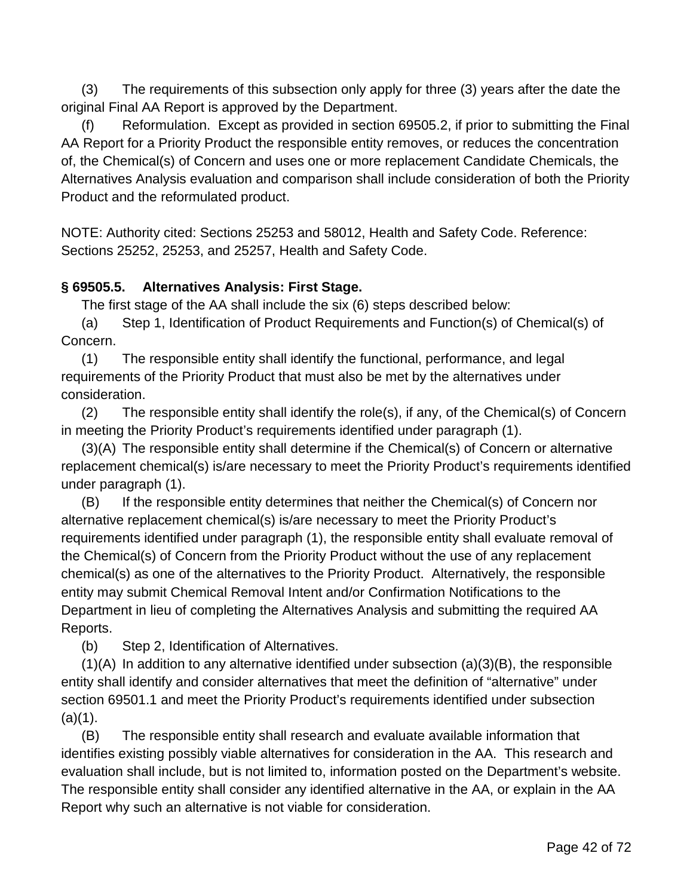(3) The requirements of this subsection only apply for three (3) years after the date the original Final AA Report is approved by the Department.

(f) Reformulation. Except as provided in section 69505.2, if prior to submitting the Final AA Report for a Priority Product the responsible entity removes, or reduces the concentration of, the Chemical(s) of Concern and uses one or more replacement Candidate Chemicals, the Alternatives Analysis evaluation and comparison shall include consideration of both the Priority Product and the reformulated product.

NOTE: Authority cited: Sections 25253 and 58012, Health and Safety Code. Reference: Sections 25252, 25253, and 25257, Health and Safety Code.

### **§ 69505.5. Alternatives Analysis: First Stage.**

The first stage of the AA shall include the six (6) steps described below:

(a) Step 1, Identification of Product Requirements and Function(s) of Chemical(s) of Concern.

(1) The responsible entity shall identify the functional, performance, and legal requirements of the Priority Product that must also be met by the alternatives under consideration.

(2) The responsible entity shall identify the role(s), if any, of the Chemical(s) of Concern in meeting the Priority Product's requirements identified under paragraph (1).

(3)(A) The responsible entity shall determine if the Chemical(s) of Concern or alternative replacement chemical(s) is/are necessary to meet the Priority Product's requirements identified under paragraph (1).

(B) If the responsible entity determines that neither the Chemical(s) of Concern nor alternative replacement chemical(s) is/are necessary to meet the Priority Product's requirements identified under paragraph (1), the responsible entity shall evaluate removal of the Chemical(s) of Concern from the Priority Product without the use of any replacement chemical(s) as one of the alternatives to the Priority Product. Alternatively, the responsible entity may submit Chemical Removal Intent and/or Confirmation Notifications to the Department in lieu of completing the Alternatives Analysis and submitting the required AA Reports.

(b) Step 2, Identification of Alternatives.

 $(1)(A)$  In addition to any alternative identified under subsection  $(a)(3)(B)$ , the responsible entity shall identify and consider alternatives that meet the definition of "alternative" under section 69501.1 and meet the Priority Product's requirements identified under subsection  $(a)(1)$ .

(B) The responsible entity shall research and evaluate available information that identifies existing possibly viable alternatives for consideration in the AA. This research and evaluation shall include, but is not limited to, information posted on the Department's website. The responsible entity shall consider any identified alternative in the AA, or explain in the AA Report why such an alternative is not viable for consideration.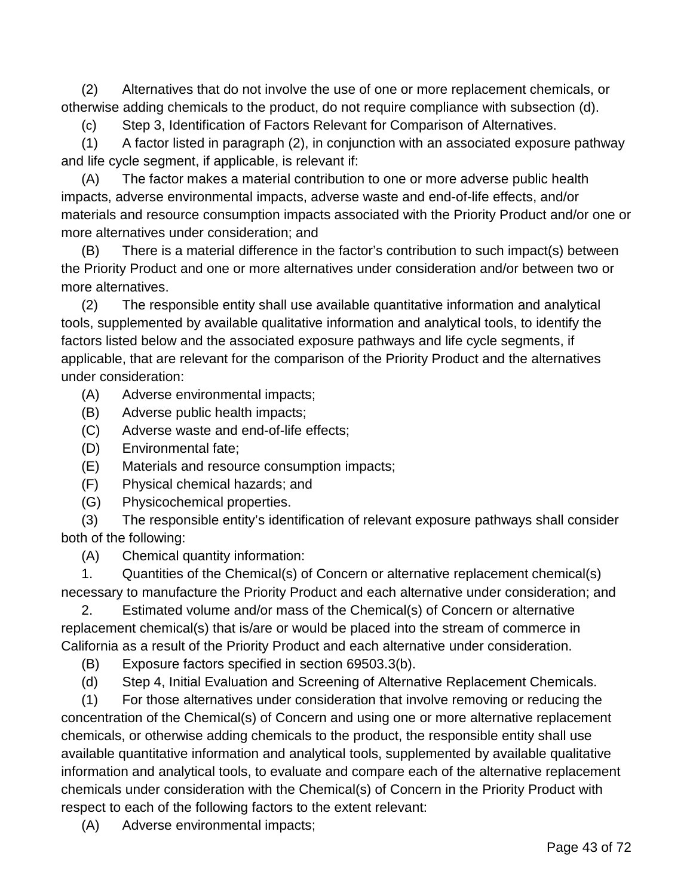(2) Alternatives that do not involve the use of one or more replacement chemicals, or otherwise adding chemicals to the product, do not require compliance with subsection (d).

(c) Step 3, Identification of Factors Relevant for Comparison of Alternatives.

(1) A factor listed in paragraph (2), in conjunction with an associated exposure pathway and life cycle segment, if applicable, is relevant if:

(A) The factor makes a material contribution to one or more adverse public health impacts, adverse environmental impacts, adverse waste and end-of-life effects, and/or materials and resource consumption impacts associated with the Priority Product and/or one or more alternatives under consideration; and

(B) There is a material difference in the factor's contribution to such impact(s) between the Priority Product and one or more alternatives under consideration and/or between two or more alternatives.

(2) The responsible entity shall use available quantitative information and analytical tools, supplemented by available qualitative information and analytical tools, to identify the factors listed below and the associated exposure pathways and life cycle segments, if applicable, that are relevant for the comparison of the Priority Product and the alternatives under consideration:

(A) Adverse environmental impacts;

- (B) Adverse public health impacts;
- (C) Adverse waste and end-of-life effects;
- (D) Environmental fate;
- (E) Materials and resource consumption impacts;
- (F) Physical chemical hazards; and
- (G) Physicochemical properties.

(3) The responsible entity's identification of relevant exposure pathways shall consider both of the following:

(A) Chemical quantity information:

1. Quantities of the Chemical(s) of Concern or alternative replacement chemical(s) necessary to manufacture the Priority Product and each alternative under consideration; and

2. Estimated volume and/or mass of the Chemical(s) of Concern or alternative replacement chemical(s) that is/are or would be placed into the stream of commerce in California as a result of the Priority Product and each alternative under consideration.

(B) Exposure factors specified in section 69503.3(b).

(d) Step 4, Initial Evaluation and Screening of Alternative Replacement Chemicals.

(1) For those alternatives under consideration that involve removing or reducing the concentration of the Chemical(s) of Concern and using one or more alternative replacement chemicals, or otherwise adding chemicals to the product, the responsible entity shall use available quantitative information and analytical tools, supplemented by available qualitative information and analytical tools, to evaluate and compare each of the alternative replacement chemicals under consideration with the Chemical(s) of Concern in the Priority Product with respect to each of the following factors to the extent relevant:

(A) Adverse environmental impacts;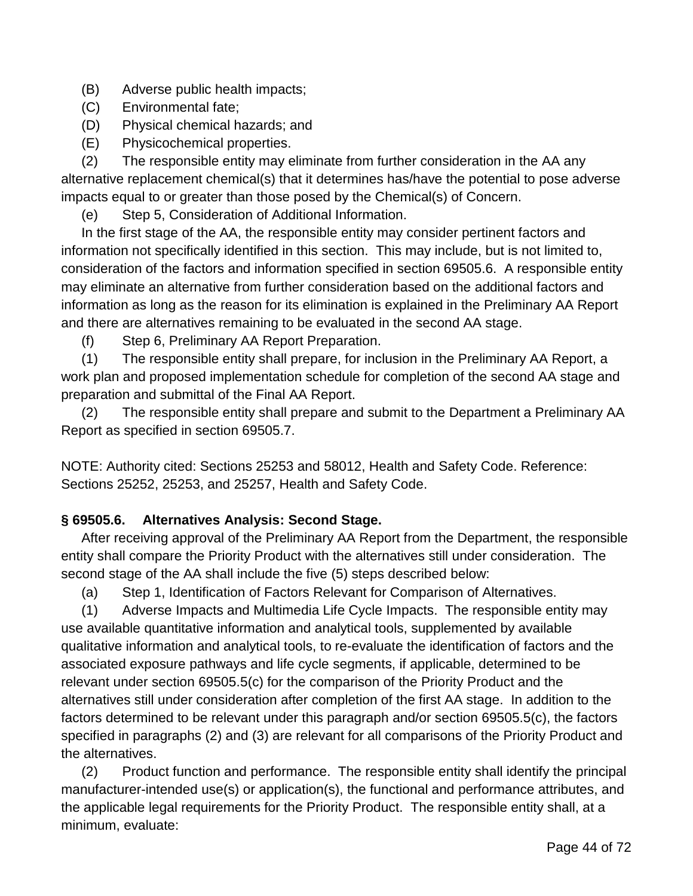(B) Adverse public health impacts;

- (C) Environmental fate;
- (D) Physical chemical hazards; and
- (E) Physicochemical properties.

(2) The responsible entity may eliminate from further consideration in the AA any alternative replacement chemical(s) that it determines has/have the potential to pose adverse impacts equal to or greater than those posed by the Chemical(s) of Concern.

(e) Step 5, Consideration of Additional Information.

In the first stage of the AA, the responsible entity may consider pertinent factors and information not specifically identified in this section. This may include, but is not limited to, consideration of the factors and information specified in section 69505.6. A responsible entity may eliminate an alternative from further consideration based on the additional factors and information as long as the reason for its elimination is explained in the Preliminary AA Report and there are alternatives remaining to be evaluated in the second AA stage.

(f) Step 6, Preliminary AA Report Preparation.

(1) The responsible entity shall prepare, for inclusion in the Preliminary AA Report, a work plan and proposed implementation schedule for completion of the second AA stage and preparation and submittal of the Final AA Report.

(2) The responsible entity shall prepare and submit to the Department a Preliminary AA Report as specified in section 69505.7.

NOTE: Authority cited: Sections 25253 and 58012, Health and Safety Code. Reference: Sections 25252, 25253, and 25257, Health and Safety Code.

### **§ 69505.6. Alternatives Analysis: Second Stage.**

After receiving approval of the Preliminary AA Report from the Department, the responsible entity shall compare the Priority Product with the alternatives still under consideration. The second stage of the AA shall include the five (5) steps described below:

(a) Step 1, Identification of Factors Relevant for Comparison of Alternatives.

(1) Adverse Impacts and Multimedia Life Cycle Impacts. The responsible entity may use available quantitative information and analytical tools, supplemented by available qualitative information and analytical tools, to re-evaluate the identification of factors and the associated exposure pathways and life cycle segments, if applicable, determined to be relevant under section 69505.5(c) for the comparison of the Priority Product and the alternatives still under consideration after completion of the first AA stage. In addition to the factors determined to be relevant under this paragraph and/or section 69505.5(c), the factors specified in paragraphs (2) and (3) are relevant for all comparisons of the Priority Product and the alternatives.

(2) Product function and performance. The responsible entity shall identify the principal manufacturer-intended use(s) or application(s), the functional and performance attributes, and the applicable legal requirements for the Priority Product. The responsible entity shall, at a minimum, evaluate: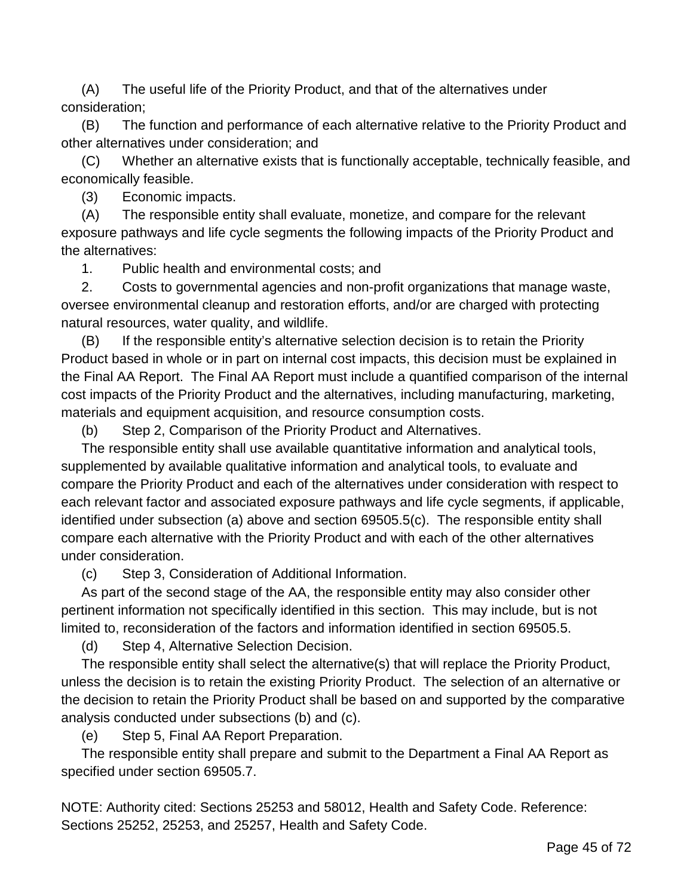(A) The useful life of the Priority Product, and that of the alternatives under consideration;

(B) The function and performance of each alternative relative to the Priority Product and other alternatives under consideration; and

(C) Whether an alternative exists that is functionally acceptable, technically feasible, and economically feasible.

(3) Economic impacts.

(A) The responsible entity shall evaluate, monetize, and compare for the relevant exposure pathways and life cycle segments the following impacts of the Priority Product and the alternatives:

1. Public health and environmental costs; and

2. Costs to governmental agencies and non-profit organizations that manage waste, oversee environmental cleanup and restoration efforts, and/or are charged with protecting natural resources, water quality, and wildlife.

(B) If the responsible entity's alternative selection decision is to retain the Priority Product based in whole or in part on internal cost impacts, this decision must be explained in the Final AA Report. The Final AA Report must include a quantified comparison of the internal cost impacts of the Priority Product and the alternatives, including manufacturing, marketing, materials and equipment acquisition, and resource consumption costs.

(b) Step 2, Comparison of the Priority Product and Alternatives.

The responsible entity shall use available quantitative information and analytical tools, supplemented by available qualitative information and analytical tools, to evaluate and compare the Priority Product and each of the alternatives under consideration with respect to each relevant factor and associated exposure pathways and life cycle segments, if applicable, identified under subsection (a) above and section 69505.5(c). The responsible entity shall compare each alternative with the Priority Product and with each of the other alternatives under consideration.

(c) Step 3, Consideration of Additional Information.

As part of the second stage of the AA, the responsible entity may also consider other pertinent information not specifically identified in this section. This may include, but is not limited to, reconsideration of the factors and information identified in section 69505.5.

(d) Step 4, Alternative Selection Decision.

The responsible entity shall select the alternative(s) that will replace the Priority Product, unless the decision is to retain the existing Priority Product. The selection of an alternative or the decision to retain the Priority Product shall be based on and supported by the comparative analysis conducted under subsections (b) and (c).

(e) Step 5, Final AA Report Preparation.

The responsible entity shall prepare and submit to the Department a Final AA Report as specified under section 69505.7.

NOTE: Authority cited: Sections 25253 and 58012, Health and Safety Code. Reference: Sections 25252, 25253, and 25257, Health and Safety Code.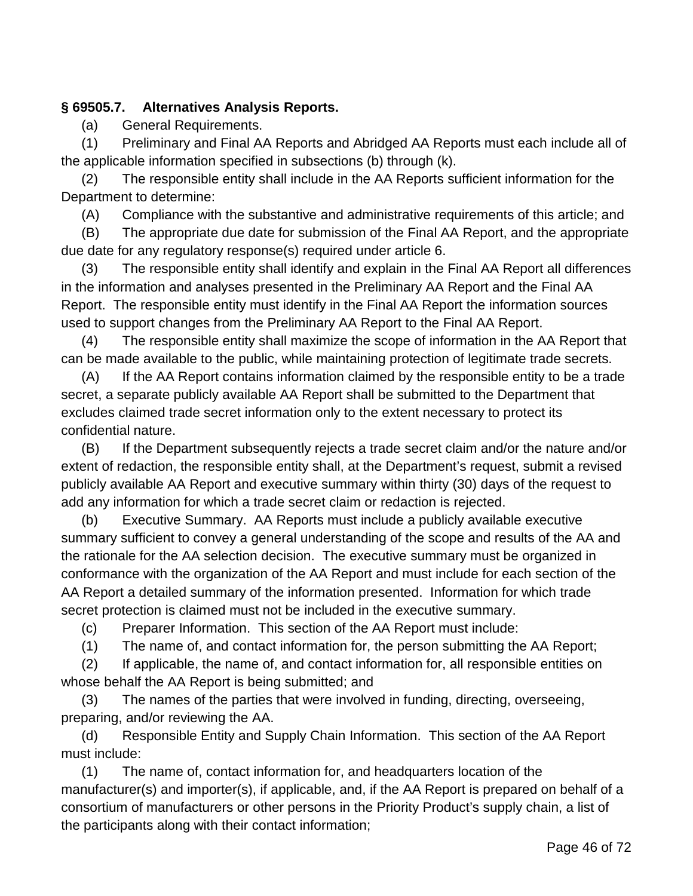#### **§ 69505.7. Alternatives Analysis Reports.**

(a) General Requirements.

(1) Preliminary and Final AA Reports and Abridged AA Reports must each include all of the applicable information specified in subsections (b) through (k).

(2) The responsible entity shall include in the AA Reports sufficient information for the Department to determine:

(A) Compliance with the substantive and administrative requirements of this article; and

(B) The appropriate due date for submission of the Final AA Report, and the appropriate due date for any regulatory response(s) required under article 6.

(3) The responsible entity shall identify and explain in the Final AA Report all differences in the information and analyses presented in the Preliminary AA Report and the Final AA Report. The responsible entity must identify in the Final AA Report the information sources used to support changes from the Preliminary AA Report to the Final AA Report.

(4) The responsible entity shall maximize the scope of information in the AA Report that can be made available to the public, while maintaining protection of legitimate trade secrets.

(A) If the AA Report contains information claimed by the responsible entity to be a trade secret, a separate publicly available AA Report shall be submitted to the Department that excludes claimed trade secret information only to the extent necessary to protect its confidential nature.

(B) If the Department subsequently rejects a trade secret claim and/or the nature and/or extent of redaction, the responsible entity shall, at the Department's request, submit a revised publicly available AA Report and executive summary within thirty (30) days of the request to add any information for which a trade secret claim or redaction is rejected.

(b) Executive Summary. AA Reports must include a publicly available executive summary sufficient to convey a general understanding of the scope and results of the AA and the rationale for the AA selection decision. The executive summary must be organized in conformance with the organization of the AA Report and must include for each section of the AA Report a detailed summary of the information presented. Information for which trade secret protection is claimed must not be included in the executive summary.

(c) Preparer Information. This section of the AA Report must include:

(1) The name of, and contact information for, the person submitting the AA Report;

(2) If applicable, the name of, and contact information for, all responsible entities on whose behalf the AA Report is being submitted; and

(3) The names of the parties that were involved in funding, directing, overseeing, preparing, and/or reviewing the AA.

(d) Responsible Entity and Supply Chain Information. This section of the AA Report must include:

(1) The name of, contact information for, and headquarters location of the manufacturer(s) and importer(s), if applicable, and, if the AA Report is prepared on behalf of a consortium of manufacturers or other persons in the Priority Product's supply chain, a list of the participants along with their contact information;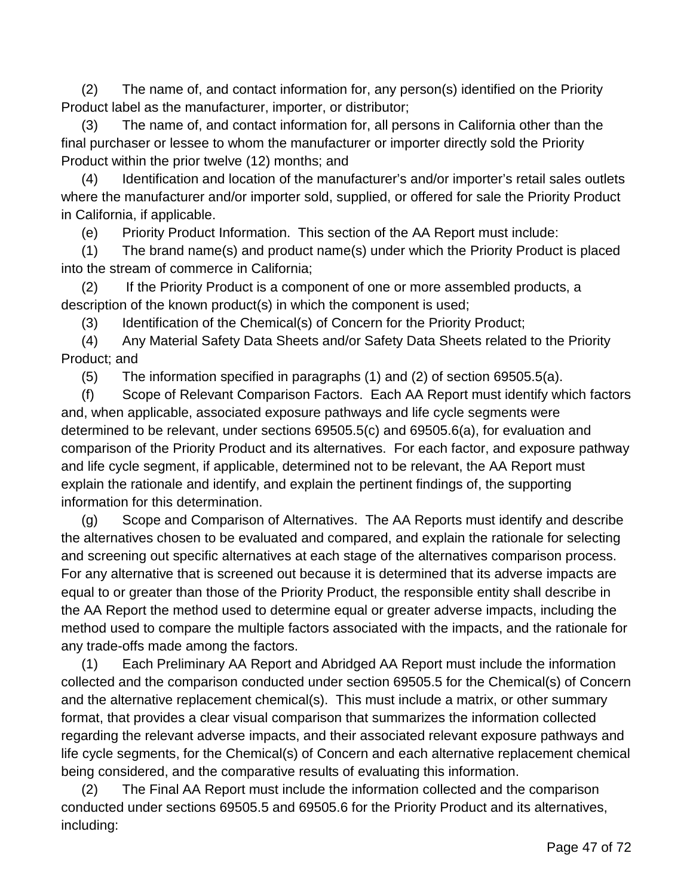(2) The name of, and contact information for, any person(s) identified on the Priority Product label as the manufacturer, importer, or distributor;

(3) The name of, and contact information for, all persons in California other than the final purchaser or lessee to whom the manufacturer or importer directly sold the Priority Product within the prior twelve (12) months; and

(4) Identification and location of the manufacturer's and/or importer's retail sales outlets where the manufacturer and/or importer sold, supplied, or offered for sale the Priority Product in California, if applicable.

(e) Priority Product Information. This section of the AA Report must include:

(1) The brand name(s) and product name(s) under which the Priority Product is placed into the stream of commerce in California;

(2) If the Priority Product is a component of one or more assembled products, a description of the known product(s) in which the component is used;

(3) Identification of the Chemical(s) of Concern for the Priority Product;

(4) Any Material Safety Data Sheets and/or Safety Data Sheets related to the Priority Product; and

(5) The information specified in paragraphs (1) and (2) of section 69505.5(a).

(f) Scope of Relevant Comparison Factors. Each AA Report must identify which factors and, when applicable, associated exposure pathways and life cycle segments were determined to be relevant, under sections 69505.5(c) and 69505.6(a), for evaluation and comparison of the Priority Product and its alternatives. For each factor, and exposure pathway and life cycle segment, if applicable, determined not to be relevant, the AA Report must explain the rationale and identify, and explain the pertinent findings of, the supporting information for this determination.

(g) Scope and Comparison of Alternatives. The AA Reports must identify and describe the alternatives chosen to be evaluated and compared, and explain the rationale for selecting and screening out specific alternatives at each stage of the alternatives comparison process. For any alternative that is screened out because it is determined that its adverse impacts are equal to or greater than those of the Priority Product, the responsible entity shall describe in the AA Report the method used to determine equal or greater adverse impacts, including the method used to compare the multiple factors associated with the impacts, and the rationale for any trade-offs made among the factors.

(1) Each Preliminary AA Report and Abridged AA Report must include the information collected and the comparison conducted under section 69505.5 for the Chemical(s) of Concern and the alternative replacement chemical(s). This must include a matrix, or other summary format, that provides a clear visual comparison that summarizes the information collected regarding the relevant adverse impacts, and their associated relevant exposure pathways and life cycle segments, for the Chemical(s) of Concern and each alternative replacement chemical being considered, and the comparative results of evaluating this information.

(2) The Final AA Report must include the information collected and the comparison conducted under sections 69505.5 and 69505.6 for the Priority Product and its alternatives, including: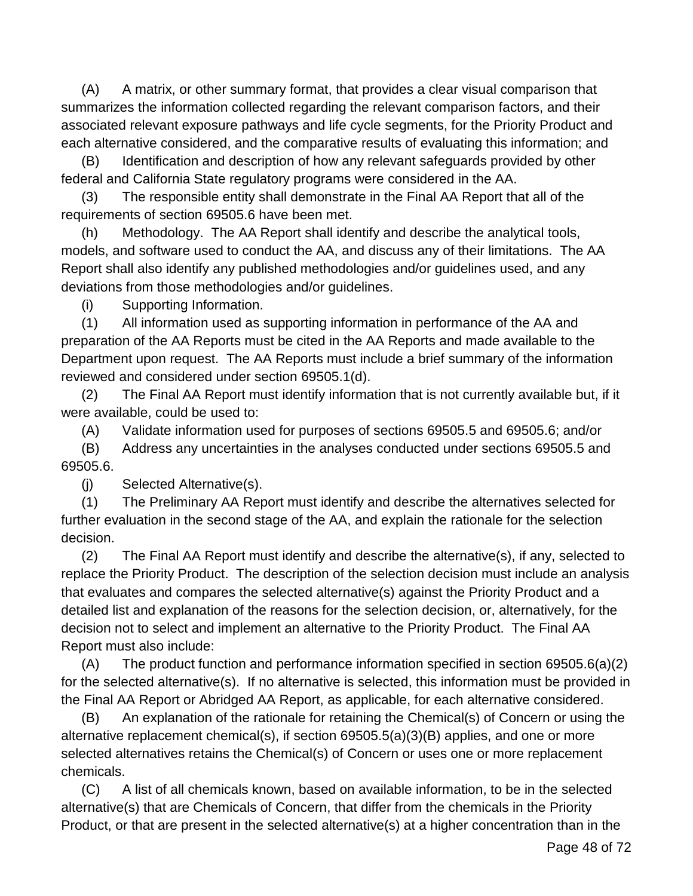(A) A matrix, or other summary format, that provides a clear visual comparison that summarizes the information collected regarding the relevant comparison factors, and their associated relevant exposure pathways and life cycle segments, for the Priority Product and each alternative considered, and the comparative results of evaluating this information; and

(B) Identification and description of how any relevant safeguards provided by other federal and California State regulatory programs were considered in the AA.

(3) The responsible entity shall demonstrate in the Final AA Report that all of the requirements of section 69505.6 have been met.

(h) Methodology. The AA Report shall identify and describe the analytical tools, models, and software used to conduct the AA, and discuss any of their limitations. The AA Report shall also identify any published methodologies and/or guidelines used, and any deviations from those methodologies and/or guidelines.

(i) Supporting Information.

(1) All information used as supporting information in performance of the AA and preparation of the AA Reports must be cited in the AA Reports and made available to the Department upon request. The AA Reports must include a brief summary of the information reviewed and considered under section 69505.1(d).

(2) The Final AA Report must identify information that is not currently available but, if it were available, could be used to:

(A) Validate information used for purposes of sections 69505.5 and 69505.6; and/or

(B) Address any uncertainties in the analyses conducted under sections 69505.5 and 69505.6.

(j) Selected Alternative(s).

(1) The Preliminary AA Report must identify and describe the alternatives selected for further evaluation in the second stage of the AA, and explain the rationale for the selection decision.

(2) The Final AA Report must identify and describe the alternative(s), if any, selected to replace the Priority Product. The description of the selection decision must include an analysis that evaluates and compares the selected alternative(s) against the Priority Product and a detailed list and explanation of the reasons for the selection decision, or, alternatively, for the decision not to select and implement an alternative to the Priority Product. The Final AA Report must also include:

(A) The product function and performance information specified in section 69505.6(a)(2) for the selected alternative(s). If no alternative is selected, this information must be provided in the Final AA Report or Abridged AA Report, as applicable, for each alternative considered.

(B) An explanation of the rationale for retaining the Chemical(s) of Concern or using the alternative replacement chemical(s), if section  $69505.5(a)(3)(B)$  applies, and one or more selected alternatives retains the Chemical(s) of Concern or uses one or more replacement chemicals.

(C) A list of all chemicals known, based on available information, to be in the selected alternative(s) that are Chemicals of Concern, that differ from the chemicals in the Priority Product, or that are present in the selected alternative(s) at a higher concentration than in the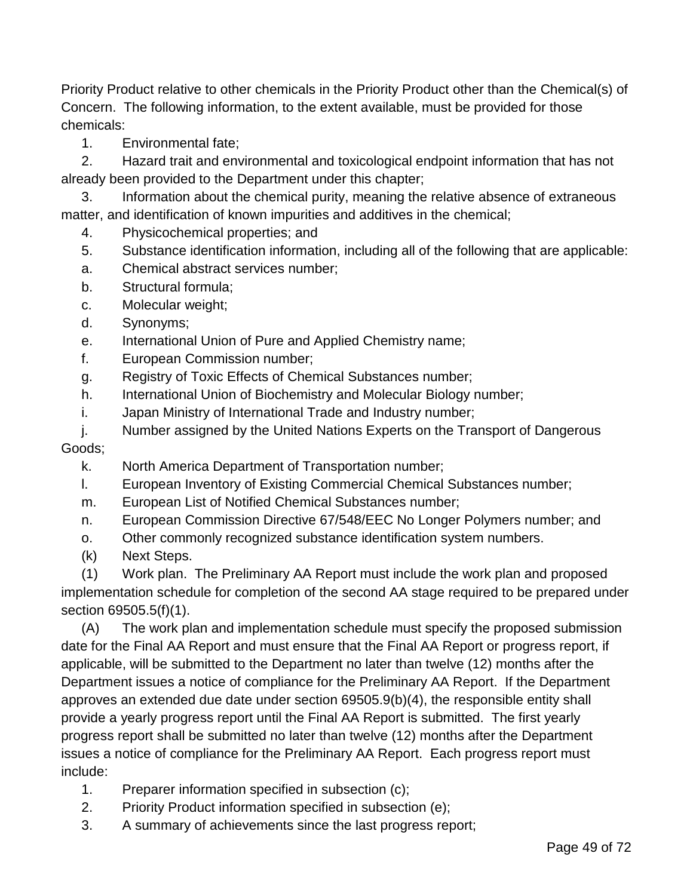Priority Product relative to other chemicals in the Priority Product other than the Chemical(s) of Concern. The following information, to the extent available, must be provided for those chemicals:

1. Environmental fate;

2. Hazard trait and environmental and toxicological endpoint information that has not already been provided to the Department under this chapter;

3. Information about the chemical purity, meaning the relative absence of extraneous matter, and identification of known impurities and additives in the chemical;

- 4. Physicochemical properties; and
- 5. Substance identification information, including all of the following that are applicable:
- a. Chemical abstract services number;
- b. Structural formula;
- c. Molecular weight;
- d. Synonyms;
- e. International Union of Pure and Applied Chemistry name;
- f. European Commission number;
- g. Registry of Toxic Effects of Chemical Substances number;
- h. International Union of Biochemistry and Molecular Biology number;
- i. Japan Ministry of International Trade and Industry number;
- j. Number assigned by the United Nations Experts on the Transport of Dangerous Goods;
	- k. North America Department of Transportation number;
	- l. European Inventory of Existing Commercial Chemical Substances number;
	- m. European List of Notified Chemical Substances number;
	- n. European Commission Directive 67/548/EEC No Longer Polymers number; and
	- o. Other commonly recognized substance identification system numbers.
	- (k) Next Steps.

(1) Work plan. The Preliminary AA Report must include the work plan and proposed implementation schedule for completion of the second AA stage required to be prepared under section 69505.5(f)(1).

(A) The work plan and implementation schedule must specify the proposed submission date for the Final AA Report and must ensure that the Final AA Report or progress report, if applicable, will be submitted to the Department no later than twelve (12) months after the Department issues a notice of compliance for the Preliminary AA Report. If the Department approves an extended due date under section 69505.9(b)(4), the responsible entity shall provide a yearly progress report until the Final AA Report is submitted. The first yearly progress report shall be submitted no later than twelve (12) months after the Department issues a notice of compliance for the Preliminary AA Report. Each progress report must include:

- 1. Preparer information specified in subsection (c);
- 2. Priority Product information specified in subsection (e);
- 3. A summary of achievements since the last progress report;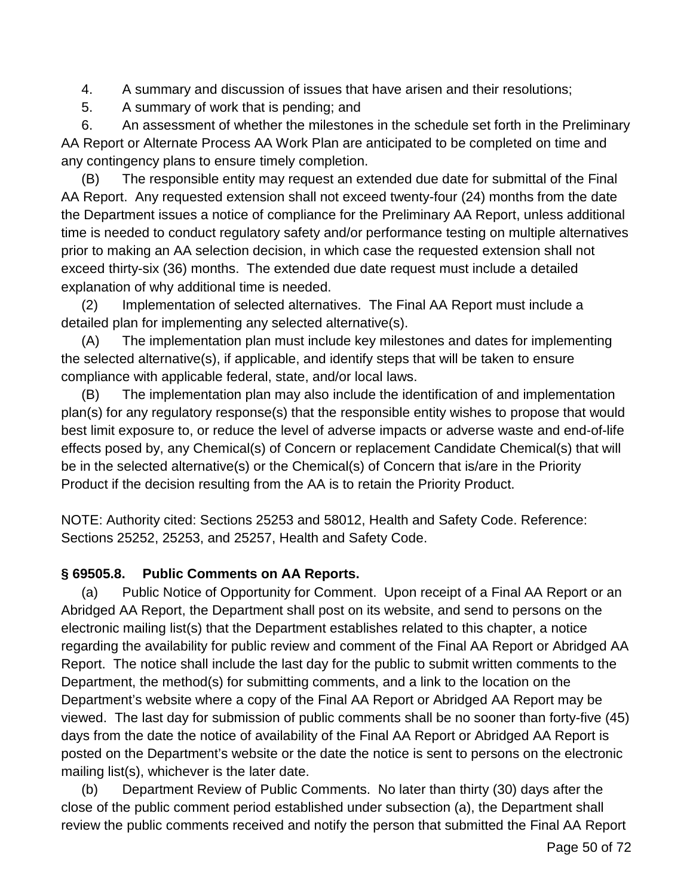4. A summary and discussion of issues that have arisen and their resolutions;

5. A summary of work that is pending; and

6. An assessment of whether the milestones in the schedule set forth in the Preliminary AA Report or Alternate Process AA Work Plan are anticipated to be completed on time and any contingency plans to ensure timely completion.

(B) The responsible entity may request an extended due date for submittal of the Final AA Report. Any requested extension shall not exceed twenty-four (24) months from the date the Department issues a notice of compliance for the Preliminary AA Report, unless additional time is needed to conduct regulatory safety and/or performance testing on multiple alternatives prior to making an AA selection decision, in which case the requested extension shall not exceed thirty-six (36) months. The extended due date request must include a detailed explanation of why additional time is needed.

(2) Implementation of selected alternatives. The Final AA Report must include a detailed plan for implementing any selected alternative(s).

(A) The implementation plan must include key milestones and dates for implementing the selected alternative(s), if applicable, and identify steps that will be taken to ensure compliance with applicable federal, state, and/or local laws.

(B) The implementation plan may also include the identification of and implementation plan(s) for any regulatory response(s) that the responsible entity wishes to propose that would best limit exposure to, or reduce the level of adverse impacts or adverse waste and end-of-life effects posed by, any Chemical(s) of Concern or replacement Candidate Chemical(s) that will be in the selected alternative(s) or the Chemical(s) of Concern that is/are in the Priority Product if the decision resulting from the AA is to retain the Priority Product.

NOTE: Authority cited: Sections 25253 and 58012, Health and Safety Code. Reference: Sections 25252, 25253, and 25257, Health and Safety Code.

### **§ 69505.8. Public Comments on AA Reports.**

(a) Public Notice of Opportunity for Comment. Upon receipt of a Final AA Report or an Abridged AA Report, the Department shall post on its website, and send to persons on the electronic mailing list(s) that the Department establishes related to this chapter, a notice regarding the availability for public review and comment of the Final AA Report or Abridged AA Report. The notice shall include the last day for the public to submit written comments to the Department, the method(s) for submitting comments, and a link to the location on the Department's website where a copy of the Final AA Report or Abridged AA Report may be viewed. The last day for submission of public comments shall be no sooner than forty-five (45) days from the date the notice of availability of the Final AA Report or Abridged AA Report is posted on the Department's website or the date the notice is sent to persons on the electronic mailing list(s), whichever is the later date.

(b) Department Review of Public Comments. No later than thirty (30) days after the close of the public comment period established under subsection (a), the Department shall review the public comments received and notify the person that submitted the Final AA Report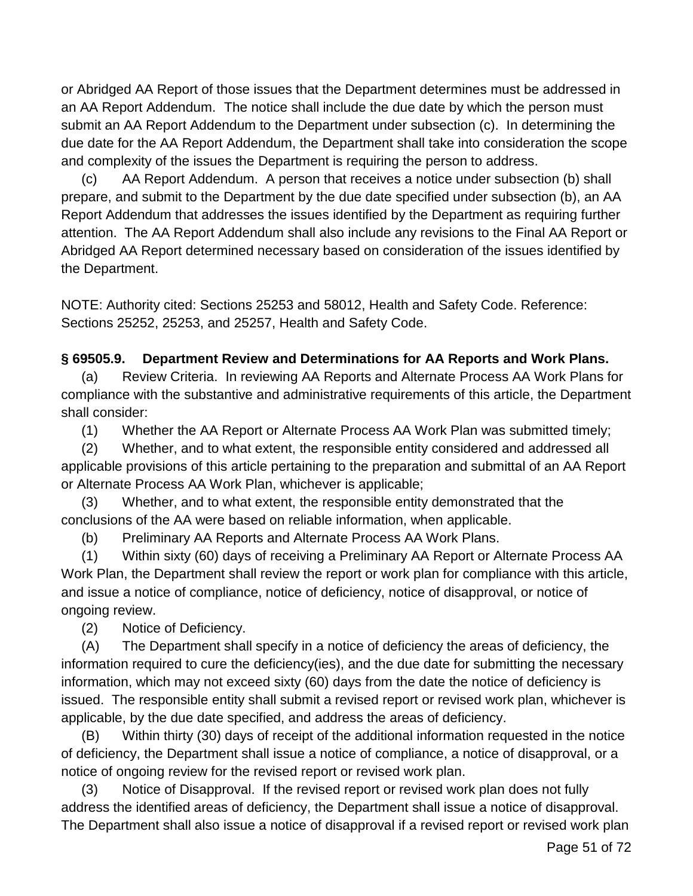or Abridged AA Report of those issues that the Department determines must be addressed in an AA Report Addendum. The notice shall include the due date by which the person must submit an AA Report Addendum to the Department under subsection (c). In determining the due date for the AA Report Addendum, the Department shall take into consideration the scope and complexity of the issues the Department is requiring the person to address.

(c) AA Report Addendum. A person that receives a notice under subsection (b) shall prepare, and submit to the Department by the due date specified under subsection (b), an AA Report Addendum that addresses the issues identified by the Department as requiring further attention. The AA Report Addendum shall also include any revisions to the Final AA Report or Abridged AA Report determined necessary based on consideration of the issues identified by the Department.

NOTE: Authority cited: Sections 25253 and 58012, Health and Safety Code. Reference: Sections 25252, 25253, and 25257, Health and Safety Code.

#### **§ 69505.9. Department Review and Determinations for AA Reports and Work Plans.**

(a) Review Criteria. In reviewing AA Reports and Alternate Process AA Work Plans for compliance with the substantive and administrative requirements of this article, the Department shall consider:

(1) Whether the AA Report or Alternate Process AA Work Plan was submitted timely;

(2) Whether, and to what extent, the responsible entity considered and addressed all applicable provisions of this article pertaining to the preparation and submittal of an AA Report or Alternate Process AA Work Plan, whichever is applicable;

(3) Whether, and to what extent, the responsible entity demonstrated that the conclusions of the AA were based on reliable information, when applicable.

(b) Preliminary AA Reports and Alternate Process AA Work Plans.

(1) Within sixty (60) days of receiving a Preliminary AA Report or Alternate Process AA Work Plan, the Department shall review the report or work plan for compliance with this article, and issue a notice of compliance, notice of deficiency, notice of disapproval, or notice of ongoing review.

(2) Notice of Deficiency.

(A) The Department shall specify in a notice of deficiency the areas of deficiency, the information required to cure the deficiency(ies), and the due date for submitting the necessary information, which may not exceed sixty (60) days from the date the notice of deficiency is issued. The responsible entity shall submit a revised report or revised work plan, whichever is applicable, by the due date specified, and address the areas of deficiency.

(B) Within thirty (30) days of receipt of the additional information requested in the notice of deficiency, the Department shall issue a notice of compliance, a notice of disapproval, or a notice of ongoing review for the revised report or revised work plan.

(3) Notice of Disapproval. If the revised report or revised work plan does not fully address the identified areas of deficiency, the Department shall issue a notice of disapproval. The Department shall also issue a notice of disapproval if a revised report or revised work plan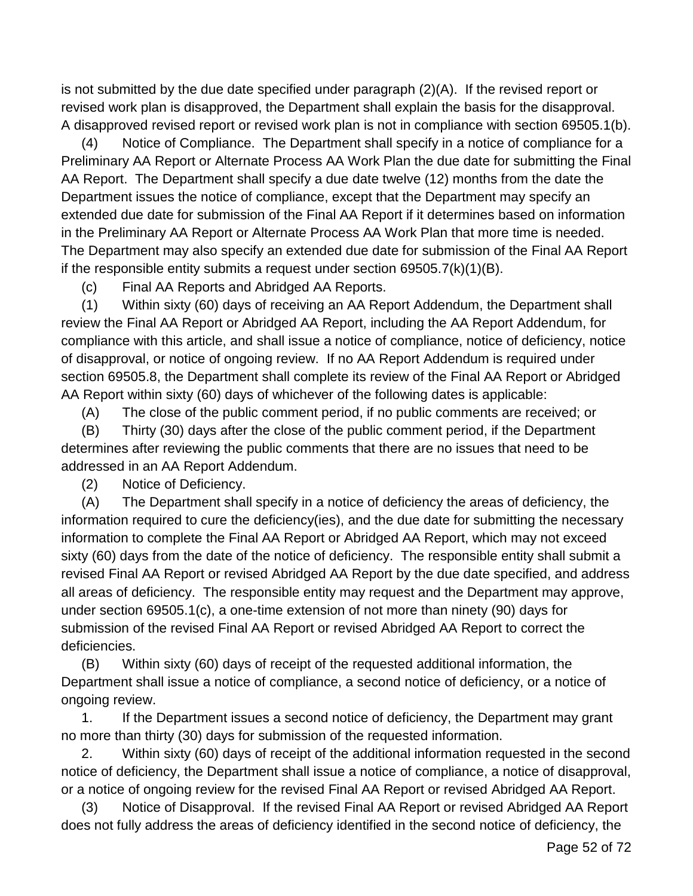is not submitted by the due date specified under paragraph (2)(A). If the revised report or revised work plan is disapproved, the Department shall explain the basis for the disapproval. A disapproved revised report or revised work plan is not in compliance with section 69505.1(b).

(4) Notice of Compliance. The Department shall specify in a notice of compliance for a Preliminary AA Report or Alternate Process AA Work Plan the due date for submitting the Final AA Report. The Department shall specify a due date twelve (12) months from the date the Department issues the notice of compliance, except that the Department may specify an extended due date for submission of the Final AA Report if it determines based on information in the Preliminary AA Report or Alternate Process AA Work Plan that more time is needed. The Department may also specify an extended due date for submission of the Final AA Report if the responsible entity submits a request under section  $69505.7(k)(1)(B)$ .

(c) Final AA Reports and Abridged AA Reports.

(1) Within sixty (60) days of receiving an AA Report Addendum, the Department shall review the Final AA Report or Abridged AA Report, including the AA Report Addendum, for compliance with this article, and shall issue a notice of compliance, notice of deficiency, notice of disapproval, or notice of ongoing review. If no AA Report Addendum is required under section 69505.8, the Department shall complete its review of the Final AA Report or Abridged AA Report within sixty (60) days of whichever of the following dates is applicable:

(A) The close of the public comment period, if no public comments are received; or

(B) Thirty (30) days after the close of the public comment period, if the Department determines after reviewing the public comments that there are no issues that need to be addressed in an AA Report Addendum.

(2) Notice of Deficiency.

(A) The Department shall specify in a notice of deficiency the areas of deficiency, the information required to cure the deficiency(ies), and the due date for submitting the necessary information to complete the Final AA Report or Abridged AA Report, which may not exceed sixty (60) days from the date of the notice of deficiency. The responsible entity shall submit a revised Final AA Report or revised Abridged AA Report by the due date specified, and address all areas of deficiency. The responsible entity may request and the Department may approve, under section 69505.1(c), a one-time extension of not more than ninety (90) days for submission of the revised Final AA Report or revised Abridged AA Report to correct the deficiencies.

(B) Within sixty (60) days of receipt of the requested additional information, the Department shall issue a notice of compliance, a second notice of deficiency, or a notice of ongoing review.

1. If the Department issues a second notice of deficiency, the Department may grant no more than thirty (30) days for submission of the requested information.

2. Within sixty (60) days of receipt of the additional information requested in the second notice of deficiency, the Department shall issue a notice of compliance, a notice of disapproval, or a notice of ongoing review for the revised Final AA Report or revised Abridged AA Report.

(3) Notice of Disapproval. If the revised Final AA Report or revised Abridged AA Report does not fully address the areas of deficiency identified in the second notice of deficiency, the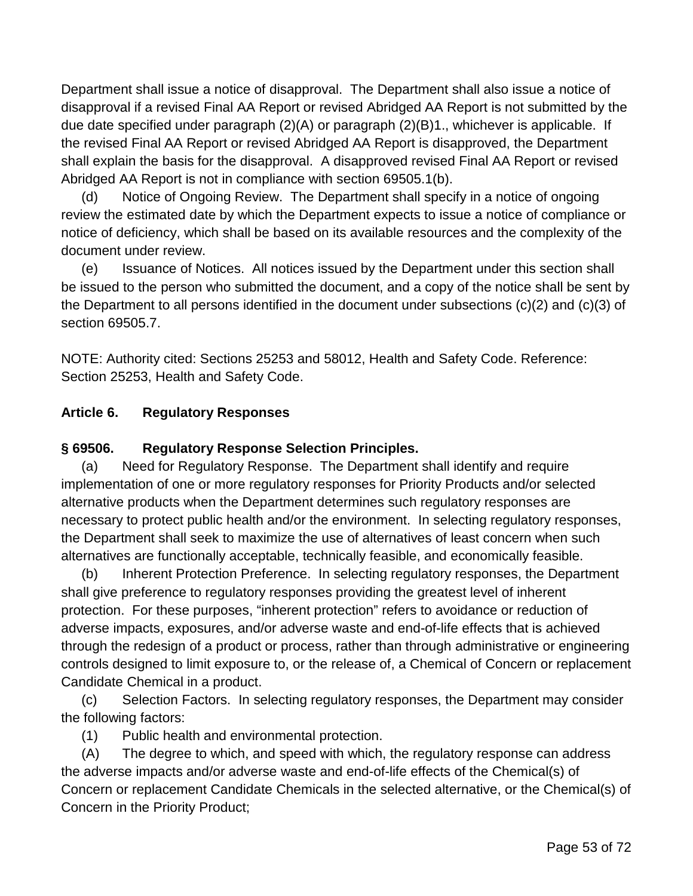Department shall issue a notice of disapproval. The Department shall also issue a notice of disapproval if a revised Final AA Report or revised Abridged AA Report is not submitted by the due date specified under paragraph (2)(A) or paragraph (2)(B)1., whichever is applicable. If the revised Final AA Report or revised Abridged AA Report is disapproved, the Department shall explain the basis for the disapproval. A disapproved revised Final AA Report or revised Abridged AA Report is not in compliance with section 69505.1(b).

(d) Notice of Ongoing Review. The Department shall specify in a notice of ongoing review the estimated date by which the Department expects to issue a notice of compliance or notice of deficiency, which shall be based on its available resources and the complexity of the document under review.

(e) Issuance of Notices. All notices issued by the Department under this section shall be issued to the person who submitted the document, and a copy of the notice shall be sent by the Department to all persons identified in the document under subsections (c)(2) and (c)(3) of section 69505.7.

NOTE: Authority cited: Sections 25253 and 58012, Health and Safety Code. Reference: Section 25253, Health and Safety Code.

### **Article 6. Regulatory Responses**

#### **§ 69506. Regulatory Response Selection Principles.**

(a) Need for Regulatory Response. The Department shall identify and require implementation of one or more regulatory responses for Priority Products and/or selected alternative products when the Department determines such regulatory responses are necessary to protect public health and/or the environment. In selecting regulatory responses, the Department shall seek to maximize the use of alternatives of least concern when such alternatives are functionally acceptable, technically feasible, and economically feasible.

(b) Inherent Protection Preference. In selecting regulatory responses, the Department shall give preference to regulatory responses providing the greatest level of inherent protection. For these purposes, "inherent protection" refers to avoidance or reduction of adverse impacts, exposures, and/or adverse waste and end-of-life effects that is achieved through the redesign of a product or process, rather than through administrative or engineering controls designed to limit exposure to, or the release of, a Chemical of Concern or replacement Candidate Chemical in a product.

(c) Selection Factors. In selecting regulatory responses, the Department may consider the following factors:

(1) Public health and environmental protection.

(A) The degree to which, and speed with which, the regulatory response can address the adverse impacts and/or adverse waste and end-of-life effects of the Chemical(s) of Concern or replacement Candidate Chemicals in the selected alternative, or the Chemical(s) of Concern in the Priority Product;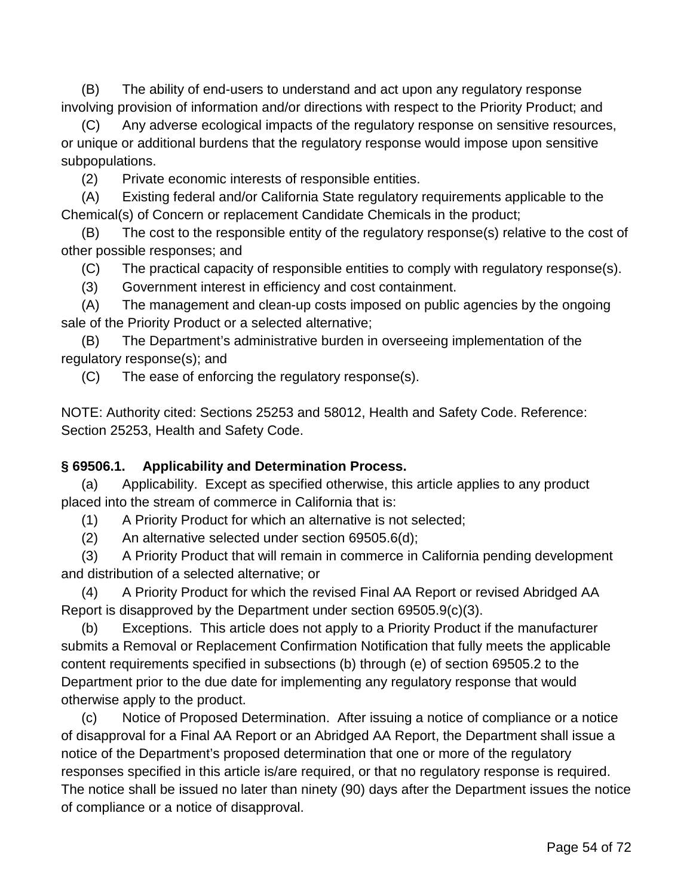(B) The ability of end-users to understand and act upon any regulatory response involving provision of information and/or directions with respect to the Priority Product; and

(C) Any adverse ecological impacts of the regulatory response on sensitive resources, or unique or additional burdens that the regulatory response would impose upon sensitive subpopulations.

(2) Private economic interests of responsible entities.

(A) Existing federal and/or California State regulatory requirements applicable to the Chemical(s) of Concern or replacement Candidate Chemicals in the product;

(B) The cost to the responsible entity of the regulatory response(s) relative to the cost of other possible responses; and

(C) The practical capacity of responsible entities to comply with regulatory response(s).

(3) Government interest in efficiency and cost containment.

(A) The management and clean-up costs imposed on public agencies by the ongoing sale of the Priority Product or a selected alternative;

(B) The Department's administrative burden in overseeing implementation of the regulatory response(s); and

(C) The ease of enforcing the regulatory response(s).

NOTE: Authority cited: Sections 25253 and 58012, Health and Safety Code. Reference: Section 25253, Health and Safety Code.

### **§ 69506.1. Applicability and Determination Process.**

(a) Applicability. Except as specified otherwise, this article applies to any product placed into the stream of commerce in California that is:

(1) A Priority Product for which an alternative is not selected;

(2) An alternative selected under section 69505.6(d);

(3) A Priority Product that will remain in commerce in California pending development and distribution of a selected alternative; or

(4) A Priority Product for which the revised Final AA Report or revised Abridged AA Report is disapproved by the Department under section 69505.9(c)(3).

(b) Exceptions. This article does not apply to a Priority Product if the manufacturer submits a Removal or Replacement Confirmation Notification that fully meets the applicable content requirements specified in subsections (b) through (e) of section 69505.2 to the Department prior to the due date for implementing any regulatory response that would otherwise apply to the product.

(c) Notice of Proposed Determination. After issuing a notice of compliance or a notice of disapproval for a Final AA Report or an Abridged AA Report, the Department shall issue a notice of the Department's proposed determination that one or more of the regulatory responses specified in this article is/are required, or that no regulatory response is required. The notice shall be issued no later than ninety (90) days after the Department issues the notice of compliance or a notice of disapproval.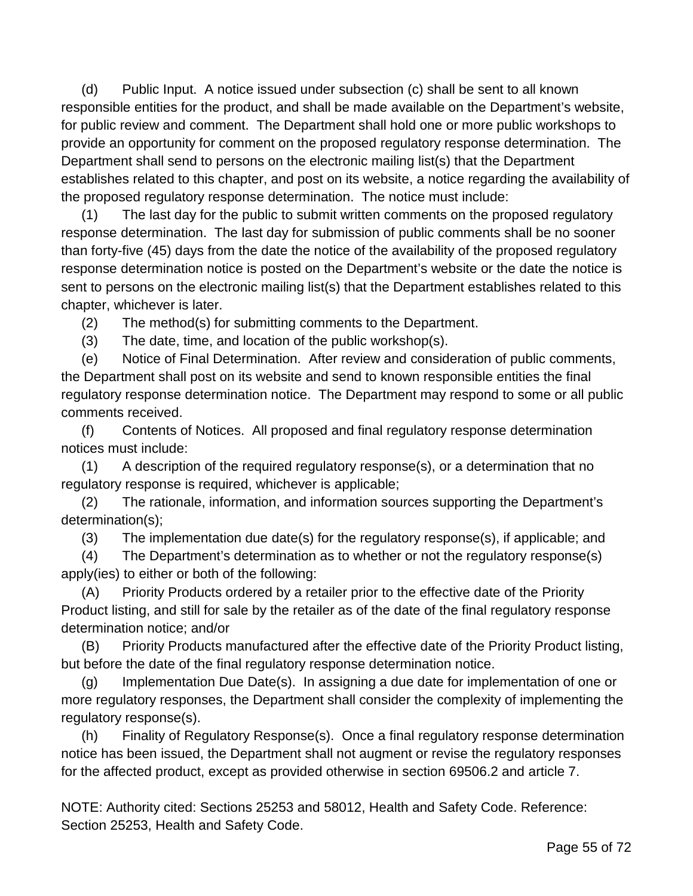(d) Public Input. A notice issued under subsection (c) shall be sent to all known responsible entities for the product, and shall be made available on the Department's website, for public review and comment. The Department shall hold one or more public workshops to provide an opportunity for comment on the proposed regulatory response determination. The Department shall send to persons on the electronic mailing list(s) that the Department establishes related to this chapter, and post on its website, a notice regarding the availability of the proposed regulatory response determination. The notice must include:

(1) The last day for the public to submit written comments on the proposed regulatory response determination. The last day for submission of public comments shall be no sooner than forty-five (45) days from the date the notice of the availability of the proposed regulatory response determination notice is posted on the Department's website or the date the notice is sent to persons on the electronic mailing list(s) that the Department establishes related to this chapter, whichever is later.

(2) The method(s) for submitting comments to the Department.

(3) The date, time, and location of the public workshop(s).

(e) Notice of Final Determination. After review and consideration of public comments, the Department shall post on its website and send to known responsible entities the final regulatory response determination notice. The Department may respond to some or all public comments received.

(f) Contents of Notices. All proposed and final regulatory response determination notices must include:

(1) A description of the required regulatory response(s), or a determination that no regulatory response is required, whichever is applicable;

(2) The rationale, information, and information sources supporting the Department's determination(s);

(3) The implementation due date(s) for the regulatory response(s), if applicable; and

(4) The Department's determination as to whether or not the regulatory response(s) apply(ies) to either or both of the following:

(A) Priority Products ordered by a retailer prior to the effective date of the Priority Product listing, and still for sale by the retailer as of the date of the final regulatory response determination notice; and/or

(B) Priority Products manufactured after the effective date of the Priority Product listing, but before the date of the final regulatory response determination notice.

(g) Implementation Due Date(s). In assigning a due date for implementation of one or more regulatory responses, the Department shall consider the complexity of implementing the regulatory response(s).

(h) Finality of Regulatory Response(s). Once a final regulatory response determination notice has been issued, the Department shall not augment or revise the regulatory responses for the affected product, except as provided otherwise in section 69506.2 and article 7.

NOTE: Authority cited: Sections 25253 and 58012, Health and Safety Code. Reference: Section 25253, Health and Safety Code.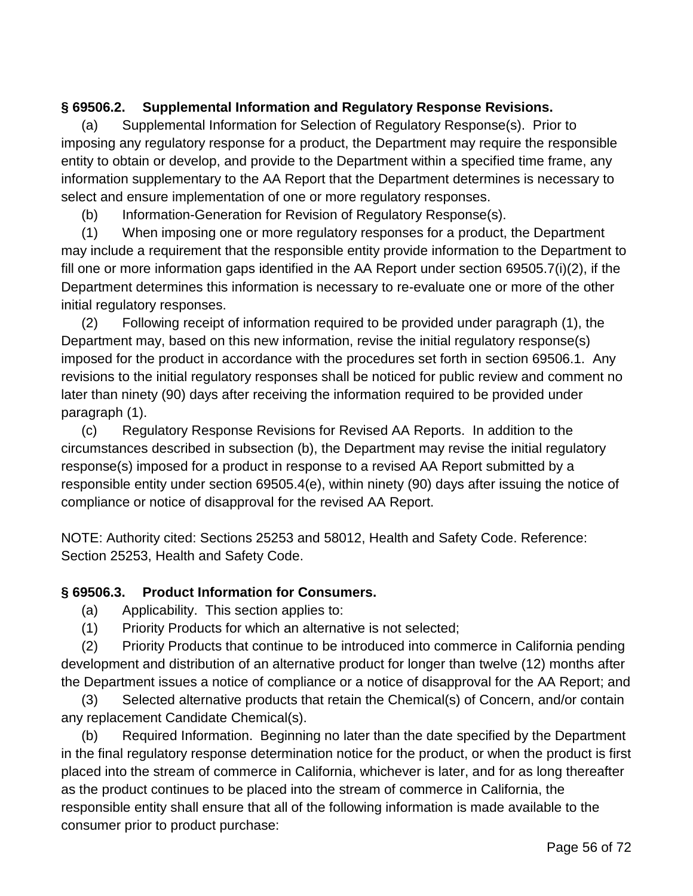## **§ 69506.2. Supplemental Information and Regulatory Response Revisions.**

(a) Supplemental Information for Selection of Regulatory Response(s). Prior to imposing any regulatory response for a product, the Department may require the responsible entity to obtain or develop, and provide to the Department within a specified time frame, any information supplementary to the AA Report that the Department determines is necessary to select and ensure implementation of one or more regulatory responses.

(b) Information-Generation for Revision of Regulatory Response(s).

(1) When imposing one or more regulatory responses for a product, the Department may include a requirement that the responsible entity provide information to the Department to fill one or more information gaps identified in the AA Report under section 69505.7(i)(2), if the Department determines this information is necessary to re-evaluate one or more of the other initial regulatory responses.

(2) Following receipt of information required to be provided under paragraph (1), the Department may, based on this new information, revise the initial regulatory response(s) imposed for the product in accordance with the procedures set forth in section 69506.1. Any revisions to the initial regulatory responses shall be noticed for public review and comment no later than ninety (90) days after receiving the information required to be provided under paragraph (1).

(c) Regulatory Response Revisions for Revised AA Reports. In addition to the circumstances described in subsection (b), the Department may revise the initial regulatory response(s) imposed for a product in response to a revised AA Report submitted by a responsible entity under section 69505.4(e), within ninety (90) days after issuing the notice of compliance or notice of disapproval for the revised AA Report.

NOTE: Authority cited: Sections 25253 and 58012, Health and Safety Code. Reference: Section 25253, Health and Safety Code.

### **§ 69506.3. Product Information for Consumers.**

- (a) Applicability. This section applies to:
- (1) Priority Products for which an alternative is not selected;

(2) Priority Products that continue to be introduced into commerce in California pending development and distribution of an alternative product for longer than twelve (12) months after the Department issues a notice of compliance or a notice of disapproval for the AA Report; and

(3) Selected alternative products that retain the Chemical(s) of Concern, and/or contain any replacement Candidate Chemical(s).

(b) Required Information. Beginning no later than the date specified by the Department in the final regulatory response determination notice for the product, or when the product is first placed into the stream of commerce in California, whichever is later, and for as long thereafter as the product continues to be placed into the stream of commerce in California, the responsible entity shall ensure that all of the following information is made available to the consumer prior to product purchase: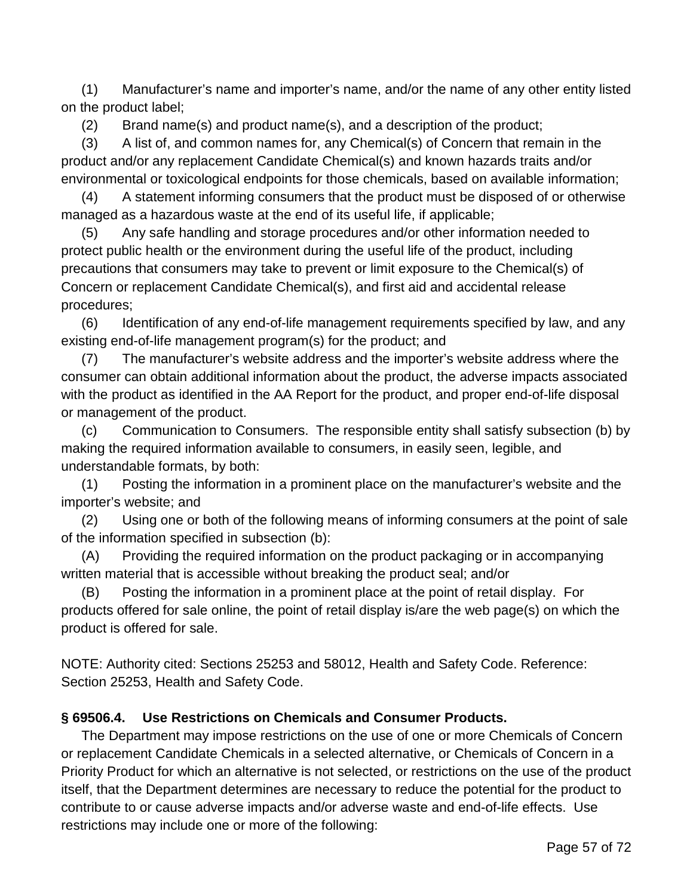(1) Manufacturer's name and importer's name, and/or the name of any other entity listed on the product label;

(2) Brand name(s) and product name(s), and a description of the product;

(3) A list of, and common names for, any Chemical(s) of Concern that remain in the product and/or any replacement Candidate Chemical(s) and known hazards traits and/or environmental or toxicological endpoints for those chemicals, based on available information;

(4) A statement informing consumers that the product must be disposed of or otherwise managed as a hazardous waste at the end of its useful life, if applicable;

(5) Any safe handling and storage procedures and/or other information needed to protect public health or the environment during the useful life of the product, including precautions that consumers may take to prevent or limit exposure to the Chemical(s) of Concern or replacement Candidate Chemical(s), and first aid and accidental release procedures;

(6) Identification of any end-of-life management requirements specified by law, and any existing end-of-life management program(s) for the product; and

(7) The manufacturer's website address and the importer's website address where the consumer can obtain additional information about the product, the adverse impacts associated with the product as identified in the AA Report for the product, and proper end-of-life disposal or management of the product.

(c) Communication to Consumers. The responsible entity shall satisfy subsection (b) by making the required information available to consumers, in easily seen, legible, and understandable formats, by both:

(1) Posting the information in a prominent place on the manufacturer's website and the importer's website; and

(2) Using one or both of the following means of informing consumers at the point of sale of the information specified in subsection (b):

(A) Providing the required information on the product packaging or in accompanying written material that is accessible without breaking the product seal; and/or

(B) Posting the information in a prominent place at the point of retail display. For products offered for sale online, the point of retail display is/are the web page(s) on which the product is offered for sale.

NOTE: Authority cited: Sections 25253 and 58012, Health and Safety Code. Reference: Section 25253, Health and Safety Code.

### **§ 69506.4. Use Restrictions on Chemicals and Consumer Products.**

The Department may impose restrictions on the use of one or more Chemicals of Concern or replacement Candidate Chemicals in a selected alternative, or Chemicals of Concern in a Priority Product for which an alternative is not selected, or restrictions on the use of the product itself, that the Department determines are necessary to reduce the potential for the product to contribute to or cause adverse impacts and/or adverse waste and end-of-life effects. Use restrictions may include one or more of the following: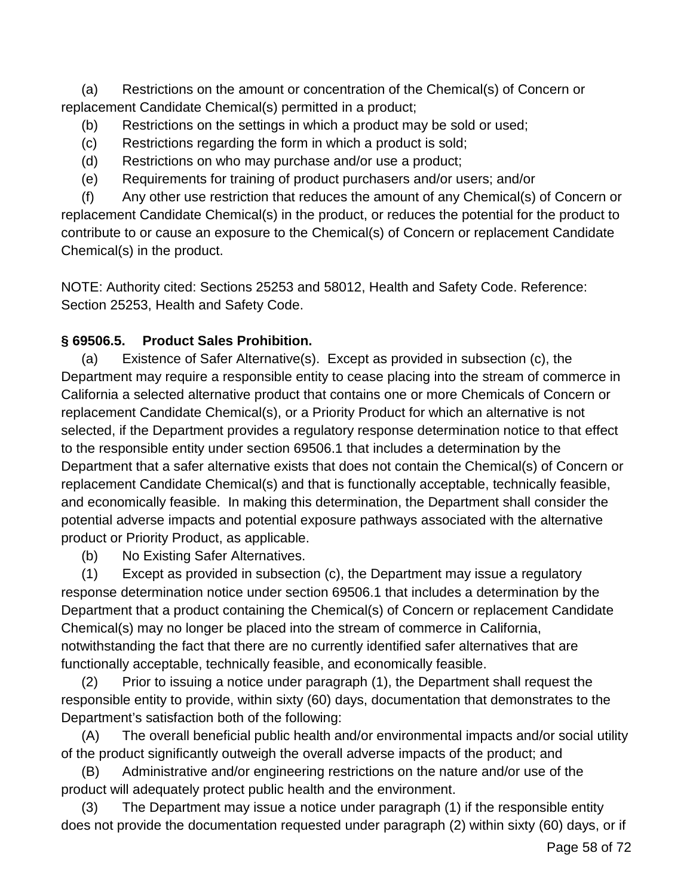(a) Restrictions on the amount or concentration of the Chemical(s) of Concern or replacement Candidate Chemical(s) permitted in a product;

- (b) Restrictions on the settings in which a product may be sold or used;
- (c) Restrictions regarding the form in which a product is sold;
- (d) Restrictions on who may purchase and/or use a product;
- (e) Requirements for training of product purchasers and/or users; and/or

(f) Any other use restriction that reduces the amount of any Chemical(s) of Concern or replacement Candidate Chemical(s) in the product, or reduces the potential for the product to contribute to or cause an exposure to the Chemical(s) of Concern or replacement Candidate Chemical(s) in the product.

NOTE: Authority cited: Sections 25253 and 58012, Health and Safety Code. Reference: Section 25253, Health and Safety Code.

## **§ 69506.5. Product Sales Prohibition.**

(a) Existence of Safer Alternative(s). Except as provided in subsection (c), the Department may require a responsible entity to cease placing into the stream of commerce in California a selected alternative product that contains one or more Chemicals of Concern or replacement Candidate Chemical(s), or a Priority Product for which an alternative is not selected, if the Department provides a regulatory response determination notice to that effect to the responsible entity under section 69506.1 that includes a determination by the Department that a safer alternative exists that does not contain the Chemical(s) of Concern or replacement Candidate Chemical(s) and that is functionally acceptable, technically feasible, and economically feasible. In making this determination, the Department shall consider the potential adverse impacts and potential exposure pathways associated with the alternative product or Priority Product, as applicable.

(b) No Existing Safer Alternatives.

(1) Except as provided in subsection (c), the Department may issue a regulatory response determination notice under section 69506.1 that includes a determination by the Department that a product containing the Chemical(s) of Concern or replacement Candidate Chemical(s) may no longer be placed into the stream of commerce in California, notwithstanding the fact that there are no currently identified safer alternatives that are functionally acceptable, technically feasible, and economically feasible.

(2) Prior to issuing a notice under paragraph (1), the Department shall request the responsible entity to provide, within sixty (60) days, documentation that demonstrates to the Department's satisfaction both of the following:

(A) The overall beneficial public health and/or environmental impacts and/or social utility of the product significantly outweigh the overall adverse impacts of the product; and

(B) Administrative and/or engineering restrictions on the nature and/or use of the product will adequately protect public health and the environment.

(3) The Department may issue a notice under paragraph (1) if the responsible entity does not provide the documentation requested under paragraph (2) within sixty (60) days, or if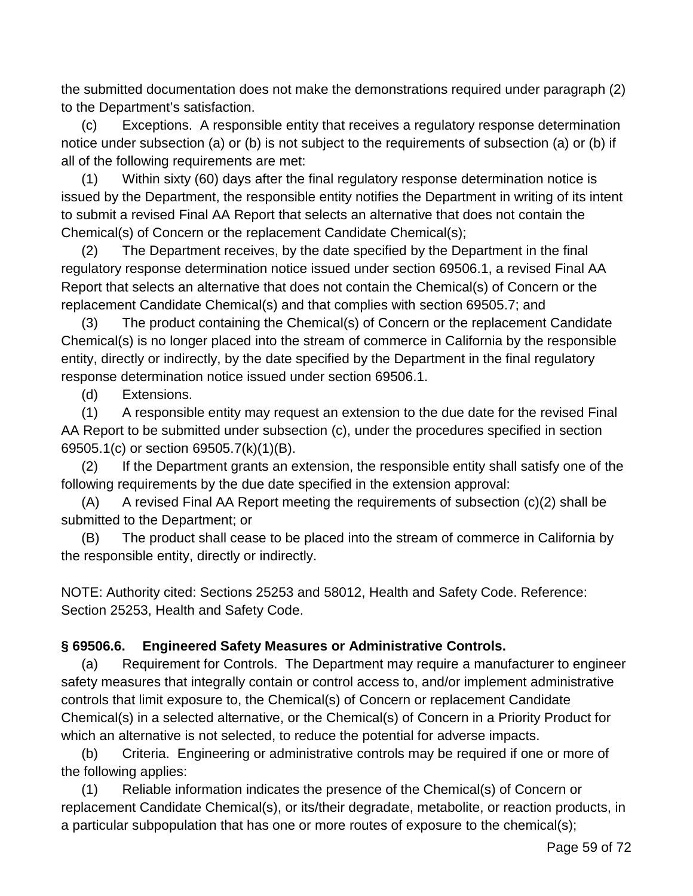the submitted documentation does not make the demonstrations required under paragraph (2) to the Department's satisfaction.

(c) Exceptions. A responsible entity that receives a regulatory response determination notice under subsection (a) or (b) is not subject to the requirements of subsection (a) or (b) if all of the following requirements are met:

(1) Within sixty (60) days after the final regulatory response determination notice is issued by the Department, the responsible entity notifies the Department in writing of its intent to submit a revised Final AA Report that selects an alternative that does not contain the Chemical(s) of Concern or the replacement Candidate Chemical(s);

(2) The Department receives, by the date specified by the Department in the final regulatory response determination notice issued under section 69506.1, a revised Final AA Report that selects an alternative that does not contain the Chemical(s) of Concern or the replacement Candidate Chemical(s) and that complies with section 69505.7; and

(3) The product containing the Chemical(s) of Concern or the replacement Candidate Chemical(s) is no longer placed into the stream of commerce in California by the responsible entity, directly or indirectly, by the date specified by the Department in the final regulatory response determination notice issued under section 69506.1.

(d) Extensions.

(1) A responsible entity may request an extension to the due date for the revised Final AA Report to be submitted under subsection (c), under the procedures specified in section 69505.1(c) or section 69505.7(k)(1)(B).

(2) If the Department grants an extension, the responsible entity shall satisfy one of the following requirements by the due date specified in the extension approval:

 $(A)$  A revised Final AA Report meeting the requirements of subsection  $(c)(2)$  shall be submitted to the Department; or

(B) The product shall cease to be placed into the stream of commerce in California by the responsible entity, directly or indirectly.

NOTE: Authority cited: Sections 25253 and 58012, Health and Safety Code. Reference: Section 25253, Health and Safety Code.

### **§ 69506.6. Engineered Safety Measures or Administrative Controls.**

(a) Requirement for Controls. The Department may require a manufacturer to engineer safety measures that integrally contain or control access to, and/or implement administrative controls that limit exposure to, the Chemical(s) of Concern or replacement Candidate Chemical(s) in a selected alternative, or the Chemical(s) of Concern in a Priority Product for which an alternative is not selected, to reduce the potential for adverse impacts.

(b) Criteria. Engineering or administrative controls may be required if one or more of the following applies:

(1) Reliable information indicates the presence of the Chemical(s) of Concern or replacement Candidate Chemical(s), or its/their degradate, metabolite, or reaction products, in a particular subpopulation that has one or more routes of exposure to the chemical(s);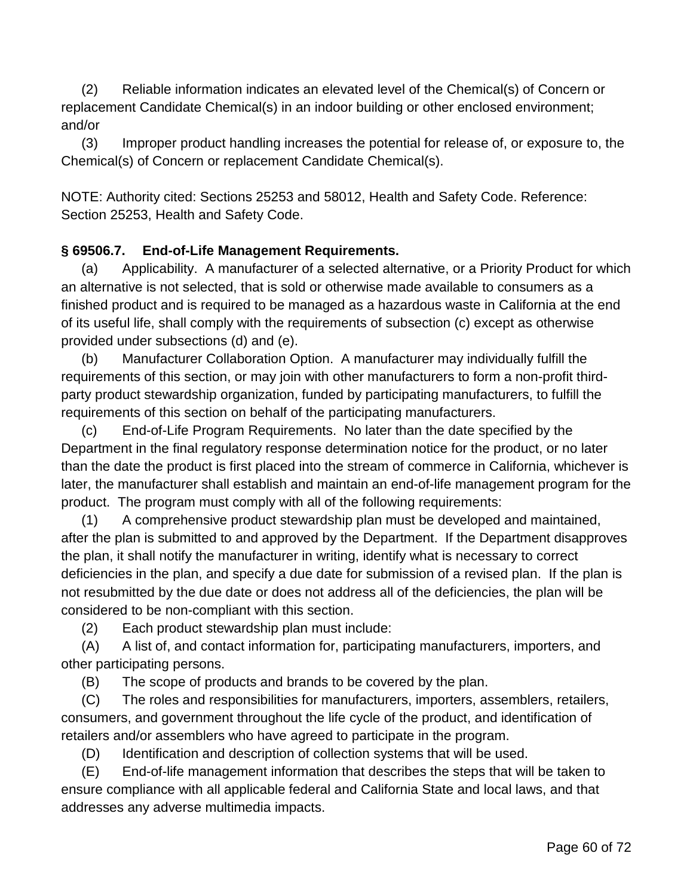(2) Reliable information indicates an elevated level of the Chemical(s) of Concern or replacement Candidate Chemical(s) in an indoor building or other enclosed environment; and/or

(3) Improper product handling increases the potential for release of, or exposure to, the Chemical(s) of Concern or replacement Candidate Chemical(s).

NOTE: Authority cited: Sections 25253 and 58012, Health and Safety Code. Reference: Section 25253, Health and Safety Code.

### **§ 69506.7. End-of-Life Management Requirements.**

(a) Applicability. A manufacturer of a selected alternative, or a Priority Product for which an alternative is not selected, that is sold or otherwise made available to consumers as a finished product and is required to be managed as a hazardous waste in California at the end of its useful life, shall comply with the requirements of subsection (c) except as otherwise provided under subsections (d) and (e).

(b) Manufacturer Collaboration Option. A manufacturer may individually fulfill the requirements of this section, or may join with other manufacturers to form a non-profit thirdparty product stewardship organization, funded by participating manufacturers, to fulfill the requirements of this section on behalf of the participating manufacturers.

(c) End-of-Life Program Requirements. No later than the date specified by the Department in the final regulatory response determination notice for the product, or no later than the date the product is first placed into the stream of commerce in California, whichever is later, the manufacturer shall establish and maintain an end-of-life management program for the product. The program must comply with all of the following requirements:

(1) A comprehensive product stewardship plan must be developed and maintained, after the plan is submitted to and approved by the Department. If the Department disapproves the plan, it shall notify the manufacturer in writing, identify what is necessary to correct deficiencies in the plan, and specify a due date for submission of a revised plan. If the plan is not resubmitted by the due date or does not address all of the deficiencies, the plan will be considered to be non-compliant with this section.

(2) Each product stewardship plan must include:

(A) A list of, and contact information for, participating manufacturers, importers, and other participating persons.

(B) The scope of products and brands to be covered by the plan.

(C) The roles and responsibilities for manufacturers, importers, assemblers, retailers, consumers, and government throughout the life cycle of the product, and identification of retailers and/or assemblers who have agreed to participate in the program.

(D) Identification and description of collection systems that will be used.

(E) End-of-life management information that describes the steps that will be taken to ensure compliance with all applicable federal and California State and local laws, and that addresses any adverse multimedia impacts.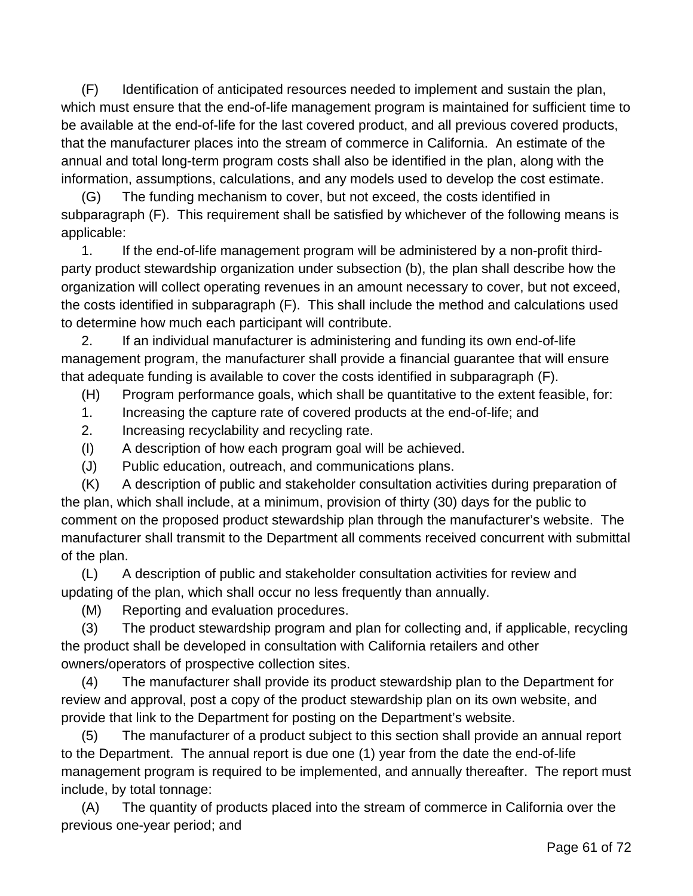(F) Identification of anticipated resources needed to implement and sustain the plan, which must ensure that the end-of-life management program is maintained for sufficient time to be available at the end-of-life for the last covered product, and all previous covered products, that the manufacturer places into the stream of commerce in California. An estimate of the annual and total long-term program costs shall also be identified in the plan, along with the information, assumptions, calculations, and any models used to develop the cost estimate.

(G) The funding mechanism to cover, but not exceed, the costs identified in subparagraph (F). This requirement shall be satisfied by whichever of the following means is applicable:

1. If the end-of-life management program will be administered by a non-profit thirdparty product stewardship organization under subsection (b), the plan shall describe how the organization will collect operating revenues in an amount necessary to cover, but not exceed, the costs identified in subparagraph (F). This shall include the method and calculations used to determine how much each participant will contribute.

2. If an individual manufacturer is administering and funding its own end-of-life management program, the manufacturer shall provide a financial guarantee that will ensure that adequate funding is available to cover the costs identified in subparagraph (F).

(H) Program performance goals, which shall be quantitative to the extent feasible, for:

- 1. Increasing the capture rate of covered products at the end-of-life; and
- 2. Increasing recyclability and recycling rate.
- (I) A description of how each program goal will be achieved.
- (J) Public education, outreach, and communications plans.

(K) A description of public and stakeholder consultation activities during preparation of the plan, which shall include, at a minimum, provision of thirty (30) days for the public to comment on the proposed product stewardship plan through the manufacturer's website. The manufacturer shall transmit to the Department all comments received concurrent with submittal of the plan.

(L) A description of public and stakeholder consultation activities for review and updating of the plan, which shall occur no less frequently than annually.

(M) Reporting and evaluation procedures.

(3) The product stewardship program and plan for collecting and, if applicable, recycling the product shall be developed in consultation with California retailers and other owners/operators of prospective collection sites.

(4) The manufacturer shall provide its product stewardship plan to the Department for review and approval, post a copy of the product stewardship plan on its own website, and provide that link to the Department for posting on the Department's website.

(5) The manufacturer of a product subject to this section shall provide an annual report to the Department. The annual report is due one (1) year from the date the end-of-life management program is required to be implemented, and annually thereafter. The report must include, by total tonnage:

(A) The quantity of products placed into the stream of commerce in California over the previous one-year period; and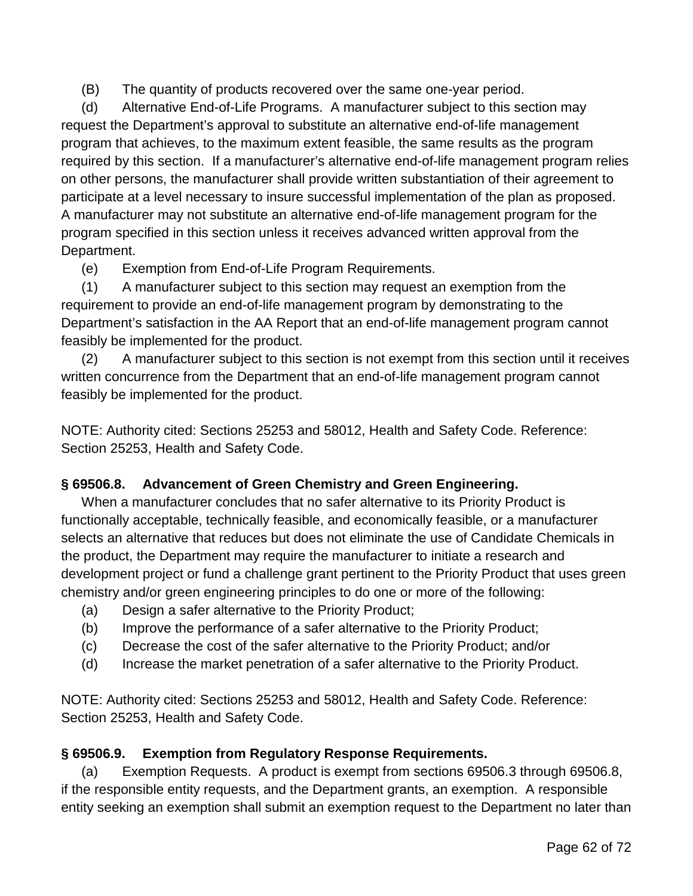(B) The quantity of products recovered over the same one-year period.

(d) Alternative End-of-Life Programs. A manufacturer subject to this section may request the Department's approval to substitute an alternative end-of-life management program that achieves, to the maximum extent feasible, the same results as the program required by this section. If a manufacturer's alternative end-of-life management program relies on other persons, the manufacturer shall provide written substantiation of their agreement to participate at a level necessary to insure successful implementation of the plan as proposed. A manufacturer may not substitute an alternative end-of-life management program for the program specified in this section unless it receives advanced written approval from the Department.

(e) Exemption from End-of-Life Program Requirements.

(1) A manufacturer subject to this section may request an exemption from the requirement to provide an end-of-life management program by demonstrating to the Department's satisfaction in the AA Report that an end-of-life management program cannot feasibly be implemented for the product.

(2) A manufacturer subject to this section is not exempt from this section until it receives written concurrence from the Department that an end-of-life management program cannot feasibly be implemented for the product.

NOTE: Authority cited: Sections 25253 and 58012, Health and Safety Code. Reference: Section 25253, Health and Safety Code.

### **§ 69506.8. Advancement of Green Chemistry and Green Engineering.**

When a manufacturer concludes that no safer alternative to its Priority Product is functionally acceptable, technically feasible, and economically feasible, or a manufacturer selects an alternative that reduces but does not eliminate the use of Candidate Chemicals in the product, the Department may require the manufacturer to initiate a research and development project or fund a challenge grant pertinent to the Priority Product that uses green chemistry and/or green engineering principles to do one or more of the following:

- (a) Design a safer alternative to the Priority Product;
- (b) Improve the performance of a safer alternative to the Priority Product;
- (c) Decrease the cost of the safer alternative to the Priority Product; and/or
- (d) Increase the market penetration of a safer alternative to the Priority Product.

NOTE: Authority cited: Sections 25253 and 58012, Health and Safety Code. Reference: Section 25253, Health and Safety Code.

### **§ 69506.9. Exemption from Regulatory Response Requirements.**

(a) Exemption Requests. A product is exempt from sections 69506.3 through 69506.8, if the responsible entity requests, and the Department grants, an exemption. A responsible entity seeking an exemption shall submit an exemption request to the Department no later than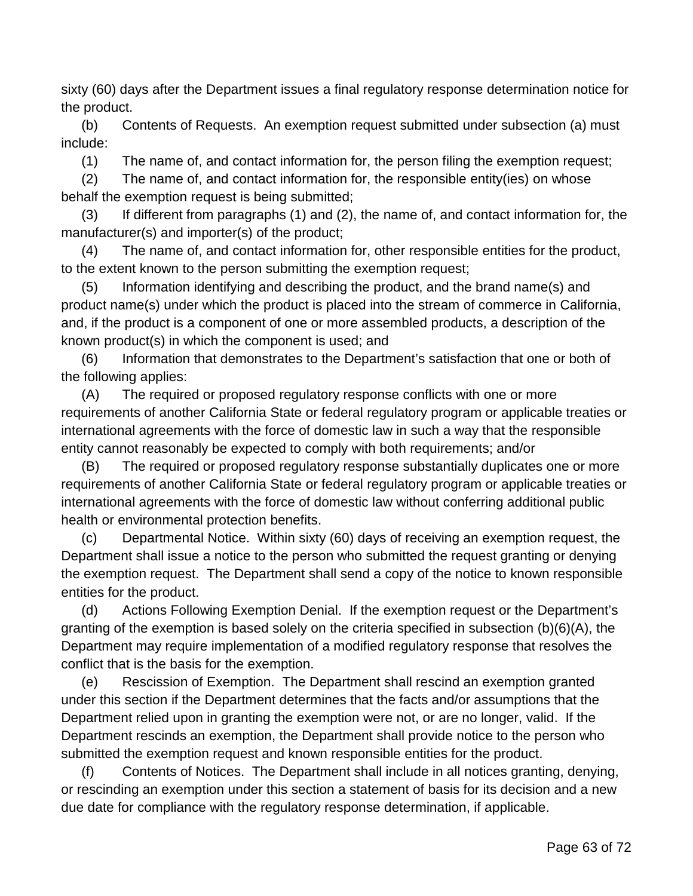sixty (60) days after the Department issues a final regulatory response determination notice for the product.

(b) Contents of Requests. An exemption request submitted under subsection (a) must include:

(1) The name of, and contact information for, the person filing the exemption request;

(2) The name of, and contact information for, the responsible entity(ies) on whose behalf the exemption request is being submitted;

(3) If different from paragraphs (1) and (2), the name of, and contact information for, the manufacturer(s) and importer(s) of the product;

(4) The name of, and contact information for, other responsible entities for the product, to the extent known to the person submitting the exemption request;

(5) Information identifying and describing the product, and the brand name(s) and product name(s) under which the product is placed into the stream of commerce in California, and, if the product is a component of one or more assembled products, a description of the known product(s) in which the component is used; and

(6) Information that demonstrates to the Department's satisfaction that one or both of the following applies:

(A) The required or proposed regulatory response conflicts with one or more requirements of another California State or federal regulatory program or applicable treaties or international agreements with the force of domestic law in such a way that the responsible entity cannot reasonably be expected to comply with both requirements; and/or

(B) The required or proposed regulatory response substantially duplicates one or more requirements of another California State or federal regulatory program or applicable treaties or international agreements with the force of domestic law without conferring additional public health or environmental protection benefits.

(c) Departmental Notice. Within sixty (60) days of receiving an exemption request, the Department shall issue a notice to the person who submitted the request granting or denying the exemption request. The Department shall send a copy of the notice to known responsible entities for the product.

(d) Actions Following Exemption Denial. If the exemption request or the Department's granting of the exemption is based solely on the criteria specified in subsection (b)(6)(A), the Department may require implementation of a modified regulatory response that resolves the conflict that is the basis for the exemption.

(e) Rescission of Exemption. The Department shall rescind an exemption granted under this section if the Department determines that the facts and/or assumptions that the Department relied upon in granting the exemption were not, or are no longer, valid. If the Department rescinds an exemption, the Department shall provide notice to the person who submitted the exemption request and known responsible entities for the product.

(f) Contents of Notices. The Department shall include in all notices granting, denying, or rescinding an exemption under this section a statement of basis for its decision and a new due date for compliance with the regulatory response determination, if applicable.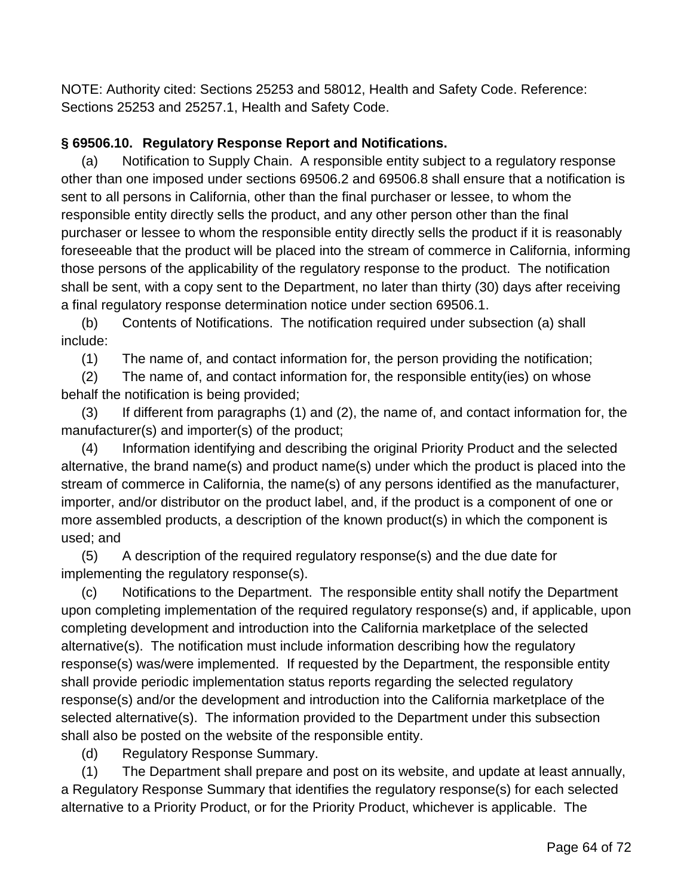NOTE: Authority cited: Sections 25253 and 58012, Health and Safety Code. Reference: Sections 25253 and 25257.1, Health and Safety Code.

### **§ 69506.10. Regulatory Response Report and Notifications.**

(a) Notification to Supply Chain. A responsible entity subject to a regulatory response other than one imposed under sections 69506.2 and 69506.8 shall ensure that a notification is sent to all persons in California, other than the final purchaser or lessee, to whom the responsible entity directly sells the product, and any other person other than the final purchaser or lessee to whom the responsible entity directly sells the product if it is reasonably foreseeable that the product will be placed into the stream of commerce in California, informing those persons of the applicability of the regulatory response to the product. The notification shall be sent, with a copy sent to the Department, no later than thirty (30) days after receiving a final regulatory response determination notice under section 69506.1.

(b) Contents of Notifications. The notification required under subsection (a) shall include:

(1) The name of, and contact information for, the person providing the notification;

(2) The name of, and contact information for, the responsible entity(ies) on whose behalf the notification is being provided;

(3) If different from paragraphs (1) and (2), the name of, and contact information for, the manufacturer(s) and importer(s) of the product;

(4) Information identifying and describing the original Priority Product and the selected alternative, the brand name(s) and product name(s) under which the product is placed into the stream of commerce in California, the name(s) of any persons identified as the manufacturer, importer, and/or distributor on the product label, and, if the product is a component of one or more assembled products, a description of the known product(s) in which the component is used; and

(5) A description of the required regulatory response(s) and the due date for implementing the regulatory response(s).

(c) Notifications to the Department. The responsible entity shall notify the Department upon completing implementation of the required regulatory response(s) and, if applicable, upon completing development and introduction into the California marketplace of the selected alternative(s). The notification must include information describing how the regulatory response(s) was/were implemented. If requested by the Department, the responsible entity shall provide periodic implementation status reports regarding the selected regulatory response(s) and/or the development and introduction into the California marketplace of the selected alternative(s). The information provided to the Department under this subsection shall also be posted on the website of the responsible entity.

(d) Regulatory Response Summary.

(1) The Department shall prepare and post on its website, and update at least annually, a Regulatory Response Summary that identifies the regulatory response(s) for each selected alternative to a Priority Product, or for the Priority Product, whichever is applicable. The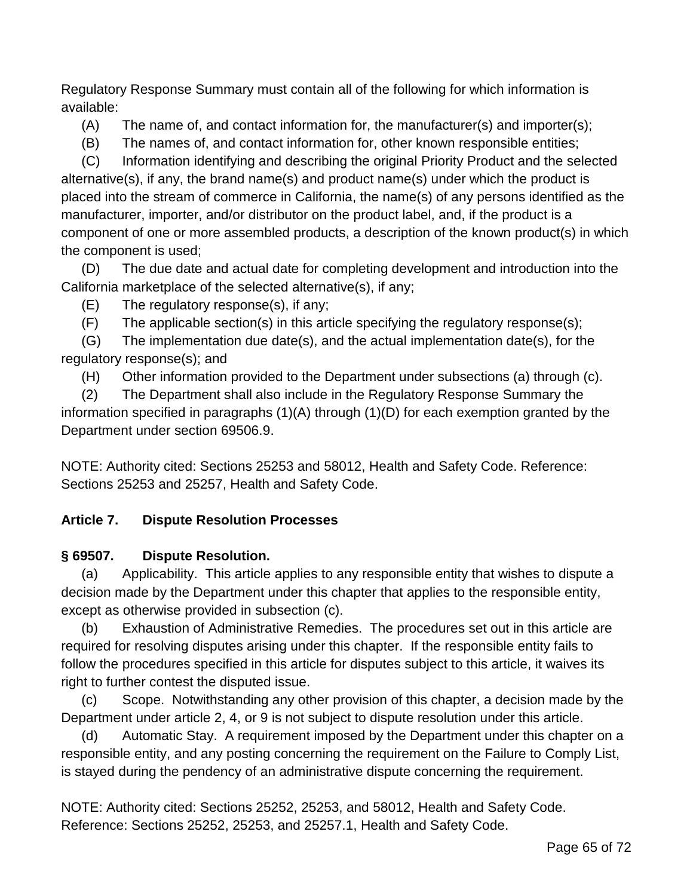Regulatory Response Summary must contain all of the following for which information is available:

 $(A)$  The name of, and contact information for, the manufacturer(s) and importer(s);

(B) The names of, and contact information for, other known responsible entities;

(C) Information identifying and describing the original Priority Product and the selected alternative(s), if any, the brand name(s) and product name(s) under which the product is placed into the stream of commerce in California, the name(s) of any persons identified as the manufacturer, importer, and/or distributor on the product label, and, if the product is a component of one or more assembled products, a description of the known product(s) in which the component is used;

(D) The due date and actual date for completing development and introduction into the California marketplace of the selected alternative(s), if any;

(E) The regulatory response(s), if any;

(F) The applicable section(s) in this article specifying the regulatory response(s);

(G) The implementation due date(s), and the actual implementation date(s), for the regulatory response(s); and

(H) Other information provided to the Department under subsections (a) through (c).

(2) The Department shall also include in the Regulatory Response Summary the information specified in paragraphs (1)(A) through (1)(D) for each exemption granted by the Department under section 69506.9.

NOTE: Authority cited: Sections 25253 and 58012, Health and Safety Code. Reference: Sections 25253 and 25257, Health and Safety Code.

# **Article 7. Dispute Resolution Processes**

# **§ 69507. Dispute Resolution.**

(a) Applicability. This article applies to any responsible entity that wishes to dispute a decision made by the Department under this chapter that applies to the responsible entity, except as otherwise provided in subsection (c).

(b) Exhaustion of Administrative Remedies. The procedures set out in this article are required for resolving disputes arising under this chapter. If the responsible entity fails to follow the procedures specified in this article for disputes subject to this article, it waives its right to further contest the disputed issue.

(c) Scope. Notwithstanding any other provision of this chapter, a decision made by the Department under article 2, 4, or 9 is not subject to dispute resolution under this article.

(d) Automatic Stay. A requirement imposed by the Department under this chapter on a responsible entity, and any posting concerning the requirement on the Failure to Comply List, is stayed during the pendency of an administrative dispute concerning the requirement.

NOTE: Authority cited: Sections 25252, 25253, and 58012, Health and Safety Code. Reference: Sections 25252, 25253, and 25257.1, Health and Safety Code.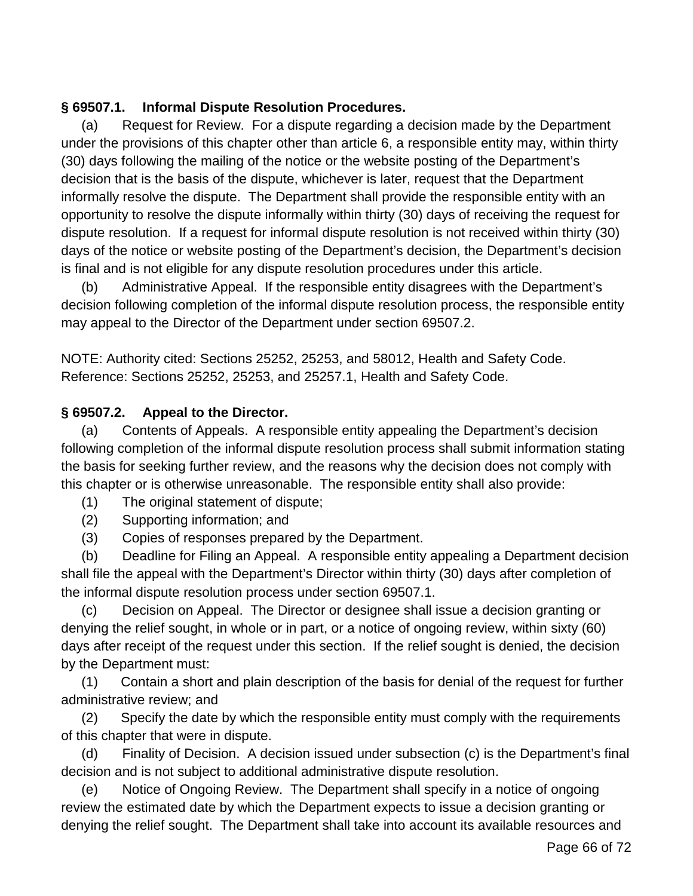#### **§ 69507.1. Informal Dispute Resolution Procedures.**

(a) Request for Review. For a dispute regarding a decision made by the Department under the provisions of this chapter other than article 6, a responsible entity may, within thirty (30) days following the mailing of the notice or the website posting of the Department's decision that is the basis of the dispute, whichever is later, request that the Department informally resolve the dispute. The Department shall provide the responsible entity with an opportunity to resolve the dispute informally within thirty (30) days of receiving the request for dispute resolution. If a request for informal dispute resolution is not received within thirty (30) days of the notice or website posting of the Department's decision, the Department's decision is final and is not eligible for any dispute resolution procedures under this article.

(b) Administrative Appeal. If the responsible entity disagrees with the Department's decision following completion of the informal dispute resolution process, the responsible entity may appeal to the Director of the Department under section 69507.2.

NOTE: Authority cited: Sections 25252, 25253, and 58012, Health and Safety Code. Reference: Sections 25252, 25253, and 25257.1, Health and Safety Code.

#### **§ 69507.2. Appeal to the Director.**

(a) Contents of Appeals. A responsible entity appealing the Department's decision following completion of the informal dispute resolution process shall submit information stating the basis for seeking further review, and the reasons why the decision does not comply with this chapter or is otherwise unreasonable. The responsible entity shall also provide:

- (1) The original statement of dispute;
- (2) Supporting information; and
- (3) Copies of responses prepared by the Department.

(b) Deadline for Filing an Appeal. A responsible entity appealing a Department decision shall file the appeal with the Department's Director within thirty (30) days after completion of the informal dispute resolution process under section 69507.1.

(c) Decision on Appeal. The Director or designee shall issue a decision granting or denying the relief sought, in whole or in part, or a notice of ongoing review, within sixty (60) days after receipt of the request under this section. If the relief sought is denied, the decision by the Department must:

(1) Contain a short and plain description of the basis for denial of the request for further administrative review; and

(2) Specify the date by which the responsible entity must comply with the requirements of this chapter that were in dispute.

(d) Finality of Decision. A decision issued under subsection (c) is the Department's final decision and is not subject to additional administrative dispute resolution.

(e) Notice of Ongoing Review. The Department shall specify in a notice of ongoing review the estimated date by which the Department expects to issue a decision granting or denying the relief sought. The Department shall take into account its available resources and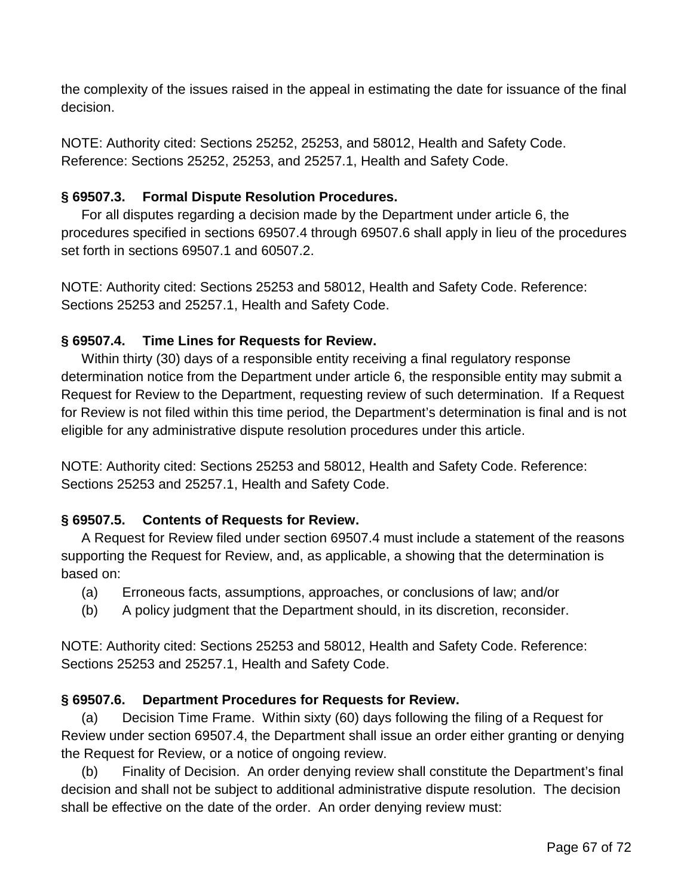the complexity of the issues raised in the appeal in estimating the date for issuance of the final decision.

NOTE: Authority cited: Sections 25252, 25253, and 58012, Health and Safety Code. Reference: Sections 25252, 25253, and 25257.1, Health and Safety Code.

### **§ 69507.3. Formal Dispute Resolution Procedures.**

For all disputes regarding a decision made by the Department under article 6, the procedures specified in sections 69507.4 through 69507.6 shall apply in lieu of the procedures set forth in sections 69507.1 and 60507.2.

NOTE: Authority cited: Sections 25253 and 58012, Health and Safety Code. Reference: Sections 25253 and 25257.1, Health and Safety Code.

## **§ 69507.4. Time Lines for Requests for Review.**

Within thirty (30) days of a responsible entity receiving a final regulatory response determination notice from the Department under article 6, the responsible entity may submit a Request for Review to the Department, requesting review of such determination. If a Request for Review is not filed within this time period, the Department's determination is final and is not eligible for any administrative dispute resolution procedures under this article.

NOTE: Authority cited: Sections 25253 and 58012, Health and Safety Code. Reference: Sections 25253 and 25257.1, Health and Safety Code.

### **§ 69507.5. Contents of Requests for Review.**

A Request for Review filed under section 69507.4 must include a statement of the reasons supporting the Request for Review, and, as applicable, a showing that the determination is based on:

- (a) Erroneous facts, assumptions, approaches, or conclusions of law; and/or
- (b) A policy judgment that the Department should, in its discretion, reconsider.

NOTE: Authority cited: Sections 25253 and 58012, Health and Safety Code. Reference: Sections 25253 and 25257.1, Health and Safety Code.

### **§ 69507.6. Department Procedures for Requests for Review.**

(a) Decision Time Frame. Within sixty (60) days following the filing of a Request for Review under section 69507.4, the Department shall issue an order either granting or denying the Request for Review, or a notice of ongoing review.

(b) Finality of Decision. An order denying review shall constitute the Department's final decision and shall not be subject to additional administrative dispute resolution. The decision shall be effective on the date of the order. An order denying review must: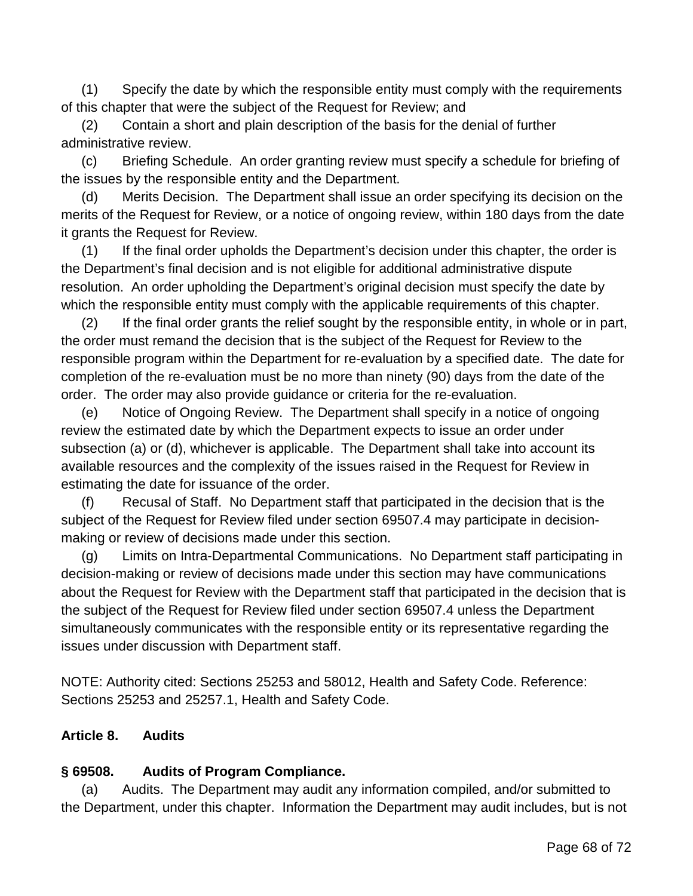(1) Specify the date by which the responsible entity must comply with the requirements of this chapter that were the subject of the Request for Review; and

(2) Contain a short and plain description of the basis for the denial of further administrative review.

(c) Briefing Schedule. An order granting review must specify a schedule for briefing of the issues by the responsible entity and the Department.

(d) Merits Decision. The Department shall issue an order specifying its decision on the merits of the Request for Review, or a notice of ongoing review, within 180 days from the date it grants the Request for Review.

(1) If the final order upholds the Department's decision under this chapter, the order is the Department's final decision and is not eligible for additional administrative dispute resolution. An order upholding the Department's original decision must specify the date by which the responsible entity must comply with the applicable requirements of this chapter.

(2) If the final order grants the relief sought by the responsible entity, in whole or in part, the order must remand the decision that is the subject of the Request for Review to the responsible program within the Department for re-evaluation by a specified date. The date for completion of the re-evaluation must be no more than ninety (90) days from the date of the order. The order may also provide guidance or criteria for the re-evaluation.

(e) Notice of Ongoing Review. The Department shall specify in a notice of ongoing review the estimated date by which the Department expects to issue an order under subsection (a) or (d), whichever is applicable. The Department shall take into account its available resources and the complexity of the issues raised in the Request for Review in estimating the date for issuance of the order.

(f) Recusal of Staff. No Department staff that participated in the decision that is the subject of the Request for Review filed under section 69507.4 may participate in decisionmaking or review of decisions made under this section.

(g) Limits on Intra-Departmental Communications. No Department staff participating in decision-making or review of decisions made under this section may have communications about the Request for Review with the Department staff that participated in the decision that is the subject of the Request for Review filed under section 69507.4 unless the Department simultaneously communicates with the responsible entity or its representative regarding the issues under discussion with Department staff.

NOTE: Authority cited: Sections 25253 and 58012, Health and Safety Code. Reference: Sections 25253 and 25257.1, Health and Safety Code.

### **Article 8. Audits**

### **§ 69508. Audits of Program Compliance.**

(a) Audits. The Department may audit any information compiled, and/or submitted to the Department, under this chapter. Information the Department may audit includes, but is not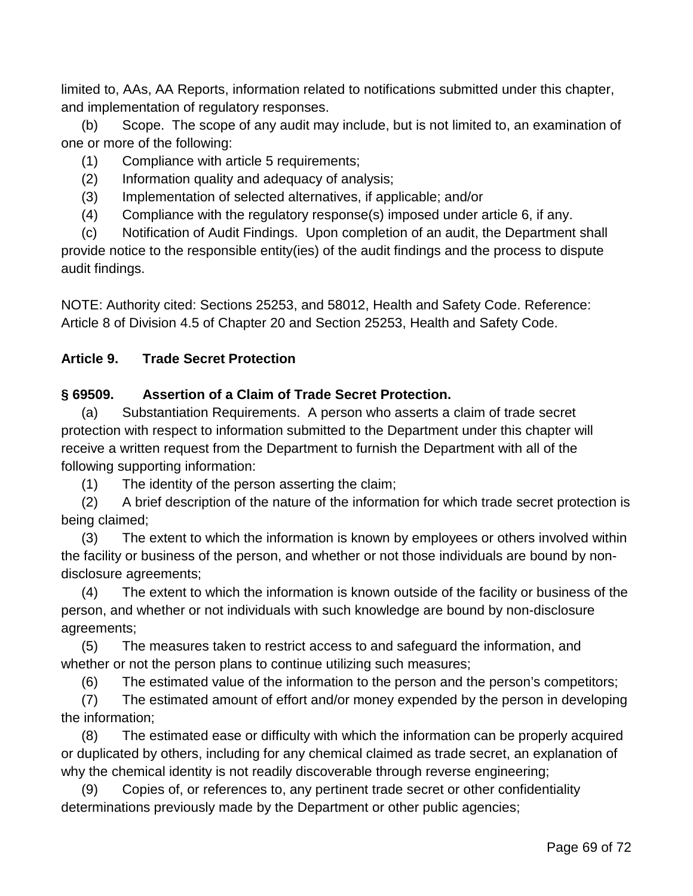limited to, AAs, AA Reports, information related to notifications submitted under this chapter, and implementation of regulatory responses.

(b) Scope. The scope of any audit may include, but is not limited to, an examination of one or more of the following:

- (1) Compliance with article 5 requirements;
- (2) Information quality and adequacy of analysis;
- (3) Implementation of selected alternatives, if applicable; and/or
- (4) Compliance with the regulatory response(s) imposed under article 6, if any.

(c) Notification of Audit Findings. Upon completion of an audit, the Department shall provide notice to the responsible entity(ies) of the audit findings and the process to dispute audit findings.

NOTE: Authority cited: Sections 25253, and 58012, Health and Safety Code. Reference: Article 8 of Division 4.5 of Chapter 20 and Section 25253, Health and Safety Code.

### **Article 9. Trade Secret Protection**

#### **§ 69509. Assertion of a Claim of Trade Secret Protection.**

(a) Substantiation Requirements. A person who asserts a claim of trade secret protection with respect to information submitted to the Department under this chapter will receive a written request from the Department to furnish the Department with all of the following supporting information:

(1) The identity of the person asserting the claim;

(2) A brief description of the nature of the information for which trade secret protection is being claimed;

(3) The extent to which the information is known by employees or others involved within the facility or business of the person, and whether or not those individuals are bound by nondisclosure agreements;

(4) The extent to which the information is known outside of the facility or business of the person, and whether or not individuals with such knowledge are bound by non-disclosure agreements;

(5) The measures taken to restrict access to and safeguard the information, and whether or not the person plans to continue utilizing such measures;

(6) The estimated value of the information to the person and the person's competitors;

(7) The estimated amount of effort and/or money expended by the person in developing the information;

(8) The estimated ease or difficulty with which the information can be properly acquired or duplicated by others, including for any chemical claimed as trade secret, an explanation of why the chemical identity is not readily discoverable through reverse engineering;

(9) Copies of, or references to, any pertinent trade secret or other confidentiality determinations previously made by the Department or other public agencies;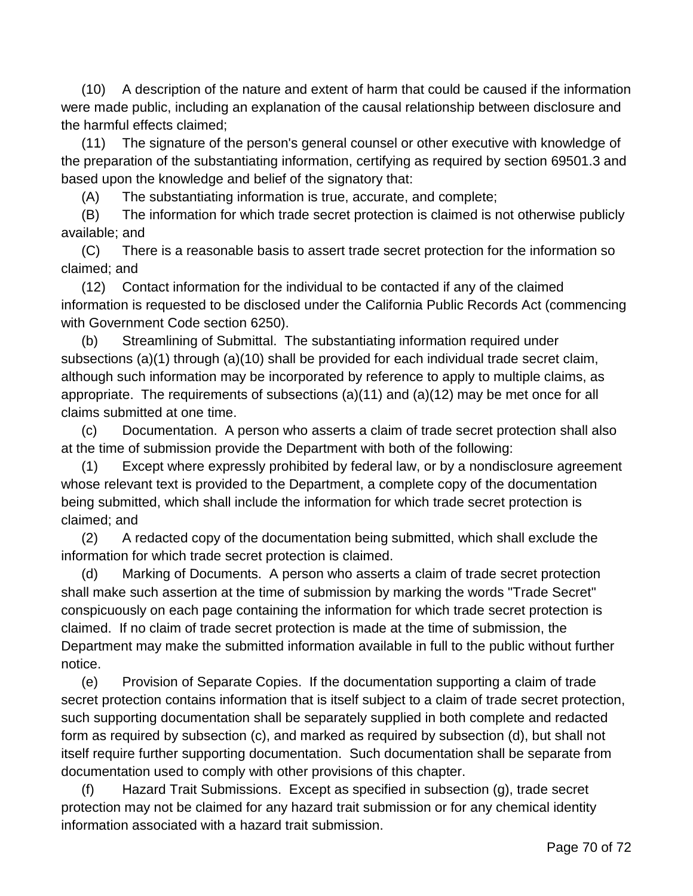(10) A description of the nature and extent of harm that could be caused if the information were made public, including an explanation of the causal relationship between disclosure and the harmful effects claimed;

(11) The signature of the person's general counsel or other executive with knowledge of the preparation of the substantiating information, certifying as required by section 69501.3 and based upon the knowledge and belief of the signatory that:

(A) The substantiating information is true, accurate, and complete;

(B) The information for which trade secret protection is claimed is not otherwise publicly available; and

(C) There is a reasonable basis to assert trade secret protection for the information so claimed; and

(12) Contact information for the individual to be contacted if any of the claimed information is requested to be disclosed under the California Public Records Act (commencing with Government Code section 6250).

(b) Streamlining of Submittal. The substantiating information required under subsections (a)(1) through (a)(10) shall be provided for each individual trade secret claim, although such information may be incorporated by reference to apply to multiple claims, as appropriate. The requirements of subsections (a)(11) and (a)(12) may be met once for all claims submitted at one time.

(c) Documentation. A person who asserts a claim of trade secret protection shall also at the time of submission provide the Department with both of the following:

(1) Except where expressly prohibited by federal law, or by a nondisclosure agreement whose relevant text is provided to the Department, a complete copy of the documentation being submitted, which shall include the information for which trade secret protection is claimed; and

(2) A redacted copy of the documentation being submitted, which shall exclude the information for which trade secret protection is claimed.

(d) Marking of Documents. A person who asserts a claim of trade secret protection shall make such assertion at the time of submission by marking the words "Trade Secret" conspicuously on each page containing the information for which trade secret protection is claimed. If no claim of trade secret protection is made at the time of submission, the Department may make the submitted information available in full to the public without further notice.

(e) Provision of Separate Copies. If the documentation supporting a claim of trade secret protection contains information that is itself subject to a claim of trade secret protection, such supporting documentation shall be separately supplied in both complete and redacted form as required by subsection (c), and marked as required by subsection (d), but shall not itself require further supporting documentation. Such documentation shall be separate from documentation used to comply with other provisions of this chapter.

(f) Hazard Trait Submissions. Except as specified in subsection (g), trade secret protection may not be claimed for any hazard trait submission or for any chemical identity information associated with a hazard trait submission.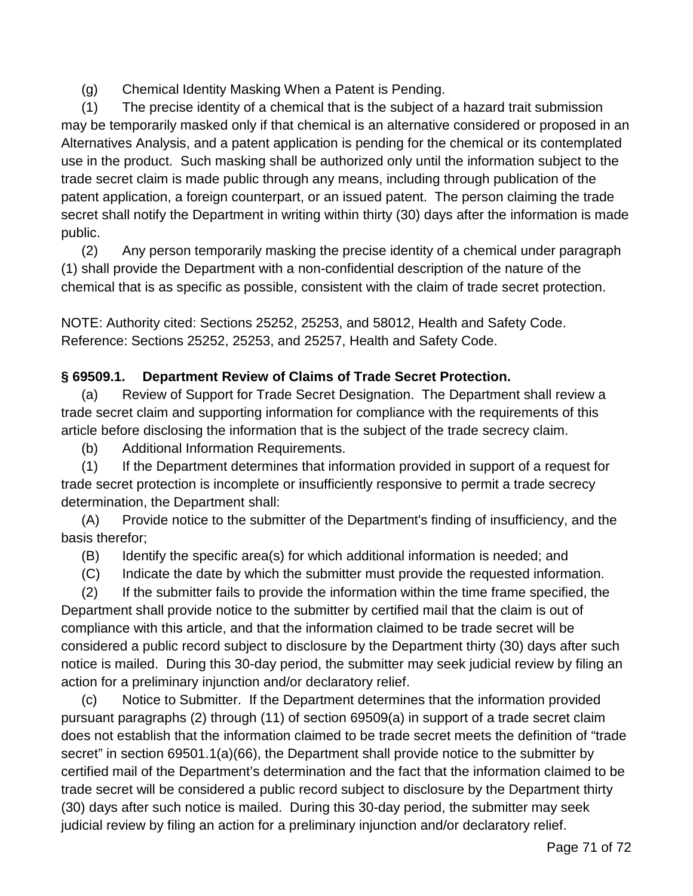(g) Chemical Identity Masking When a Patent is Pending.

(1) The precise identity of a chemical that is the subject of a hazard trait submission may be temporarily masked only if that chemical is an alternative considered or proposed in an Alternatives Analysis, and a patent application is pending for the chemical or its contemplated use in the product. Such masking shall be authorized only until the information subject to the trade secret claim is made public through any means, including through publication of the patent application, a foreign counterpart, or an issued patent. The person claiming the trade secret shall notify the Department in writing within thirty (30) days after the information is made public.

(2) Any person temporarily masking the precise identity of a chemical under paragraph (1) shall provide the Department with a non-confidential description of the nature of the chemical that is as specific as possible, consistent with the claim of trade secret protection.

NOTE: Authority cited: Sections 25252, 25253, and 58012, Health and Safety Code. Reference: Sections 25252, 25253, and 25257, Health and Safety Code.

## **§ 69509.1. Department Review of Claims of Trade Secret Protection.**

(a) Review of Support for Trade Secret Designation. The Department shall review a trade secret claim and supporting information for compliance with the requirements of this article before disclosing the information that is the subject of the trade secrecy claim.

(b) Additional Information Requirements.

(1) If the Department determines that information provided in support of a request for trade secret protection is incomplete or insufficiently responsive to permit a trade secrecy determination, the Department shall:

(A) Provide notice to the submitter of the Department's finding of insufficiency, and the basis therefor;

(B) Identify the specific area(s) for which additional information is needed; and

(C) Indicate the date by which the submitter must provide the requested information.

(2) If the submitter fails to provide the information within the time frame specified, the Department shall provide notice to the submitter by certified mail that the claim is out of compliance with this article, and that the information claimed to be trade secret will be considered a public record subject to disclosure by the Department thirty (30) days after such notice is mailed. During this 30-day period, the submitter may seek judicial review by filing an action for a preliminary injunction and/or declaratory relief.

(c) Notice to Submitter. If the Department determines that the information provided pursuant paragraphs (2) through (11) of section 69509(a) in support of a trade secret claim does not establish that the information claimed to be trade secret meets the definition of "trade secret" in section 69501.1(a)(66), the Department shall provide notice to the submitter by certified mail of the Department's determination and the fact that the information claimed to be trade secret will be considered a public record subject to disclosure by the Department thirty (30) days after such notice is mailed. During this 30-day period, the submitter may seek judicial review by filing an action for a preliminary injunction and/or declaratory relief.